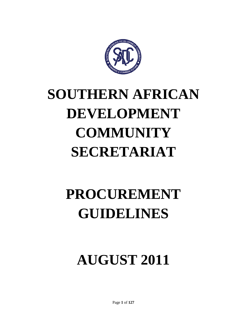

# **SOUTHERN AFRICAN DEVELOPMENT COMMUNITY SECRETARIAT**

# **PROCUREMENT GUIDELINES**

# **AUGUST 2011**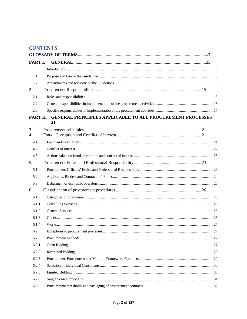# **CONTENTS**

| PART I.          |                                                                         |    |
|------------------|-------------------------------------------------------------------------|----|
| 1.               |                                                                         |    |
| 1.1              |                                                                         |    |
| 1.2              |                                                                         |    |
| 2.               |                                                                         |    |
| 2.1              |                                                                         |    |
| 2.2              |                                                                         |    |
| 2.3              |                                                                         |    |
| PART II.         | <b>GENERAL PRINCIPLES APPLICABLE TO ALL PROCUREMENT PROCESSES</b><br>21 |    |
| 3.               |                                                                         |    |
| $\overline{4}$ . |                                                                         |    |
| 4.1.             |                                                                         |    |
| 4.2              |                                                                         |    |
| 4.3              |                                                                         |    |
| 5.               |                                                                         |    |
| 5.1              |                                                                         |    |
| 5.2              |                                                                         |    |
| 5.3              |                                                                         |    |
| 6.               |                                                                         |    |
| 6.1              |                                                                         |    |
| 6.1.1            |                                                                         |    |
| 6.1.2            |                                                                         |    |
| 6.1.3            |                                                                         |    |
| 6.1.4            |                                                                         |    |
| 6.2              |                                                                         | 27 |
| 6.2              |                                                                         |    |
| 6.2.1            |                                                                         |    |
| 6.2.2            |                                                                         |    |
| 6.2.3            |                                                                         |    |
| 6.2.4            |                                                                         |    |
| 6.2.5            |                                                                         |    |
| 6.2.6            |                                                                         |    |
| 6.3              |                                                                         |    |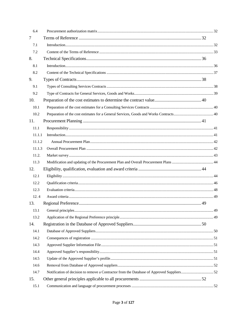| 6.4    |  |  |
|--------|--|--|
| $\tau$ |  |  |
| 7.1    |  |  |
| 7.2    |  |  |
| 8.     |  |  |
| 8.1    |  |  |
| 8.2    |  |  |
| 9.     |  |  |
| 9.1    |  |  |
| 9.2    |  |  |
| 10.    |  |  |
| 10.1   |  |  |
| 10.2   |  |  |
| 11.    |  |  |
| 11.1   |  |  |
| 11.1.1 |  |  |
| 11.1.2 |  |  |
| 11.1.3 |  |  |
| 11.2.  |  |  |
|        |  |  |
| 11.3   |  |  |
| 12.    |  |  |
| 12.1   |  |  |
| 12.2   |  |  |
| 12.3   |  |  |
| 12.4   |  |  |
| 13.    |  |  |
| 13.1   |  |  |
| 13.2   |  |  |
| 14.    |  |  |
| 14.1   |  |  |
| 14.2   |  |  |
| 14.3   |  |  |
| 14.4   |  |  |
| 14.5   |  |  |
| 14.6   |  |  |
| 14.7   |  |  |
| 15.    |  |  |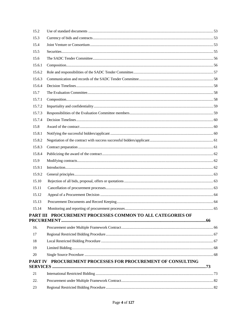| 15.2   |                                                             |  |  |
|--------|-------------------------------------------------------------|--|--|
| 15.3   |                                                             |  |  |
| 15.4   |                                                             |  |  |
| 15.5   |                                                             |  |  |
| 15.6   |                                                             |  |  |
| 15.6.1 |                                                             |  |  |
| 15.6.2 |                                                             |  |  |
| 15.6.3 |                                                             |  |  |
| 15.6.4 |                                                             |  |  |
| 15.7   |                                                             |  |  |
| 15.7.1 |                                                             |  |  |
| 15.7.2 |                                                             |  |  |
| 15.7.3 |                                                             |  |  |
| 15.7.4 |                                                             |  |  |
| 15.8   |                                                             |  |  |
| 15.8.1 |                                                             |  |  |
| 15.8.2 |                                                             |  |  |
| 15.8.3 |                                                             |  |  |
| 15.8.4 |                                                             |  |  |
| 15.9   |                                                             |  |  |
| 15.9.1 |                                                             |  |  |
| 15.9.2 |                                                             |  |  |
| 15.10  |                                                             |  |  |
| 15.11  |                                                             |  |  |
| 15.12  |                                                             |  |  |
| 15.13  |                                                             |  |  |
| 15.14  |                                                             |  |  |
|        | PART III PROCUREMENT PROCESSES COMMON TO ALL CATEGORIES OF  |  |  |
|        |                                                             |  |  |
| 16.    |                                                             |  |  |
| 17     |                                                             |  |  |
| 18     |                                                             |  |  |
| 19     |                                                             |  |  |
| 20     |                                                             |  |  |
|        | PART IV PROCUREMENT PROCESSES FOR PROCUREMENT OF CONSULTING |  |  |
| 21     |                                                             |  |  |
| 22.    |                                                             |  |  |
| 23     |                                                             |  |  |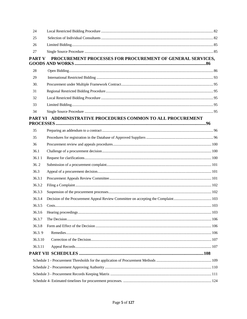| 24      |                                                                   |  |
|---------|-------------------------------------------------------------------|--|
| 25      |                                                                   |  |
| 26      |                                                                   |  |
| 27      |                                                                   |  |
|         | PART V PROCUREMENT PROCESSES FOR PROCUREMENT OF GENERAL SERVICES, |  |
| 28      |                                                                   |  |
| 29      |                                                                   |  |
| 30.     |                                                                   |  |
| 31      |                                                                   |  |
| 32      |                                                                   |  |
| 33      |                                                                   |  |
| 34      |                                                                   |  |
|         | PART VI ADDMINISTRATIVE PROCEDURES COMMON TO ALL PROCUREMENT      |  |
| 35      |                                                                   |  |
| 35      |                                                                   |  |
| 36      |                                                                   |  |
| 36.1    |                                                                   |  |
| 36.11   |                                                                   |  |
| 36.2    |                                                                   |  |
| 36.3    |                                                                   |  |
| 36.3.1  |                                                                   |  |
| 36.3.2  |                                                                   |  |
| 36.3.3  |                                                                   |  |
| 36.3.4  |                                                                   |  |
| 36.3.5  |                                                                   |  |
| 36.3.6  |                                                                   |  |
| 36.3.7  |                                                                   |  |
| 36.3.8  |                                                                   |  |
| 36.3.9  |                                                                   |  |
| 36.3.10 |                                                                   |  |
| 36.3.11 |                                                                   |  |
|         |                                                                   |  |
|         |                                                                   |  |
|         |                                                                   |  |
|         |                                                                   |  |
|         |                                                                   |  |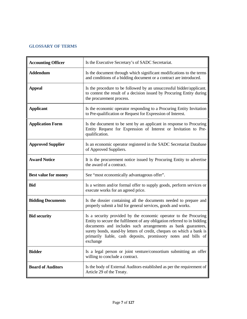# <span id="page-6-0"></span>**GLOSSARY OF TERMS**

| <b>Accounting Officer</b>   | Is the Executive Secretary's of SADC Secretariat.                                                                                                                                                                                                                                                                                                                  |
|-----------------------------|--------------------------------------------------------------------------------------------------------------------------------------------------------------------------------------------------------------------------------------------------------------------------------------------------------------------------------------------------------------------|
| <b>Addendum</b>             | Is the document through which significant modifications to the terms<br>and conditions of a bidding document or a contract are introduced.                                                                                                                                                                                                                         |
| <b>Appeal</b>               | Is the procedure to be followed by an unsuccessful bidder/applicant.<br>to contest the result of a decision issued by Procuring Entity during<br>the procurement process.                                                                                                                                                                                          |
| <b>Applicant</b>            | Is the economic operator responding to a Procuring Entity Invitation<br>to Pre-qualification or Request for Expression of Interest.                                                                                                                                                                                                                                |
| <b>Application Form</b>     | Is the document to be sent by an applicant in response to Procuring<br>Entity Request for Expression of Interest or Invitation to Pre-<br>qualification.                                                                                                                                                                                                           |
| <b>Approved Supplier</b>    | Is an economic operator registered in the SADC Secretariat Database<br>of Approved Suppliers.                                                                                                                                                                                                                                                                      |
| <b>Award Notice</b>         | It is the procurement notice issued by Procuring Entity to advertise<br>the award of a contract.                                                                                                                                                                                                                                                                   |
| <b>Best value for money</b> | See "most economically advantageous offer".                                                                                                                                                                                                                                                                                                                        |
| <b>Bid</b>                  | Is a written and/or formal offer to supply goods, perform services or<br>execute works for an agreed price.                                                                                                                                                                                                                                                        |
| <b>Bidding Documents</b>    | Is the dossier containing all the documents needed to prepare and<br>properly submit a bid for general services, goods and works.                                                                                                                                                                                                                                  |
| <b>Bid security</b>         | Is a security provided by the economic operator to the Procuring<br>Entity to secure the fulfilment of any obligation referred to in bidding<br>documents and includes such arrangements as bank guarantees,<br>surety bonds, stand-by letters of credit, cheques on which a bank is<br>primarily liable, cash deposits, promissory notes and bills of<br>exchange |
| <b>Bidder</b>               | Is a legal person or joint venture/consortium submitting an offer<br>willing to conclude a contract.                                                                                                                                                                                                                                                               |
| <b>Board of Auditors</b>    | Is the body of External Auditors established as per the requirement of<br>Article 29 of the Treaty.                                                                                                                                                                                                                                                                |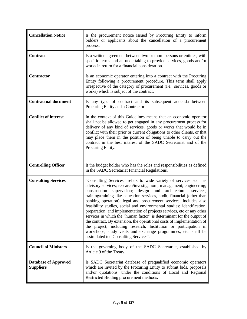| <b>Cancellation Notice</b>                      | Is the procurement notice issued by Procuring Entity to inform<br>bidders or applicants about the cancellation of a procurement<br>process.                                                                                                                                                                                                                                                                                                                                                                                                                                                                                                                                                                                                                                                                                                                  |
|-------------------------------------------------|--------------------------------------------------------------------------------------------------------------------------------------------------------------------------------------------------------------------------------------------------------------------------------------------------------------------------------------------------------------------------------------------------------------------------------------------------------------------------------------------------------------------------------------------------------------------------------------------------------------------------------------------------------------------------------------------------------------------------------------------------------------------------------------------------------------------------------------------------------------|
| <b>Contract</b>                                 | Is a written agreement between two or more persons or entities, with<br>specific terms and an undertaking to provide services, goods and/or<br>works in return for a financial consideration.                                                                                                                                                                                                                                                                                                                                                                                                                                                                                                                                                                                                                                                                |
| <b>Contractor</b>                               | Is an economic operator entering into a contract with the Procuring<br>Entity following a procurement procedure. This term shall apply<br>irrespective of the category of procurement (i.e.: services, goods or<br>works) which is subject of the contract.                                                                                                                                                                                                                                                                                                                                                                                                                                                                                                                                                                                                  |
| <b>Contractual document</b>                     | Is any type of contract and its subsequent addenda between<br>Procuring Entity and a Contractor.                                                                                                                                                                                                                                                                                                                                                                                                                                                                                                                                                                                                                                                                                                                                                             |
| <b>Conflict of interest</b>                     | In the context of this Guidelines means that an economic operator<br>shall not be allowed to get engaged in any procurement process for<br>delivery of any kind of services, goods or works that would be in<br>conflict with their prior or current obligations to other clients, or that<br>may place them in the position of being unable to carry out the<br>contract in the best interest of the SADC Secretariat and of the<br>Procuring Entity.                                                                                                                                                                                                                                                                                                                                                                                                       |
| <b>Controlling Officer</b>                      | It the budget holder who has the roles and responsibilities as defined<br>in the SADC Secretariat Financial Regulations.                                                                                                                                                                                                                                                                                                                                                                                                                                                                                                                                                                                                                                                                                                                                     |
| <b>Consulting Services</b>                      | "Consulting Services" refers to wide variety of services such as<br>advisory services; research/investigation, management; engineering;<br>construction<br>design<br>architectural<br>supervision;<br>and<br>services,<br>training/training like education services, audit, financial (other than<br>banking operation); legal and procurement services. Includes also<br>feasibility studies, social and environmental studies; identification,<br>preparation, and implementation of projects services, etc or any other<br>services in which the "human factor" is determinant for the output of<br>the contract. By extension, the operational costs of implementation of<br>the project, including research, Institution or participation in<br>workshops, study visits and exchange programmes, etc. shall be<br>assimilated to "Consulting Services". |
| <b>Council of Ministers</b>                     | Is the governing body of the SADC Secretariat, established by<br>Article 9 of the Treaty.                                                                                                                                                                                                                                                                                                                                                                                                                                                                                                                                                                                                                                                                                                                                                                    |
| <b>Database of Approved</b><br><b>Suppliers</b> | Is SADC Secretariat database of prequalified economic operators<br>which are invited by the Procuring Entity to submit bids, proposals<br>and/or quotations, under the conditions of Local and Regional<br>Restricted Bidding procurement methods.                                                                                                                                                                                                                                                                                                                                                                                                                                                                                                                                                                                                           |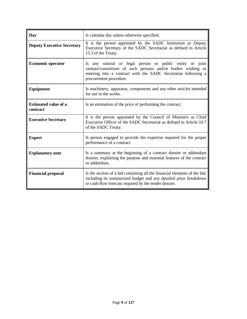| Day                                     | Is calendar day unless otherwise specified.                                                                                                                                                                         |
|-----------------------------------------|---------------------------------------------------------------------------------------------------------------------------------------------------------------------------------------------------------------------|
| <b>Deputy Executive Secretary</b>       | It is the person appointed by the SADC Institution as Deputy<br>Executive Secretary of the SADC Secretariat as defined in Article<br>15.3 of the Treaty.                                                            |
| <b>Economic operator</b>                | Is any natural or legal person or public entity or joint<br>venture/consortium of such persons and/or bodies wishing or<br>entering into a contract with the SADC Secretariat following a<br>procurement procedure. |
| <b>Equipment</b>                        | Is machinery, apparatus, components and any other articles intended<br>for use in the works.                                                                                                                        |
| <b>Estimated value of a</b><br>contract | Is an estimation of the price of performing the contract.                                                                                                                                                           |
| <b>Executive Secretary</b>              | It is the person appointed by the Council of Ministers as Chief<br>Executive Officer of the SADC Secretariat as defined in Article 10.7<br>of the SADC Treaty.                                                      |
| <b>Expert</b>                           | Is person engaged to provide the expertise required for the proper<br>performance of a contract.                                                                                                                    |
| <b>Explanatory note</b>                 | Is a summary at the beginning of a contract dossier or addendum<br>dossier, explaining the purpose and essential features of the contract<br>or addendum.                                                           |
| <b>Financial proposal</b>               | Is the section of a bid containing all the financial elements of the bid,<br>including its summarized budget and any detailed price breakdown<br>or cash-flow forecast required by the tender dossier.              |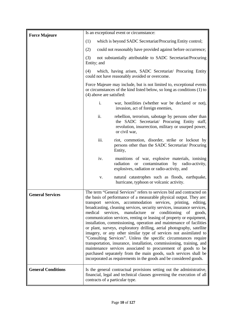| <b>Force Majeure</b>      | Is an exceptional event or circumstance:                                                                                                                                                                                                                                                                                                                                                                                                                                                                                                                                                                                                                                                                                                                                                                                                                                                                                                                                                                            |  |
|---------------------------|---------------------------------------------------------------------------------------------------------------------------------------------------------------------------------------------------------------------------------------------------------------------------------------------------------------------------------------------------------------------------------------------------------------------------------------------------------------------------------------------------------------------------------------------------------------------------------------------------------------------------------------------------------------------------------------------------------------------------------------------------------------------------------------------------------------------------------------------------------------------------------------------------------------------------------------------------------------------------------------------------------------------|--|
|                           | which is beyond SADC Secretariat/Procuring Entity control;<br>(1)                                                                                                                                                                                                                                                                                                                                                                                                                                                                                                                                                                                                                                                                                                                                                                                                                                                                                                                                                   |  |
|                           | (2)<br>could not reasonably have provided against before occurrence;                                                                                                                                                                                                                                                                                                                                                                                                                                                                                                                                                                                                                                                                                                                                                                                                                                                                                                                                                |  |
|                           | (3)<br>not substantially attributable to SADC Secretariat/Procuring<br>Entity; and                                                                                                                                                                                                                                                                                                                                                                                                                                                                                                                                                                                                                                                                                                                                                                                                                                                                                                                                  |  |
|                           | which, having arisen, SADC Secretariat/ Procuring Entity<br>(4)<br>could not have reasonably avoided or overcome.                                                                                                                                                                                                                                                                                                                                                                                                                                                                                                                                                                                                                                                                                                                                                                                                                                                                                                   |  |
|                           | Force Majeure may include, but is not limited to, exceptional events<br>or circumstances of the kind listed below, so long as conditions (1) to<br>(4) above are satisfied:                                                                                                                                                                                                                                                                                                                                                                                                                                                                                                                                                                                                                                                                                                                                                                                                                                         |  |
|                           | i.<br>war, hostilities (whether war be declared or not),<br>invasion, act of foreign enemies,                                                                                                                                                                                                                                                                                                                                                                                                                                                                                                                                                                                                                                                                                                                                                                                                                                                                                                                       |  |
|                           | ii.<br>rebellion, terrorism, sabotage by persons other than<br>the SADC Secretariat/ Procuring Entity staff,<br>revolution, insurrection, military or usurped power,<br>or civil war,                                                                                                                                                                                                                                                                                                                                                                                                                                                                                                                                                                                                                                                                                                                                                                                                                               |  |
|                           | iii.<br>riot, commotion, disorder, strike or lockout by<br>persons other than the SADC Secretariat/ Procuring<br>Entity,                                                                                                                                                                                                                                                                                                                                                                                                                                                                                                                                                                                                                                                                                                                                                                                                                                                                                            |  |
|                           | iv.<br>munitions of war, explosive materials, ionising<br>contamination<br>radiation<br>by radio-activity,<br><sub>or</sub><br>explosives, radiation or radio-activity, and                                                                                                                                                                                                                                                                                                                                                                                                                                                                                                                                                                                                                                                                                                                                                                                                                                         |  |
|                           | natural catastrophes such as floods, earthquake,<br>V.<br>hurricane, typhoon or volcanic activity.                                                                                                                                                                                                                                                                                                                                                                                                                                                                                                                                                                                                                                                                                                                                                                                                                                                                                                                  |  |
| <b>General Services</b>   | The term "General Services" refers to services bid and contracted on<br>the basis of performance of a measurable physical output. They are:<br>transport services, accommodation services, printing, editing,<br>broadcasting, cleaning services, security services, insurance services,<br>medical<br>manufacture or conditioning<br>services,<br>of goods,<br>communication services, renting or leasing of property or equipment,<br>installation, commissioning, operation and maintenance of facilities<br>or plant, surveys, exploratory drilling, aerial photography, satellite<br>imagery, or any other similar type of services not assimilated to<br>"Consulting Services". Unless the specific circumstances require<br>transportation, insurance, installation, commissioning, training, and<br>maintenance services associated to procurement of goods to be<br>purchased separately from the main goods, such services shall be<br>incorporated as requirements in the goods and be considered goods. |  |
| <b>General Conditions</b> | Is the general contractual provisions setting out the administrative,<br>financial, legal and technical clauses governing the execution of all<br>contracts of a particular type.                                                                                                                                                                                                                                                                                                                                                                                                                                                                                                                                                                                                                                                                                                                                                                                                                                   |  |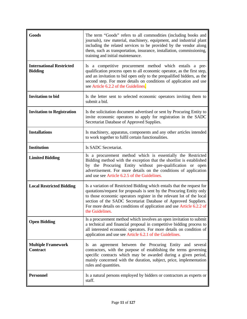| Goods                                             | The term "Goods" refers to all commodities (including books and<br>journals), raw material, machinery, equipment, and industrial plant<br>including the related services to be provided by the vendor along<br>them, such as transportation, insurance, installation, commissioning,<br>training and initial maintenance.                                                                 |
|---------------------------------------------------|-------------------------------------------------------------------------------------------------------------------------------------------------------------------------------------------------------------------------------------------------------------------------------------------------------------------------------------------------------------------------------------------|
| <b>International Restricted</b><br><b>Bidding</b> | Is a competitive procurement method which entails a pre-<br>qualification process open to all economic operator, as the first step,<br>and an invitation to bid open only to the prequalified bidders, as the<br>second step. For more details on conditions of application and use<br>see Article 6.2.2 of the Guidelines.                                                               |
| <b>Invitation</b> to bid                          | Is the letter sent to selected economic operators inviting them to<br>submit a bid.                                                                                                                                                                                                                                                                                                       |
| <b>Invitation to Registration</b>                 | Is the solicitation document advertised or sent by Procuring Entity to<br>invite economic operators to apply for registration in the SADC<br>Secretariat Database of Approved Supplies.                                                                                                                                                                                                   |
| <b>Installations</b>                              | Is machinery, apparatus, components and any other articles intended<br>to work together to fulfil certain functionalities.                                                                                                                                                                                                                                                                |
| <b>Institution</b>                                | Is SADC Secretariat.                                                                                                                                                                                                                                                                                                                                                                      |
| <b>Limited Bidding</b>                            | Is a procurement method which is essentially the Restricted<br>Bidding method with the exception that the shortlist is established<br>by the Procuring Entity without pre-qualification or open<br>advertisement. For more details on the conditions of application<br>and use see Article 6.2.5 of the Guidelines.                                                                       |
| <b>Local Restricted Bidding</b>                   | Is a variation of Restricted Bidding which entails that the request for<br>quotations/request for proposals is sent by the Procuring Entity only<br>to those economic operators register in the relevant lot of the local<br>section of the SADC Secretariat Database of Approved Suppliers.<br>For more details on conditions of application and use Article 6.2.2 of<br>the Guidelines. |
| <b>Open Bidding</b>                               | Is a procurement method which involves an open invitation to submit<br>a technical and financial proposal in competitive bidding process to<br>all interested economic operators. For more details on condition of<br>application and use see Article 6.2.1 of the Guidelines.                                                                                                            |
| <b>Multiple Framework</b><br><b>Contract</b>      | Is an agreement between the Procuring Entity and several<br>contractors, with the purpose of establishing the terms governing<br>specific contracts which may be awarded during a given period,<br>mainly concerned with the duration, subject, price, implementation<br>rules and quantities.                                                                                            |
| <b>Personnel</b>                                  | Is a natural persons employed by bidders or contractors as experts or<br>staff.                                                                                                                                                                                                                                                                                                           |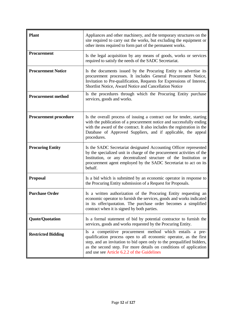| <b>Plant</b>                 | Appliances and other machinery, and the temporary structures on the<br>site required to carry out the works, but excluding the equipment or<br>other items required to form part of the permanent works.                                                                                                                   |
|------------------------------|----------------------------------------------------------------------------------------------------------------------------------------------------------------------------------------------------------------------------------------------------------------------------------------------------------------------------|
| <b>Procurement</b>           | Is the legal acquisition by any means of goods, works or services<br>required to satisfy the needs of the SADC Secretariat.                                                                                                                                                                                                |
| <b>Procurement Notice</b>    | Is the documents issued by the Procuring Entity to advertise its<br>procurement processes. It includes General Procurement Notice,<br>Invitation to Pre-qualification, Requests for Expressions of Interest,<br>Shortlist Notice, Award Notice and Cancellation Notice                                                     |
| <b>Procurement method</b>    | Is the procedures through which the Procuring Entity purchase<br>services, goods and works.                                                                                                                                                                                                                                |
| <b>Procurement procedure</b> | Is the overall process of issuing a contract out for tender, starting<br>with the publication of a procurement notice and successfully ending<br>with the award of the contract. It also includes the registration in the<br>Database of Approved Suppliers, and if applicable, the appeal<br>procedures.                  |
| <b>Procuring Entity</b>      | Is the SADC Secretariat designated Accounting Officer represented<br>by the specialized unit in charge of the procurement activities of the<br>Institution, or any decentralized structure of the Institution or<br>procurement agent employed by the SADC Secretariat to act on its<br>behalf.                            |
| <b>Proposal</b>              | Is a bid which is submitted by an economic operator in response to<br>the Procuring Entity submission of a Request for Proposals.                                                                                                                                                                                          |
| <b>Purchase Order</b>        | Is a written authorization of the Procuring Entity requesting an<br>economic operator to furnish the services, goods and works indicated<br>in its offer/quotation. The purchase order becomes a simplified<br>contract when it is signed by both parties.                                                                 |
| <b>Quote/Quotation</b>       | Is a formal statement of bid by potential contractor to furnish the<br>services, goods and works requested by the Procuring Entity.                                                                                                                                                                                        |
| <b>Restricted Bidding</b>    | Is a competitive procurement method which entails a pre-<br>qualification process open to all economic operator, as the first<br>step, and an invitation to bid open only to the prequalified bidders,<br>as the second step. For more details on conditions of application<br>and use see Article 6.2.2 of the Guidelines |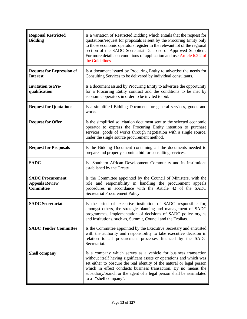| <b>Regional Restricted</b><br><b>Bidding</b>                         | Is a variation of Restricted Bidding which entails that the request for<br>quotations/request for proposals is sent by the Procuring Entity only<br>to those economic operators register in the relevant lot of the regional<br>section of the SADC Secretariat Database of Approved Suppliers.<br>For more details on conditions of application and use Article 6.2.2 of<br>the Guidelines. |
|----------------------------------------------------------------------|----------------------------------------------------------------------------------------------------------------------------------------------------------------------------------------------------------------------------------------------------------------------------------------------------------------------------------------------------------------------------------------------|
| <b>Request for Expression of</b><br><b>Interest</b>                  | Is a document issued by Procuring Entity to advertise the needs for<br>Consulting Services to be delivered by individual consultants.                                                                                                                                                                                                                                                        |
| <b>Invitation to Pre-</b><br>qualification                           | Is a document issued by Procuring Entity to advertise the opportunity<br>for a Procuring Entity contract and the conditions to be met by<br>economic operators in order to be invited to bid.                                                                                                                                                                                                |
| <b>Request for Quotations</b>                                        | Is a simplified Bidding Document for general services, goods and<br>works.                                                                                                                                                                                                                                                                                                                   |
| <b>Request for Offer</b>                                             | Is the simplified solicitation document sent to the selected economic<br>operator to express the Procuring Entity intention to purchase<br>services, goods of works through negotiation with a single source,<br>under the single source procurement method.                                                                                                                                 |
| <b>Request for Proposals</b>                                         | Is the Bidding Document containing all the documents needed to<br>prepare and properly submit a bid for consulting services.                                                                                                                                                                                                                                                                 |
| <b>SADC</b>                                                          | Is Southern African Development Community and its institutions<br>established by the Treaty                                                                                                                                                                                                                                                                                                  |
| <b>SADC Procurement</b><br><b>Appeals Review</b><br><b>Committee</b> | Is the Committee appointed by the Council of Ministers, with the<br>role and responsibility in handling the procurement appeals<br>procedures in accordance with the Article 42 of the SADC<br>Secretariat Procurement Policy.                                                                                                                                                               |
| <b>SADC Secretariat</b>                                              | Is the principal executive institution of SADC responsible for,<br>amongst others, the strategic planning and management of SADC<br>programmes, implementation of decisions of SADC policy organs<br>and institutions, such as, Summit, Council and the Troikas.                                                                                                                             |
| <b>SADC Tender Committee</b>                                         | Is the Committee appointed by the Executive Secretary and entrusted<br>with the authority and responsibility to take executive decision in<br>relation to all procurement processes financed by the SADC<br>Secretariat.                                                                                                                                                                     |
| <b>Shell company</b>                                                 | Is a company which serves as a vehicle for business transaction<br>without itself having significant assets or operations and which was<br>set either to obscure the real identity of the natural or legal person<br>which in effect conducts business transaction. By no means the<br>subsidiary/branch or the agent of a legal person shall be assimilated<br>to a "shell company".        |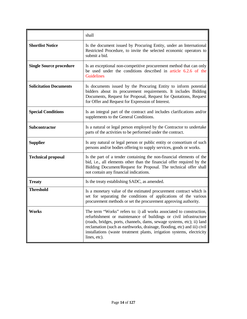|                                | shall                                                                                                                                                                                                                                                                                                                                                                                     |
|--------------------------------|-------------------------------------------------------------------------------------------------------------------------------------------------------------------------------------------------------------------------------------------------------------------------------------------------------------------------------------------------------------------------------------------|
| <b>Shortlist Notice</b>        | Is the document issued by Procuring Entity, under an International<br>Restricted Procedure, to invite the selected economic operators to<br>submit a bid.                                                                                                                                                                                                                                 |
| <b>Single Source procedure</b> | Is an exceptional non-competitive procurement method that can only<br>be used under the conditions described in article 6.2.6 of the<br><b>Guidelines</b>                                                                                                                                                                                                                                 |
| <b>Solicitation Documents</b>  | Is documents issued by the Procuring Entity to inform potential<br>bidders about its procurement requirements. It includes Bidding<br>Documents, Request for Proposal, Request for Quotations, Request<br>for Offer and Request for Expression of Interest.                                                                                                                               |
| <b>Special Conditions</b>      | Is an integral part of the contract and includes clarifications and/or<br>supplements to the General Conditions.                                                                                                                                                                                                                                                                          |
| Subcontractor                  | Is a natural or legal person employed by the Contractor to undertake<br>parts of the activities to be performed under the contract.                                                                                                                                                                                                                                                       |
| <b>Supplier</b>                | Is any natural or legal person or public entity or consortium of such<br>persons and/or bodies offering to supply services, goods or works.                                                                                                                                                                                                                                               |
| <b>Technical proposal</b>      | Is the part of a tender containing the non-financial elements of the<br>bid, i.e., all elements other than the financial offer required by the<br>Bidding Document/Request for Proposal. The technical offer shall<br>not contain any financial indications.                                                                                                                              |
| <b>Treaty</b>                  | Is the treaty establishing SADC, as amended.                                                                                                                                                                                                                                                                                                                                              |
| <b>Threshold</b>               | Is a monetary value of the estimated procurement contract which is<br>set for separating the conditions of applications of the various<br>procurement methods or set the procurement approving authority.                                                                                                                                                                                 |
| Works                          | The term "Works" refers to: i) all works associated to construction,<br>refurbishment or maintenance of buildings or civil infrastructure<br>(roads, bridges, ports, channels, dams, sewage systems, etc); ii) land<br>reclamation (such as earthworks, drainage, flooding, etc) and iii) civil<br>installations (waste treatment plants, irrigation systems, electricity<br>lines, etc). |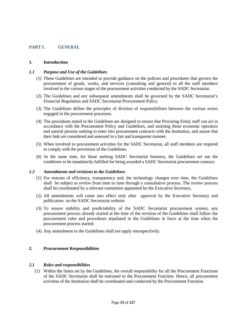#### <span id="page-14-0"></span>**PART I. GENERAL**

#### <span id="page-14-1"></span>**1. Introduction**

#### <span id="page-14-2"></span>*1.1 Purpose and Use of the Guidelines*

- (1) These Guidelines are intended to provide guidance on the policies and procedures that govern the procurement of goods, works, and services (consulting and general) to all the staff members involved in the various stages of the procurement activities conducted by the SADC Secretariat.
- (2) The Guidelines and any subsequent amendments shall be governed by the SADC Secretariat's Financial Regulation and SADC Secretariat Procurement Policy.
- (3) The Guidelines define the principles of division of responsibilities between the various actors engaged in the procurement processes.
- (4) The procedures stated in the Guidelines are designed to ensure that Procuring Entity staff can act in accordance with the Procurement Policy and Guidelines, and assisting those economic operators and natural persons seeking to enter into procurement contracts with the Institution, and assure that their bids are considered and assessed in a fair and transparent manner.
- (5) When involved in procurement activities for the SADC Secretariat, all staff members are required to comply with the provisions of the Guidelines.
- (6) At the same time, for those seeking SADC Secretariat business, the Guidelines set out the conditions to be mandatorily fulfilled for being awarded a SADC Secretariat procurement contract.

#### <span id="page-14-3"></span>*1.2 Amendments and revisions to the Guidelines*

- (1) For reasons of efficiency, transparency and, the technology changes over time, the Guidelines shall be subject to review from time to time through a consultative process. The review process shall be coordinated by a relevant committee appointed by the Executive Secretary,
- (2) All amendments will come into effect only after approval by the Executive Secretary and publication on the SADC Secretariat website.
- (3) To ensure stability and predictability of the SADC Secretariat procurement system, any procurement process already started at the time of the revision of the Guidelines shall follow the procurement rules and procedures stipulated in the Guidelines in force at the time when the procurement process started.
- (4) Any amendment to the Guidelines shall not apply retrospectively.

#### <span id="page-14-4"></span>**2. Procurement Responsibilities**

#### <span id="page-14-5"></span>*2.1 Roles and responsibilities*

(1) Within the limits set by the Guidelines, the overall responsibility for all the Procurement Functions of the SADC Secretariat shall be entrusted to the Procurement Function. Hence, all procurement activities of the Institution shall be coordinated and conducted by the Procurement Function.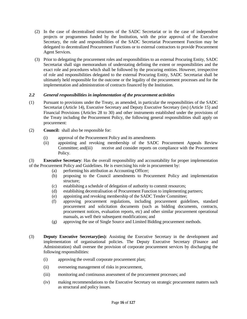- (2) In the case of decentralised structures of the SADC Secretariat or in the case of independent projects or programmes funded by the Institution, with the prior approval of the Executive Secretary, the role and responsibilities of the SADC Secretariat Procurement Function may be delegated to decentralized Procurement Functions or to external contractors to provide Procurement Agent Services.
- (3) Prior to delegating the procurement roles and responsibilities to an external Procuring Entity, SADC Secretariat shall sign memorandum of understating defining the extent or responsibilities and the exact role and procedures which shall be followed by the procuring entities. However, irrespective of role and responsibilities delegated to the external Procuring Entity, SADC Secretariat shall be ultimately held responsible for the outcome or the legality of the procurement processes and for the implementation and administration of contracts financed by the Institution.

# <span id="page-15-0"></span>*2.2 General responsibilities in implementation of the procurement activities*

- (1) Pursuant to provisions under the Treaty, as amended, in particular the responsibilities of the SADC Secretariat (Article 14), Executive Secretary and Deputy Executive Secretary (ies) (Article 15) and Financial Provisions (Articles 28 to 30) and other instruments established under the provisions of the Treaty including the Procurement Policy, the following general responsibilities shall apply on procurement:
- (2) **Council:** shall also be responsible for:
	- (i) approval of the Procurement Policy and its amendments
	- (ii) appointing and revoking membership of the SADC Procurement Appeals Review Committee; and(iii) receive and consider reports on compliance with the Procurement Policy.

(3) **Executive Secretary**: Has the overall responsibility and accountability for proper implementation of the Procurement Policy and Guidelines. He is exercising his role in procurement by:

- (a) performing his attribution as Accounting Officer;
- (b) proposing to the Council amendments to Procurement Policy and implementation structure;
- (c) establishing a schedule of delegation of authority to commit resources;
- (d) establishing decentralisation of Procurement Function to implementing partners;
- (e) appointing and revoking membership of the SADC Tender Committee;
- (f) approving procurement regulations, including procurement guidelines, standard procurement and solicitation documents (such as bidding documents, contracts, procurement notices, evaluation reports, etc) and other similar procurement operational manuals, as well their subsequent modifications; and
- (g) approving the use of Single Source and Limited Bidding procurement methods.
- (3) **Deputy Executive Secretary(ies):** Assisting the Executive Secretary in the development and implementation of organisational policies. The Deputy Executive Secretary (Finance and Administration) shall oversee the provision of corporate procurement services by discharging the following responsibilities:
	- (i) approving the overall corporate procurement plan;
	- (ii) overseeing management of risks in procurement,
	- (iii) monitoring and continuous assessment of the procurement processes; and
	- (iv) making recommendations to the Executive Secretary on strategic procurement matters such as structural and policy issues.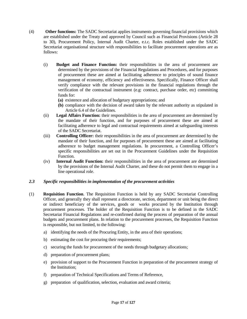- (4) **Other functions:** The SADC Secretariat applies instruments governing financial provisions which are established under the Treaty and approved by Council such as Financial Provisions (Article 28 to 30), Procurement Policy, Internal Audit Charter, e.t.c. Roles established under the SADC Secretariat organisational structure with responsibilities to facilitate procurement operations are as follows:
	- (i) **Budget and Finance Function:** their responsibilities in the area of procurement are determined by the provisions of the Financial Regulations and Procedures, and for purposes of procurement these are aimed at facilitating adherence to principles of sound finance management of economy, efficiency and effectiveness. Specifically, Finance Officer shall verify compliance with the relevant provisions in the financial regulations through the verification of the contractual instrument (e.g: contract, purchase order, etc) committing funds for:
		- **(a)** existence and allocation of budgetary appropriations; and
		- **(b)** compliance with the decision of award taken by the relevant authority as stipulated in Article 6.4 of the Guidelines.
	- (ii) **Legal Affairs Function:** their responsibilities in the area of procurement are determined by the mandate of their function, and for purposes of procurement these are aimed at facilitating adherence to legal and contractual requirements aimed at safeguarding interests of the SADC Secretariat.
	- (iii) **Controlling Officer:** their responsibilities in the area of procurement are determined by the mandate of their function, and for purposes of procurement these are aimed at facilitating adherence to budget management regulations. In procurement, a Controlling Officer's specific responsibilities are set out in the Procurement Guidelines under the Requisition Function.
	- (iv) **Internal Audit Function:** their responsibilities in the area of procurement are determined by the provisions of the Internal Audit Charter, and these do not permit them to engage in a line operational role.

# <span id="page-16-0"></span>*2.3 Specific responsibilities in implementation of the procurement activities*

- (1) **Requisition Function**. The Requisition Function is held by any SADC Secretariat Controlling Officer, and generally they shall represent a directorate, section, department or unit being the direct or indirect beneficiary of the services, goods or works procured by the Institution through procurement processes. The holder of the Requisition Function is to be defined in the SADC Secretariat Financial Regulations and re-confirmed during the process of preparation of the annual budgets and procurement plans. In relation to the procurement processes, the Requisition Function is responsible, but not limited, to the following:
	- a) identifying the needs of the Procuring Entity, in the area of their operations;
	- b) estimating the cost for procuring their requirements;
	- c) securing the funds for procurement of the needs through budgetary allocations;
	- d) preparation of procurement plans;
	- e) provision of support to the Procurement Function in preparation of the procurement strategy of the Institution;
	- f) preparation of Technical Specifications and Terms of Reference,
	- g) preparation of qualification, selection, evaluation and award criteria;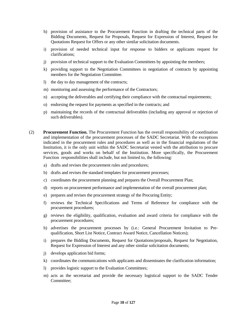- h) provision of assistance to the Procurement Function in drafting the technical parts of the Bidding Documents, Request for Proposals, Request for Expression of Interest, Request for Quotations Request for Offers or any other similar solicitation documents.
- i) provision of needed technical input for response to bidders or applicants request for clarifications;
- j) provision of technical support to the Evaluation Committees by appointing the members;
- k) providing support to the Negotiation Committees in negotiation of contracts by appointing members for the Negotiation Committee.
- l) the day to day management of the contracts;
- m) monitoring and assessing the performance of the Contractors;
- n) accepting the deliverables and certifying their compliance with the contractual requirements;
- o) endorsing the request for payments as specified in the contracts; and
- p) maintaining the records of the contractual deliverables (including any approval or rejection of such deliverables).
- (2) **Procurement Function.** The Procurement Function has the overall responsibility of coordination and implementation of the procurement processes of the SADC Secretariat. With the exceptions indicated in the procurement rules and procedures as well as in the financial regulations of the Institution, it is the only unit within the SADC Secretariat vested with the attribution to procure services, goods and works on behalf of the Institution. More specifically, the Procurement Function responsibilities shall include, but not limited to, the following:
	- a) drafts and revises the procurement rules and procedures;
	- b) drafts and revises the standard templates for procurement processes;
	- c) coordinates the procurement planning and prepares the Overall Procurement Plan;
	- d) reports on procurement performance and implementation of the overall procurement plan;
	- e) prepares and revises the procurement strategy of the Procuring Entity;
	- f) reviews the Technical Specifications and Terms of Reference for compliance with the procurement procedures;
	- g) reviews the eligibility, qualification, evaluation and award criteria for compliance with the procurement procedures;
	- h) advertises the procurement processes by (i.e.: General Procurement Invitation to Prequalification, Short List Notice, Contract Award Notice, Cancellation Notices);
	- i) prepares the Bidding Documents, Request for Quotations/proposals, Request for Negotiation, Request for Expression of Interest and any other similar solicitation documents;
	- j) develops application bid forms;
	- k) coordinates the communications with applicants and disseminates the clarification information;
	- l) provides logistic support to the Evaluation Committees;
	- m) acts as the secretariat and provide the necessary logistical support to the SADC Tender Committee;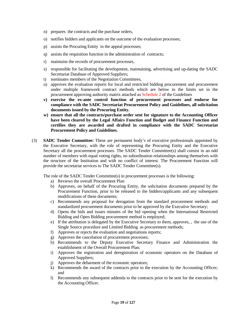- n) prepares the contracts and the purchase orders,
- o) notifies bidders and applicants on the outcome of the evaluation processes;
- p) assists the Procuring Entity in the appeal processes;
- q) assists the requisition function in the administration of contracts;
- r) maintains the records of procurement processes,
- s) responsible for facilitating the development, maintaining, advertising and up-dating the SADC Secretariat Database of Approved Suppliers;
- t) nominates members of the Negotiation Committees,
- u) approves the evaluation reports for local and restricted bidding procurement and procurement under multiple framework contract methods which are below in the limits set in the procurement approving authority matrix attached as Schedule 2 of the Guidelines
- **v) exercise the ex-ante control function of procurement processes and endorse for compliance with the SADC Secretariat Procurement Policy and Guidelines, all solicitation documents issued by the Procuring Entity.**
- **w) ensure that all the contracts/purchase order sent for signature to the Accounting Officer have been cleared by the Legal Affairs Function and Budget and Finance Function and certifies they are awarded and drafted in compliance with the SADC Secretariat Procurement Policy and Guidelines.**
- (3) **SADC Tender Committee:** These are permanent body's of executive professionals appointed by the Executive Secretary, with the role of representing the Procuring Entity and the Executive Secretary all the procurement processes. The SADC Tender Committee(s) shall consist in an odd number of members with equal voting rights, no subordination relationships among themselves with the structure of the Institution and with no conflict of interest. The Procurement Function will provide the secretariat services to The SADC Tender Committee(s).

The role of the SADC Tender Committee(s) in procurement processes is the following:

- a) Reviews the overall Procurement Plan
- b) Approves, on behalf of the Procuring Entity, the solicitation documents prepared by the Procurement Function, prior to be released to the bidders/applicants and any subsequent modifications of these documents;
- c) Recommends any proposal for derogation from the standard procurement methods and standardized procurement documents prior to be approved by the Executive Secretary;
- d) Opens the bids and issues minutes of the bid opening when the International Restricted Bidding and Open Bidding procurement method is employed;
- e) If the attribution is delegated by the Executive Secretary to them, approves, , the use of the Single Source procedure and Limited Bidding as procurement methods;
- f) Approves or rejects the evaluation and negotiations reports;
- g) Approves the cancelation of procurement processes;
- h) Recommends to the Deputy Executive Secretary Finance and Administration the establishment of the Overall Procurement Plan;
- i) Approves the registration and deregistration of economic operators on the Database of Approved Suppliers;
- j) Approves the debarment of the economic operators;
- k) Recommends the award of the contracts prior to the execution by the Accounting Officer; and
- l) Recommends any subsequent addenda to the contracts prior to be sent for the execution by the Accounting Officer.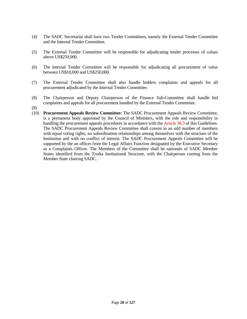- (4) The SADC Secretariat shall have two Tender Committees, namely the External Tender Committee and the Internal Tender Committee.
- (5) The External Tender Committee will be responsible for adjudicating tender processes of values above US\$250,000.
- (6) The Internal Tender Committee will be responsible for adjudicating all procurement of value between US\$10,000 and US\$250,000.
- (7) The External Tender Committee shall also handle bidders complaints and appeals for all procurement adjudicated by the Internal Tender Committee.
- (8) The Chairperson and Deputy Chairperson of the Finance Sub-Committee shall handle bid complaints and appeals for all procurement handled by the External Tender Committee.
- (9)
- (10) **Procurement Appeals Review Committee:** The SADC Procurement Appeals Review Committee, is a permanent body appointed by the Council of Ministers, with the role and responsibility in handling the procurement appeals procedures in accordance with the Article 36.3 of this Guidelines. The SADC Procurement Appeals Review Committee shall consist in an odd number of members with equal voting rights, no subordination relationships among themselves with the structure of the Institution and with no conflict of interest. The SADC Procurement Appeals Committee will be supported by the an officer from the Legal Affairs Function designated by the Executive Secretary as a Complaints Officer. The Members of the Committee shall be nationals of SADC Member States identified from the Troika Institutional Structure, with the Chairperson coming from the Member State chairing SADC.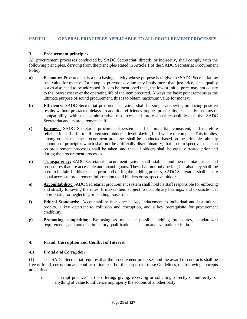# <span id="page-20-0"></span>**PART II. GENERAL PRINCIPLES APPLICABLE TO ALL PROCUREMENT PROCESSES**

# <span id="page-20-1"></span>**3. Procurement principles**

All procurement processes conducted by SADC Secretariat, directly or indirectly, shall comply with the following principles, deriving from the principles stated in Article 1 of the SADC Secretariat Procurement Policy:

- **a) Economy:** Procurement is a purchasing activity whose purpose is to give the SADC Secretariat the best value for money. For complex purchases, value may imply more than just price, since quality issues also need to be addressed. It is to be mentioned that , the lowest initial price may not equate to the lowest cost over the operating life of the item procured. Always the basic point remains as the ultimate purpose of sound procurement, this is to obtain maximum value for money.
- **b) Efficiency:** SADC Secretariat procurement system shall be simple and swift, producing positive results without protracted delays. In addition, efficiency implies practicality, especially in terms of compatibility with the administrative resources and professional capabilities of the SADC Secretariat and its procurement staff.
- **c) Fairness:** SADC Secretariat procurement system shall be impartial, consistent, and therefore reliable. It shall offer to all interested bidders a level playing field where to compete. This implies, among others, that the procurement processes shall be conducted based on the principles already announced, principles which shall not be artificially discriminatory, that no retrospective decision on procurement processes shall be taken, and that all bidders shall be equally treated prior and during the procurement processes.
- **d) Transparency:** SADC Secretariat procurement system shall establish and then maintain, rules and procedures that are accessible and unambiguous. They shall not only be fair, but also they shall be seen to be fair. In this respect, prior and during the bidding process, SADC Secretariat shall ensure equal access to procurement information to all bidders or prospective bidders.
- **e) Accountability:** SADC Secretariat procurement system shall hold its staff responsible for enforcing and strictly following the rules. It makes them subject to disciplinary hearings, and to sanction, if appropriate, for neglecting or bending those rules
- **f) Ethical Standards:**. Accountability is at once, a key inducement to individual and institutional probity, a key deterrent to collusion and corruption, and a key prerequisite for procurement credibility.
- **g) Promoting competition:** By using as much as possible bidding procedures, standardized requirements, and non discriminatory qualification, selection and evaluation criteria.

#### <span id="page-20-2"></span>**4. Fraud, Corruption and Conflict of Interest**

#### <span id="page-20-3"></span>*4.1. Fraud and Corruption*

(1) The SADC Secretariat requires that the procurement processes and the award of contracts shall be free of fraud, corruption and conflict of interest. For the purpose of these Guidelines, the following concepts are defined:

i. "corrupt practice" is the offering, giving, receiving or soliciting, directly or indirectly, of anything of value to influence improperly the actions of another party;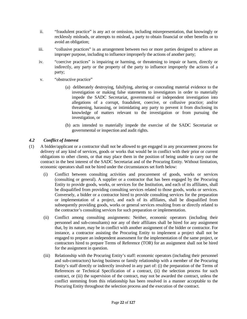- ii. "fraudulent practice" is any act or omission, including misrepresentation, that knowingly or recklessly misleads, or attempts to mislead, a party to obtain financial or other benefits or to avoid an obligation;
- iii. "collusive practices" is an arrangement between two or more parties designed to achieve an improper purpose, including to influence improperly the actions of another party;
- iv. "coercive practices" is impairing or harming, or threatening to impair or harm, directly or indirectly, any party or the property of the party to influence improperly the actions of a party;
- v. "obstructive practice"
	- (a) deliberately destroying, falsifying, altering or concealing material evidence to the investigation or making false statements to investigators in order to materially impede the SADC Secretariat, governmental or independent investigation into allegations of a corrupt, fraudulent, coercive, or collusive practice; and/or threatening, harassing, or intimidating any party to prevent it from disclosing its knowledge of matters relevant to the investigation or from pursuing the investigation, or
	- (b) acts intended to materially impede the exercise of the SADC Secretariat or governmental or inspection and audit rights.

# <span id="page-21-0"></span>*4.2 Conflict of Interest*

- (1) A bidder/applicant or a contractor shall not be allowed to get engaged in any procurement process for delivery of any kind of services, goods or works that would be in conflict with their prior or current obligations to other clients, or that may place them in the position of being unable to carry out the contract in the best interest of the SADC Secretariat and of the Procuring Entity. Without limitation, economic operators shall not be hired under the circumstances set forth below:
	- (i) Conflict between consulting activities and procurement of goods, works or services (consulting or general). A supplier or a contractor that has been engaged by the Procuring Entity to provide goods, works, or services for the Institution, and each of its affiliates, shall be disqualified from providing consulting services related to those goods, works or services. Conversely, a bidder or a contractor hired to provide consulting services for the preparation or implementation of a project, and each of its affiliates, shall be disqualified from subsequently providing goods, works or general services resulting from or directly related to the contractor's consulting services for such preparation or implementation.
	- (ii) Conflict among consulting assignments: Neither, economic operators (including their personnel and sub-consultants) nor any of their affiliates shall be hired for any assignment that, by its nature, may be in conflict with another assignment of the bidder or contractor. For instance, a contractor assisting the Procuring Entity to implement a project shall not be engaged to prepare an independent assessment for the implementation of the same project, or contractors hired to prepare Terms of Reference (TOR) for an assignment shall not be hired for the assignment in question.
	- (iii) Relationship with the Procuring Entity's staff: economic operators (including their personnel and sub-contractors) having business or family relationship with a member of the Procuring Entity's staff directly or indirectly involved in any part of: (i) the preparation of the Terms of References or Technical Specification of a contract, (ii) the selection process for such contract, or (iii) the supervision of the contract, may not be awarded the contract, unless the conflict stemming from this relationship has been resolved in a manner acceptable to the Procuring Entity throughout the selection process and the execution of the contract.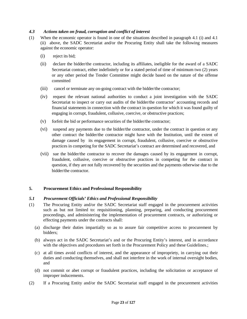# <span id="page-22-0"></span>*4.3 Actions taken on fraud, corruption and conflict of interest*

- (1) When the economic operator is found in one of the situations described in paragraph 4.1 (i) and 4.1 (ii) above, the SADC Secretariat and/or the Procuring Entity shall take the following measures against the economic operator:
	- (i) reject its bid;
	- (ii) declare the bidder/the contractor, including its affiliates, ineligible for the award of a SADC Secretariat contract, either indefinitely or for a stated period of time of minimum two (2) years or any other period the Tender Committee might decide based on the nature of the offense committed
	- (iii) cancel or terminate any on-going contract with the bidder/the contractor;
	- (iv) request the relevant national authorities to conduct a joint investigation with the SADC Secretariat to inspect or carry out audits of the bidder/the contractor' accounting records and financial statements in connection with the contract in question for which it was found guilty of engaging in corrupt, fraudulent, collusive, coercive, or obstructive practices;
	- (v) forfeit the bid or performance securities of the bidder/the contractor;
	- (vi) suspend any payments due to the bidder/the contractor, under the contract in question or any other contract the bidder/the contractor might have with the Institution, until the extent of damage caused by its engagement in corrupt, fraudulent, collusive, coercive or obstructive practices in competing for the SADC Secretariat's contract are determined and recovered, and
	- (vii) sue the bidder/the contractor to recover the damages caused by its engagement in corrupt, fraudulent, collusive, coercive or obstructive practices in competing for the contract in question, if they are not fully recovered by the securities and the payments otherwise due to the bidder/the contractor.

# <span id="page-22-1"></span>**5. Procurement Ethics and Professional Responsibility**

#### <span id="page-22-2"></span>*5.1 Procurement Officials' Ethics and Professional Responsibility*

- (1) The Procuring Entity and/or the SADC Secretariat staff engaged in the procurement activities such as but not limited to: requisitioning, planning, preparing, and conducting procurement proceedings, and administering the implementation of procurement contracts, or authorizing or effecting payments under the contracts shall:
	- (a) discharge their duties impartially so as to assure fair competitive access to procurement by bidders;
	- (b) always act in the SADC Secretariat's and or the Procuring Entity's interest, and in accordance with the objectives and procedures set forth in the Procurement Policy and these Guidelines.;
	- (c) at all times avoid conflicts of interest, and the appearance of impropriety, in carrying out their duties and conducting themselves, and shall not interfere in the work of internal oversight bodies, and
	- (d) not commit or abet corrupt or fraudulent practices, including the solicitation or acceptance of improper inducements.
- (2) If a Procuring Entity and/or the SADC Secretariat staff engaged in the procurement activities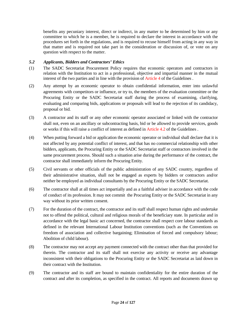benefits any pecuniary interest, direct or indirect, in any matter to be determined by him or any committee to which he is a member, he is required to declare the interest in accordance with the procedures set forth in the regulations, and is required to recuse himself from acting in any way in that matter and is required not take part in the consideration or discussion of, or vote on any question with respect to the matter.

# <span id="page-23-0"></span>*5.2 Applicants, Bidders and Contractors' Ethics*

- (1) The SADC Secretariat Procurement Policy requires that economic operators and contractors in relation with the Institution to act in a professional, objective and impartial manner in the mutual interest of the two parties and in line with the provision of Article 4 of the Guidelines .
- (2) Any attempt by an economic operator to obtain confidential information, enter into unlawful agreements with competitors or influence, or try to, the members of the evaluation committee or the Procuring Entity or the SADC Secretariat staff during the process of examining, clarifying, evaluating and comparing bids, applications or proposals will lead to the rejection of its candidacy, proposal or bid.
- (3) A contractor and its staff or any other economic operator associated or linked with the contractor shall not, even on an ancillary or subcontracting basis, bid or be allowed to provide services, goods or works if this will raise a conflict of interest as defined in Article 4.2 of the Guidelines .
- (4) When putting forward a bid or application the economic operator or individual shall declare that it is not affected by any potential conflict of interest, and that has no commercial relationship with other bidders, applicants, the Procuring Entity or the SADC Secretariat staff or contractors involved in the same procurement process. Should such a situation arise during the performance of the contract, the contractor shall immediately inform the Procuring Entity.
- (5) Civil servants or other officials of the public administration of any SADC country, regardless of their administrative situation, shall not be engaged as experts by bidders or contractors and/or neither be employed as individual consultants by the Procuring Entity or the SADC Secretariat.
- (6) The contractor shall at all times act impartially and as a faithful adviser in accordance with the code of conduct of its profession. It may not commit the Procuring Entity or the SADC Secretariat in any way without its prior written consent.
- (7) For the duration of the contract, the contractor and its staff shall respect human rights and undertake not to offend the political, cultural and religious morals of the beneficiary state. In particular and in accordance with the legal basic act concerned, the contractor shall respect core labour standards as defined in the relevant International Labour Institution conventions (such as the Conventions on freedom of association and collective bargaining; Elimination of forced and compulsory labour; Abolition of child labour).
- (8) The contractor may not accept any payment connected with the contract other than that provided for therein. The contractor and its staff shall not exercise any activity or receive any advantage inconsistent with their obligations to the Procuring Entity or the SADC Secretariat as laid down in their contract with the Institution.
- (9) The contractor and its staff are bound to maintain confidentiality for the entire duration of the contract and after its completion, as specified in the contract. All reports and documents drawn up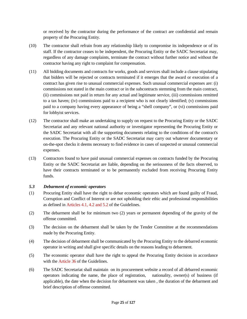or received by the contractor during the performance of the contract are confidential and remain property of the Procuring Entity.

- (10) The contractor shall refrain from any relationship likely to compromise its independence or of its staff. If the contractor ceases to be independent, the Procuring Entity or the SADC Secretariat may, regardless of any damage complaints, terminate the contract without further notice and without the contractor having any right to complaint for compensation.
- (11) All bidding documents and contracts for works, goods and services shall include a clause stipulating that bidders will be rejected or contracts terminated if it emerges that the award or execution of a contract has given rise to unusual commercial expenses. Such unusual commercial expenses are: (i) commissions not stated in the main contract or in the subcontracts stemming from the main contract, (ii) commissions not paid in return for any actual and legitimate service, (iii) commissions remitted to a tax haven; (iv) commissions paid to a recipient who is not clearly identified; (v) commissions paid to a company having every appearance of being a "shell company", or (vi) commissions paid for lobbyist services.
- (12) The contractor shall make an undertaking to supply on request to the Procuring Entity or the SADC Secretariat and any relevant national authority or investigator representing the Procuring Entity or the SADC Secretariat with all the supporting documents relating to the conditions of the contract's execution. The Procuring Entity or the SADC Secretariat may carry out whatever documentary or on-the-spot checks it deems necessary to find evidence in cases of suspected or unusual commercial expenses.
- (13) Contractors found to have paid unusual commercial expenses on contracts funded by the Procuring Entity or the SADC Secretariat are liable, depending on the seriousness of the facts observed, to have their contracts terminated or to be permanently excluded from receiving Procuring Entity funds.

# <span id="page-24-0"></span>*5.3 Debarment of economic operators*

- (1) Procuring Entity shall have the right to debar economic operators which are found guilty of Fraud, Corruption and Conflict of Interest or are not upholding their ethic and professional responsibilities as defined in Articles 4.1, 4.2 and 5.2 of the Guidelines.
- (2) The debarment shall be for minimum two (2) years or permanent depending of the gravity of the offense committed.
- (3) The decision on the debarment shall be taken by the Tender Committee at the recommendations made by the Procuring Entity.
- (4) The decision of debarment shall be communicated by the Procuring Entity to the debarred economic operator in writing and shall give specific details on the reasons leading to debarment.
- (5) The economic operator shall have the right to appeal the Procuring Entity decision in accordance with the Article 36 of the Guidelines.
- (6) The SADC Secretariat shall maintain on its procurement website a record of all debarred economic operators indicating the name, the place of registration, nationality, owner(s) of business (if applicable), the date when the decision for debarment was taken , the duration of the debarment and brief description of offense committed.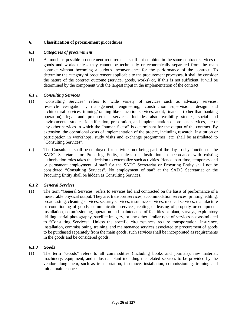# <span id="page-25-0"></span>**6. Classification of procurement procedures**

#### <span id="page-25-1"></span>*6.1 Categories of procurement*

(1) As much as possible procurement requirements shall not combine in the same contract services of goods and works unless they cannot be technically or economically separated from the main contract without becoming a serious inconvenience for the performance of the contract. To determine the category of procurement applicable to the procurement processes, it shall be consider the nature of the contract outcome (service, goods, works) or, if this is not sufficient, it will be determined by the component with the largest input in the implementation of the contract.

#### <span id="page-25-2"></span>*6.1.1 Consulting Services*

- (1) "Consulting Services" refers to wide variety of services such as advisory services; research/investigation , management; engineering; construction supervision; design and architectural services, training/training like education services, audit, financial (other than banking operation); legal and procurement services. Includes also feasibility studies, social and environmental studies; identification, preparation, and implementation of projects services, etc or any other services in which the "human factor" is determinant for the output of the contract. By extension, the operational costs of implementation of the project, including research, Institution or participation in workshops, study visits and exchange programmes, etc. shall be assimilated to "Consulting Services".
- (2) The Consultant shall be employed for activities not being part of the day to day function of the SADC Secretariat or Procuring Entity, unless the Institution in accordance with existing authorisation roles takes the decision to externalize such activities. Hence, part time, temporary and or permanent employment of staff for the SADC Secretariat or Procuring Entity shall not be considered "Consulting Services". No employment of staff at the SADC Secretariat or the Procuring Entity shall be hidden as Consulting Services.

#### <span id="page-25-3"></span>*6.1.2 General Services*

(1) The term "General Services" refers to services bid and contracted on the basis of performance of a measurable physical output. They are: transport services, accommodation services, printing, editing, broadcasting, cleaning services, security services, insurance services, medical services, manufacture or conditioning of goods, communication services, renting or leasing of property or equipment, installation, commissioning, operation and maintenance of facilities or plant, surveys, exploratory drilling, aerial photography, satellite imagery, or any other similar type of services not assimilated to "Consulting Services". Unless the specific circumstances require transportation, insurance, installation, commissioning, training, and maintenance services associated to procurement of goods to be purchased separately from the main goods, such services shall be incorporated as requirements in the goods and be considered goods.

#### <span id="page-25-4"></span>*6.1.3 Goods*

(1) The term "Goods" refers to all commodities (including books and journals), raw material, machinery, equipment, and industrial plant including the related services to be provided by the vendor along them, such as transportation, insurance, installation, commissioning, training and initial maintenance.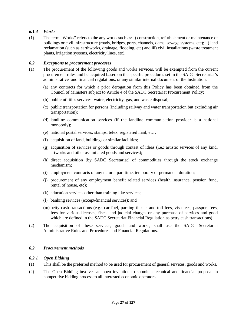# <span id="page-26-0"></span>*6.1.4 Works*

(1) The term "Works" refers to the any works such as: i) construction, refurbishment or maintenance of buildings or civil infrastructure (roads, bridges, ports, channels, dams, sewage systems, etc); ii) land reclamation (such as earthworks, drainage, flooding, etc) and iii) civil installations (waste treatment plants, irrigation systems, electricity lines, etc).

#### <span id="page-26-1"></span>*6.2 Exceptions to procurement processes*

- (1) The procurement of the following goods and works services, will be exempted from the current procurement rules and be acquired based on the specific procedures set in the SADC Secretariat's administrative and financial regulations, or any similar internal document of the Institution:
	- (a) any contracts for which a prior derogation from this Policy has been obtained from the Council of Ministers subject to Article 4 of the SADC Secretariat Procurement Policy;
	- (b) public utilities services: water, electricity, gas, and waste disposal;
	- (c) public transportation for persons (including railway and water transportation but excluding air transportation);
	- (d) landline communication services (if the landline communication provider is a national monopoly);
	- (e) national postal services: stamps, telex, registered mail, etc ;
	- (f) acquisition of land, buildings or similar facilities;
	- (g) acquisition of services or goods through contest of ideas (i.e.: artistic services of any kind, artworks and other assimilated goods and services);
	- (h) direct acquisition (by SADC Secretariat) of commodities through the stock exchange mechanism;
	- (i) employment contracts of any nature: part time, temporary or permanent duration;
	- (j) procurement of any employment benefit related services (health insurance, pension fund, rental of house, etc);
	- (k) education services other than training like services;
	- (l) banking services (except financial services); and
	- (m) petty cash transactions (e.g.: car fuel, parking tickets and toll fees, visa fees, passport fees, fees for various licenses, fiscal and judicial charges or any purchase of services and good which are defined in the SADC Secretariat Financial Regulation as petty cash transactions).
- (2) The acquisition of these services, goods and works, shall use the SADC Secretariat Administrative Rules and Procedures and Financial Regulations.

# <span id="page-26-2"></span>*6.2 Procurement methods*

#### <span id="page-26-3"></span>*6.2.1 Open Bidding*

- (1) This shall be the preferred method to be used for procurement of general services, goods and works.
- (2) The Open Bidding involves an open invitation to submit a technical and financial proposal in competitive bidding process to all interested economic operators.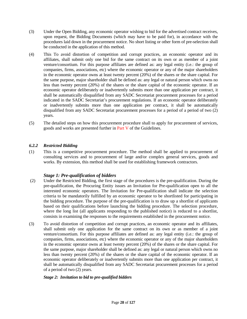- (3) Under the Open Bidding, any economic operator wishing to bid for the advertised contract receives, upon request, the Bidding Documents (which may have to be paid for), in accordance with the procedures laid down in the procurement notice. No short listing or other form of pre-selection shall be conducted in the application of this method.
- (4) This To avoid distortion of competition and corrupt practices, an economic operator and its affiliates, shall submit only one bid for the same contract on its own or as member of a joint venture/consortium. For this purpose affiliates are defined as: any legal entity (i.e.: the group of companies, firms, associations, etc) where the economic operator or any of the major shareholders in the economic operator owns at least twenty percent (20%) of the shares or the share capital. For the same purpose, major shareholder shall be defined as: any legal or natural person which owns no less than twenty percent (20%) of the shares or the share capital of the economic operator. If an economic operator deliberately or inadvertently submits more than one application per contract, it shall be automatically disqualified from any SADC Secretariat procurement processes for a period indicated in the SADC Secretariat's procurement regulations. If an economic operator deliberately or inadvertently submits more than one application per contract, it shall be automatically disqualified from any SADC Secretariat procurement processes for a period of a period of two (2) years.
- (5) The detailed steps on how this procurement procedure shall to apply for procurement of services, goods and works are presented further in Part V of the Guidelines.

# <span id="page-27-0"></span>*6.2.2 Restricted Bidding*

(1) This is a competitive procurement procedure. The method shall be applied to procurement of consulting services and to procurement of large and/or complex general services, goods and works. By extension, this method shall be used for establishing framework contractors.

# *Stage 1: Pre-qualification of bidders*

- (2) Under the Restricted Bidding, the first stage of the procedures is the pre-qualification. During the pre-qualification, the Procuring Entity issues an Invitation for Pre-qualification open to all the interested economic operators. The Invitation for Pre-qualification shall indicate the selection criteria to be mandatorily fulfilled by an economic operator to be shortlisted for participating in the bidding procedure. The purpose of the pre-qualification is to draw up a shortlist of applicants based on their qualifications before launching the bidding procedure. The selection procedure, where the long list (all applicants responding to the published notice) is reduced to a shortlist, consists in examining the responses to the requirements established in the procurement notice.
- (3) To avoid distortion of competition and corrupt practices, an economic operator and its affiliates, shall submit only one application for the same contract on its own or as member of a joint venture/consortium. For this purpose affiliates are defined as: any legal entity (i.e.: the group of companies, firms, associations, etc) where the economic operator or any of the major shareholders in the economic operator owns at least twenty percent (20%) of the shares or the share capital. For the same purpose, major shareholder shall be defined as: any legal or natural person which owns no less than twenty percent (20%) of the shares or the share capital of the economic operator. If an economic operator deliberately or inadvertently submits more than one application per contract, it shall be automatically disqualified from any SADC Secretariat procurement processes for a period of a period of two (2) years.

#### *Stage 2: Invitation to bid to pre-qualified bidders*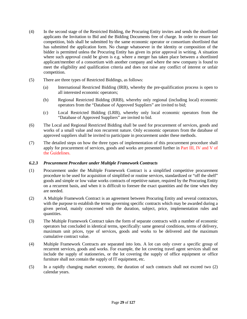- (4) In the second stage of the Restricted Bidding, the Procuring Entity invites and sends the shortlisted applicants the Invitation to Bid and the Bidding Documents free of charge. In order to ensure fair competition, bids shall be submitted by the same economic operator or consortium shortlisted that has submitted the application form. No change whatsoever in the identity or composition of the bidder is permitted unless the Procuring Entity has given its prior approval in writing. A situation where such approval could be given is e.g. where a merger has taken place between a shortlisted applicant/member of a consortium with another company and where the new company is found to meet the eligibility and qualification criteria and does not raise any conflict of interest or unfair competition.
- (5) There are three types of Restricted Biddings, as follows:
	- (a) International Restricted Bidding (IRB), whereby the pre-qualification process is open to all interested economic operators;
	- (b) Regional Restricted Bidding (RRB), whereby only regional (including local) economic operators from the "Database of Approved Suppliers" are invited to bid;
	- (c) Local Restricted Bidding (LRB), whereby only local economic operators from the "Database of Approved Suppliers" are invited to bid.
- (6) The Local and Regional Restricted Bidding shall be used for procurement of services, goods and works of a small value and non recurrent nature. Only economic operators from the database of approved suppliers shall be invited to participate in procurement under these methods.
- (7) The detailed steps on how the three types of implementation of this procurement procedure shall apply for procurement of services, goods and works are presented further in Part III, IV and V of the Guidelines.

#### <span id="page-28-0"></span>*6.2.3 Procurement Procedure under Multiple Framework Contracts*

- (1) Procurement under the Multiple Framework Contract is a simplified competitive procurement procedure to be used for acquisition of simplified or routine services, standardized or "off the shelf" goods and simple or low value works contracts of repetitive nature, required by the Procuring Entity on a recurrent basis, and when it is difficult to foresee the exact quantities and the time when they are needed.
- (2) A Multiple Framework Contract is an agreement between Procuring Entity and several contractors, with the purpose to establish the terms governing specific contracts which may be awarded during a given period, mainly concerned with the duration, subject, price, implementation rules and quantities.
- (3) The Multiple Framework Contract takes the form of separate contracts with a number of economic operators but concluded in identical terms, specifically: same general conditions, terms of delivery, maximum unit prices, type of services, goods and works to be delivered and the maximum cumulative contract value.
- (4) Multiple Framework Contracts are separated into lots. A lot can only cover a specific group of recurrent services, goods and works. For example, the lot covering travel agent services shall not include the supply of stationeries, or the lot covering the supply of office equipment or office furniture shall not contain the supply of IT equipment, etc.
- (5) In a rapidly changing market economy, the duration of such contracts shall not exceed two (2) calendar years.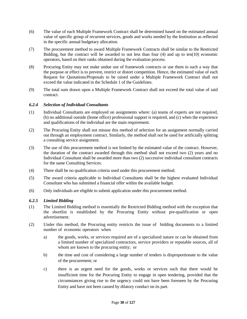- (6) The value of each Multiple Framework Contract shall be determined based on the estimated annual value of specific group of recurrent services, goods and works needed by the Institution as reflected in the specific annual budgetary allocation.
- (7) The procurement method to award Multiple Framework Contracts shall be similar to the Restricted Bidding, but the contract will be awarded to not less than four (4) and up to ten(10) economic operators, based on their ranks obtained during the evaluation process.
- (8) Procuring Entity may not make undue use of framework contracts or use them in such a way that the purpose or effect is to prevent, restrict or distort competition. Hence, the estimated value of each Request for Quotations/Proposals to be raised under a Multiple Framework Contract shall not exceed the value indicated in the Schedule 1 of the Guidelines.
- (9) The total sum drawn upon a Multiple Framework Contract shall not exceed the total value of said contract.

# <span id="page-29-0"></span>*6.2.4 Selection of Individual Consultants*

- (1) Individual Consultants are employed on assignments where: (a) teams of experts are not required, (b) no additional outside (home office) professional support is required, and (c) when the experience and qualifications of the individual are the main requirement.
- (2) The Procuring Entity shall not misuse this method of selection for an assignment normally carried out through an employment contract. Similarly, the method shall not be used for artificially splitting a consulting service assignment.
- (3) The use of this procurement method is not limited by the estimated value of the contract. However, the duration of the contract awarded through this method shall not exceed two (2) years and no Individual Consultant shall be awarded more than two (2) successive individual consultant contracts for the same Consulting Services.
- (4) There shall be no qualification criteria used under this procurement method.
- (5) The award criteria applicable to Individual Consultants shall be the highest evaluated Individual Consultant who has submitted a financial offer within the available budget.
- <span id="page-29-1"></span>(6) Only individuals are eligible to submit application under this procurement method.

# *6.2.5 Limited Bidding*

- (1) The Limited Bidding method is essentially the Restricted Bidding method with the exception that the shortlist is established by the Procuring Entity without pre-qualification or open advertisement.
- (2) Under this method, the Procuring entity restricts the issue of bidding documents to a limited number of economic operators when
	- a) the goods, works, or services required are of a specialized nature or can be obtained from a limited number of specialized contractors, service providers or reputable sources, all of whom are known to the procuring entity; or
	- b) the time and cost of considering a large number of tenders is disproportionate to the value of the procurement; or
	- c) there is an urgent need for the goods, works or services such that there would be insufficient time for the Procuring Entity to engage in open tendering, provided that the circumstances giving rise to the urgency could not have been foreseen by the Procuring Entity and have not been caused by dilatory conduct on its part.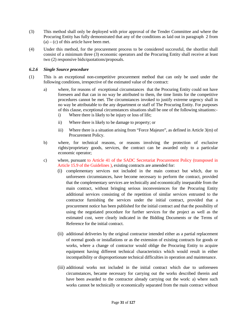- (3) This method shall only be deployed with prior approval of the Tender Committee and where the Procuring Entity has fully demonstrated that any of the conditions as laid out in paragraph 2 from  $(a) - (c)$  of this article have been met.
- (4) Under this method, for the procurement process to be considered successful, the shortlist shall consist of a minimum three (3) economic operators and the Procuring Entity shall receive at least two (2) responsive bids/quotations/proposals.

### <span id="page-30-0"></span>*6.2.6 Single Source procedure*

- (1) This is an exceptional non-competitive procurement method that can only be used under the following conditions, irrespective of the estimated value of the contract:
	- a) where, for reasons of exceptional circumstances that the Procuring Entity could not have foreseen and that can in no way be attributed to them, the time limits for the competitive procedures cannot be met. The circumstances invoked to justify extreme urgency shall in no way be attributable to the any department or staff of The Procuring Entity. For purposes of this clause, exceptional circumstances situations shall be one of the following situations:
		- i) Where there is likely to be injury or loss of life;
		- ii) Where there is likely to be damage to property; or
		- iii) Where there is a situation arising from "Force Majeure", as defined in Article 3(m) of Procurement Policy.
	- b) where, for technical reasons, or reasons involving the protection of exclusive rights/proprietary goods, services, the contract can be awarded only to a particular economic operator;
	- c) where, pursuant to Article 41 of the SADC Secretariat Procurement Policy (transposed in Article 15.9 of the Guidelines ), existing contracts are amended for:
		- (i) complementary services not included in the main contract but which, due to unforeseen circumstances, have become necessary to perform the contract, provided that the complementary services are technically and economically inseparable from the main contract, without bringing serious inconveniences for the Procuring Entity additional services consisting of the repetition of similar services entrusted to the contractor furnishing the services under the initial contract, provided that a procurement notice has been published for the initial contract and that the possibility of using the negotiated procedure for further services for the project as well as the estimated cost, were clearly indicated in the Bidding Documents or the Terms of Reference for the initial contract.
		- (ii) additional deliveries by the original contractor intended either as a partial replacement of normal goods or installations or as the extension of existing contracts for goods or works, where a change of contractor would oblige the Procuring Entity to acquire equipment having different technical characteristics which would result in either incompatibility or disproportionate technical difficulties in operation and maintenance.
		- (iii) additional works not included in the initial contract which due to unforeseen circumstances, became necessary for carrying out the works described therein and have been awarded to the contractor already carrying out the work: a) where such works cannot be technically or economically separated from the main contract without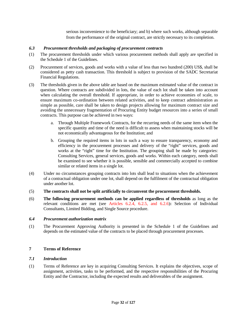serious inconvenience to the beneficiary; and b) where such works, although separable from the performance of the original contract, are strictly necessary to its completion.

### <span id="page-31-0"></span>*6.3 Procurement thresholds and packaging of procurement contracts*

- (1) The procurement thresholds under which various procurement methods shall apply are specified in the Schedule 1 of the Guidelines.
- (2) Procurement of services, goods and works with a value of less than two hundred (200) US\$, shall be considered as petty cash transaction. This threshold is subject to provision of the SADC Secretariat Financial Regulations.
- (3) The thresholds given in the above table are based on the maximum estimated value of the contract in question. Where contracts are subdivided in lots, the value of each lot shall be taken into account when calculating the overall threshold. If appropriate, in order to achieve economies of scale, to ensure maximum co-ordination between related activities, and to keep contract administration as simple as possible, care shall be taken to design projects allowing for maximum contract size and avoiding the unnecessary fragmentation of Procuring Entity budget resources into a series of small contracts. This purpose can be achieved in two ways:
	- a. Through Multiple Framework Contracts, for the recurring needs of the same item when the specific quantity and time of the need is difficult to assess when maintaining stocks will be not economically advantageous for the Institution; and
	- b. Grouping the required items in lots in such a way to ensure transparency, economy and efficiency in the procurement processes and delivery of the "right" services, goods and works at the "right" time for the Institution. The grouping shall be made by categories: Consulting Services, general services, goods and works. Within each category, needs shall be examined to see whether it is possible, sensible and commercially accepted to combine similar or related items in a single lot.
- (4) Under no circumstances grouping contracts into lots shall lead to situations when the achievement of a contractual obligation under one lot, shall depend on the fulfilment of the contractual obligation under another lot.
- (5) **The contracts shall not be split artificially to circumvent the procurement thresholds.**
- (6) **The following procurement methods can be applied regardless of thresholds** as long as the relevant conditions are met (see Articles 6.2.4, 6.2.5, and 6.2.6)**:** Selection of Individual Consultants, Limited Bidding, and Single Source procedure.

#### <span id="page-31-1"></span>*6.4 Procurement authorization matrix*

(1) The Procurement Approving Authority is presented in the Schedule 1 of the Guidelines and depends on the estimated value of the contracts to be placed through procurement processes.

# <span id="page-31-2"></span>**7 Terms of Reference**

### <span id="page-31-3"></span>*7.1 Introduction*

(1) Terms of Reference are key in acquiring Consulting Services. It explains the objectives, scope of assignment, activities, tasks to be performed, and the respective responsibilities of the Procuring Entity and the Contractor, including the expected results and deliverables of the assignment.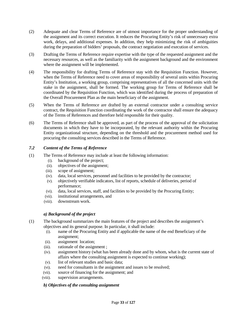- (2) Adequate and clear Terms of Reference are of utmost importance for the proper understanding of the assignment and its correct execution. It reduces the Procuring Entity's risk of unnecessary extra work, delays, and additional expenses. In addition, they help minimizing the risk of ambiguities during the preparation of bidders' proposals, the contract negotiation and execution of services.
- (3) Drafting the Terms of Reference require expertise with the type of the requested assignment and the necessary resources, as well as the familiarity with the assignment background and the environment where the assignment will be implemented.
- (4) The responsibility for drafting Terms of Reference stay with the Requisition Function. However, when the Terms of Reference need to cover areas of responsibility of several units within Procuring Entity's Institution, a working group, comprising representatives of all the concerned units with the stake in the assignment, shall be formed. The working group for Terms of Reference shall be coordinated by the Requisition Function, which was identified during the process of preparation of the Overall Procurement Plan as the main beneficiary of the assignment.
- (5) When the Terms of Reference are drafted by an external contractor under a consulting service contract, the Requisition Function coordinating the work of the contractor shall ensure the adequacy of the Terms of References and therefore held responsible for their quality.
- (6) The Terms of Reference shall be approved, as part of the process of the approval of the solicitation documents in which they have to be incorporated, by the relevant authority within the Procuring Entity organizational structure, depending on the threshold and the procurement method used for procuring the consulting services described in the Terms of Reference.

# <span id="page-32-0"></span>*7.2 Content of the Terms of Reference*

- (1) The Terms of Reference may include at least the following information:
	- (i). background of the project;
	- (ii). objectives of the assignment;
	- (iii). scope of assignment;
	- (iv). data, local services, personnel and facilities to be provided by the contractor;
	- (v). objectively verifiable indicators, list of reports, schedule of deliveries, period of performance;
	- (vi). data, local services, staff, and facilities to be provided by the Procuring Entity;
	- (vii). institutional arrangements, and
	- (viii). downstream work.

#### *a) Background of the project*

- (1) The background summarizes the main features of the project and describes the assignment's objectives and its general purpose. In particular, it shall include:
	- (i). name of the Procuring Entity and if applicable the name of the end Beneficiary of the assignment;
	- (ii). assignment location;
	- (iii). rationale of the assignment ;
	- (iv). assignment history (what has been already done and by whom, what is the current state of affairs where the consulting assignment is expected to continue working);
	- (v). list of relevant studies and basic data;
	- (vi). need for consultants in the assignment and issues to be resolved;
	- (vii). source of financing for the assignment; and
	- (viii). supervision arrangements.

#### *b) Objectives of the consulting assignment*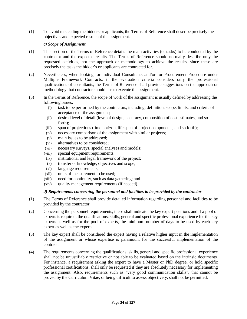(1) To avoid misleading the bidders or applicants, the Terms of Reference shall describe precisely the objectives and expected results of the assignment.

### *c) Scope of Assignment*

- (1) This section of the Terms of Reference details the main activities (or tasks) to be conducted by the **c**ontractor and the expected results. The Terms of Reference should normally describe only the requested activities, not the approach or methodology to achieve the results, since these are precisely the tasks the bidder's or applicants are contracted for.
- (2) Nevertheless, when looking for Individual Consultants and/or for Procurement Procedure under Multiple Framework Contracts, if the evaluation criteria considers only the professional qualifications of consultants, the Terms of Reference shall provide suggestions on the approach or methodology that contractor should use to execute the assignment.
- (3) In the Terms of Reference, the scope of work of the assignment is usually defined by addressing the following issues:
	- (i). task to be performed by the contractors, including: definition, scope, limits, and criteria of acceptance of the assignment;
	- (ii). desired level of detail (level of design, accuracy, composition of cost estimates, and so forth);
	- (iii). span of projections (time horizon, life span of project components, and so forth);
	- (iv). necessary comparison of the assignment with similar projects;
	- (v). main issues to be addressed;
	- (vi). alternatives to be considered;
	- (vii). necessary surveys, special analyses and models;
	- (viii). special equipment requirements;
	- (ix). institutional and legal framework of the project;
	- (x). transfer of knowledge, objectives and scope;
	- (xi). language requirements;
	- (xii). units of measurement to be used;
	- (xiii). need for continuity, such as data gathering; and
	- (xiv). quality management requirements (if needed).

#### *d) Requirements concerning the personnel and facilities to be provided by the contractor*

- (1) The Terms of Reference shall provide detailed information regarding personnel and facilities to be provided by the contractor.
- (2) Concerning the personnel requirements, these shall indicate the key expert positions and if a pool of experts is required, the qualifications, skills, general and specific professional experience for the key experts as well as for the pool of experts, the minimum number of days to be used by each key expert as well as the experts.
- (3) The key expert shall be considered the expert having a relative higher input in the implementation of the assignment or whose expertise is paramount for the successful implementation of the contract.
- (4) The requirements concerning the qualifications, skills, general and specific professional experience shall not be unjustifiably restrictive or not able to be evaluated based on the intrinsic documents. For instance, a requirement asking the expert to have a Master or PhD degree, or hold specific professional certifications, shall only be requested if they are absolutely necessary for implementing the assignment. Also, requirements such as "very good communication skills", that cannot be proved by the Curriculum Vitae, or being difficult to assess objectively, shall not be permitted.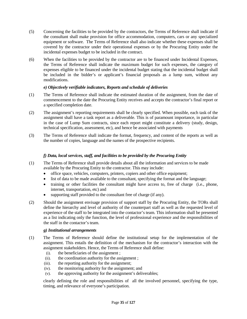- (5) Concerning the facilities to be provided by the contractors, the Terms of Reference shall indicate if the consultant shall make provision for office accommodation, computers, cars or any specialized equipment or software. The Terms of Reference shall also indicate whether these expenses shall be covered by the contractor under their operational expenses or by the Procuring Entity under the incidental expenses budget to be included in the contract.
- (6) When the facilities to be provided by the contractor are to be financed under Incidental Expenses, the Terms of Reference shall indicate the maximum budget for such expenses, the category of expenses eligible to be financed under the incidental budget stating that the incidental budget shall be included in the bidder's or applicant's financial proposals as a lump sum, without any modifications.

# *e) Objectively verifiable indicators, Reports and schedule of deliveries*

- (1) The Terms of Reference shall indicate the estimated duration of the assignment, from the date of commencement to the date the Procuring Entity receives and accepts the contractor's final report or a specified completion date.
- (2) The assignment's reporting requirements shall be clearly specified. When possible, each task of the assignment shall have a task report as a deliverable. This is of paramount importance, in particular in the case of Lump Sum contracts, since each report might constitute a delivery (study, design, technical specification, assessment, etc), and hence be associated with payments
- (3) The Terms of Reference shall indicate the format, frequency, and content of the reports as well as the number of copies, language and the names of the prospective recipients.

# *f) Data, local services, staff, and facilities to be provided by the Procuring Entity*

- (1) The Terms of Reference shall provide details about all the information and services to be made available by the Procuring Entity to the contractor. This may include:
	- office space, vehicles, computers, printers, copiers and other office equipment;
	- list of data to be made available to the consultant, specifying the format and the language;
	- training or other facilities the consultant might have access to, free of charge (i.e., phone, internet, transportation, etc) and
	- supporting staff provided to the consultant free of charge (if any).
- (2) Should the assignment envisage provision of support staff by the Procuring Entity, the TORs shall define the hierarchy and level of authority of the counterpart staff as well as the requested level of experience of the staff to be integrated into the contactor's team. This information shall be presented as a list indicating only the function, the level of professional experience and the responsibilities of the staff in the contactor's team.

#### *g) Institutional arrangements*

- (1) The Terms of Reference should define the institutional setup for the implementation of the assignment. This entails the definition of the mechanism for the contractor's interaction with the assignment stakeholders. Hence, the Terms of Reference shall define:
	- (i). the beneficiaries of the assignment ;
	- (ii). the coordination authority for the assignment ;
	- (iii). the reporting authority for the assignment;
	- (iv). the monitoring authority for the assignment; and
	- (v). the approving authority for the assignment's deliverables;

clearly defining the role and responsibilities of all the involved personnel, specifying the type, timing, and relevance of everyone's participation.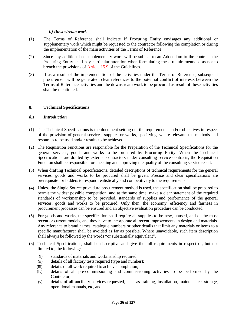#### *h) Downstream work*

- (1) The Terms of Reference shall indicate if Procuring Entity envisages any additional or supplementary work which might be requested to the contractor following the completion or during the implementation of the main activities of the Terms of Reference.
- (2) Since any additional or supplementary work will be subject to an Addendum to the contract, the Procuring Entity shall pay particular attention when formulating these requirements so as not to breach the provisions of Article 15.9 of the Guidelines.
- (3) If as a result of the implementation of the activities under the Terms of Reference, subsequent procurement will be generated, clear references to the potential conflict of interests between the Terms of Reference activities and the downstream work to be procured as result of these activities shall be mentioned.

#### <span id="page-35-0"></span>**8. Technical Specifications**

#### <span id="page-35-1"></span>*8.1 Introduction*

- (1) The Technical Specifications is the document setting out the requirements and/or objectives in respect of the provision of general services, supplies or works, specifying, where relevant, the methods and resources to be used and/or results to be achieved.
- (2) The Requisition Functions are responsible for the Preparation of the Technical Specifications for the general services, goods and works to be procured by Procuring Entity. When the Technical Specifications are drafted by external contractors under consulting service contracts, the Requisition Function shall be responsible for checking and approving the quality of the consulting service result.
- (3) When drafting Technical Specifications, detailed descriptions of technical requirements for the general services, goods and works to be procured shall be given. Precise and clear specifications are prerequisite for bidders to respond realistically and competitively to the requirements.
- (4) Unless the Single Source procedure procurement method is used, the specification shall be prepared to permit the widest possible competition, and at the same time, make a clear statement of the required standards of workmanship to be provided, standards of supplies and performance of the general services, goods and works to be procured. Only then, the economy, efficiency and fairness in procurement processes can be ensured and an objective evaluation procedure can be conducted.
- (5) For goods and works, the specification shall require all supplies to be new, unused, and of the most recent or current models, and they have to incorporate all recent improvements in design and materials. Any reference to brand names, catalogue numbers or other details that limit any materials or items to a specific manufacturer shall be avoided as far as possible. Where unavoidable, such item description shall always be followed by the words "or substantially equivalent".
- (6) Technical Specifications, shall be descriptive and give the full requirements in respect of, but not limited to, the following:
	- (i). standards of materials and workmanship required;
	- (ii). details of all factory tests required (type and number);
	- (iii). details of all work required to achieve completion;
	- (iv). details of all pre-commissioning and commissioning activities to be performed by the Contractor;
	- (v). details of all ancillary services requested, such as training, installation, maintenance, storage, operational manuals, etc, and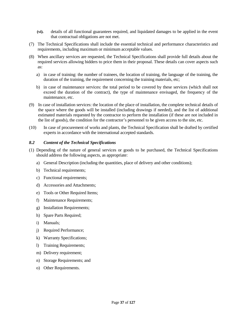- **(vi).** details of all functional guarantees required, and liquidated damages to be applied in the event that contractual obligations are not met.
- (7) The Technical Specifications shall include the essential technical and performance characteristics and requirements, including maximum or minimum acceptable values.
- (8) When ancillary services are requested, the Technical Specifications shall provide full details about the required services allowing bidders to price them in their proposal. These details can cover aspects such as:
	- a) in case of training: the number of trainees, the location of training, the language of the training, the duration of the training, the requirement concerning the training materials, etc;
	- b) in case of maintenance services: the total period to be covered by these services (which shall not exceed the duration of the contract), the type of maintenance envisaged, the frequency of the maintenance, etc.
- (9) In case of installation services: the location of the place of installation, the complete technical details of the space where the goods will be installed (including drawings if needed), and the list of additional estimated materials requested by the contractor to perform the installation (if these are not included in the list of goods), the condition for the contractor's personnel to be given access to the site, etc.
- (10) In case of procurement of works and plants, the Technical Specification shall be drafted by certified experts in accordance with the international accepted standards.

# *8.2 Content of the Technical Specifications*

- (1) Depending of the nature of general services or goods to be purchased, the Technical Specifications should address the following aspects, as appropriate:
	- a) General Description (including the quantities, place of delivery and other conditions);
	- b) Technical requirements;
	- c) Functional requirements;
	- d) Accessories and Attachments;
	- e) Tools or Other Required Items;
	- f) Maintenance Requirements;
	- g) Installation Requirements;
	- h) Spare Parts Required;
	- i) Manuals;
	- j) Required Performance;
	- k) Warranty Specifications;
	- l) Training Requirements;
	- m) Delivery requirement;
	- n) Storage Requirements; and
	- o) Other Requirements.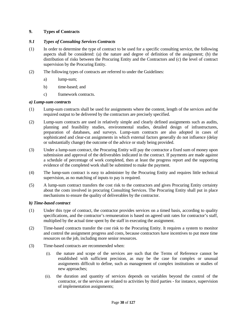# **9. Types of Contracts**

# *9.1 Types of Consulting Services Contracts*

- (1) In order to determine the type of contract to be used for a specific consulting service, the following aspects shall be considered: (a) the nature and degree of definition of the assignment; (b) the distribution of risks between the Procuring Entity and the Contractors and (c) the level of contract supervision by the Procuring Entity.
- (2) The following types of contracts are referred to under the Guidelines:
	- a) lump-sum;
	- b) time-based; and
	- c) framework contracts.

# *a) Lump-sum contracts*

- (1) Lump-sum contracts shall be used for assignments where the content, length of the services and the required output to be delivered by the contractors are precisely specified.
- (2) Lump-sum contracts are used in relatively simple and clearly defined assignments such as audits, planning and feasibility studies, environmental studies, detailed design of infrastructures, preparation of databases, and surveys. Lump-sum contracts are also adopted in cases of sophisticated and clear-cut assignments in which external factors generally do not influence (delay or substantially change) the outcome of the advice or study being provided.
- (3) Under a lump-sum contract, the Procuring Entity will pay the contractor a fixed sum of money upon submission and approval of the deliverables indicated in the contract. If payments are made against a schedule of percentage of work completed, then at least the progress report and the supporting evidence of the completed work shall be submitted to make the payment.
- (4) The lump-sum contract is easy to administer by the Procuring Entity and requires little technical supervision, as no matching of inputs to pay is required.
- (5) A lump-sum contract transfers the cost risk to the contractors and gives Procuring Entity certainty about the costs involved in procuring Consulting Services. The Procuring Entity shall put in place mechanisms to ensure the quality of deliverables by the contractor.

# *b) Time-based contract*

- (1) Under this type of contract, the contractor provides services on a timed basis, according to quality specifications, and the contractor's remuneration is based on agreed unit rates for contractor's staff, multiplied by the actual time spent by the staff in executing the assignment.
- (2) Time-based contracts transfer the cost risk to the Procuring Entity. It requires a system to monitor and control the assignment progress and costs, because contractors have incentives to put more time resources on the job, including more senior resources.
- (3) Time-based contracts are recommended when:
	- (i). the nature and scope of the services are such that the Terms of Reference cannot be established with sufficient precision, as may be the case for complex or unusual assignments difficult to define, such as management of complex institutions or studies of new approaches;
	- (ii). the duration and quantity of services depends on variables beyond the control of the contractor, or the services are related to activities by third parties - for instance, supervision of implementation assignments;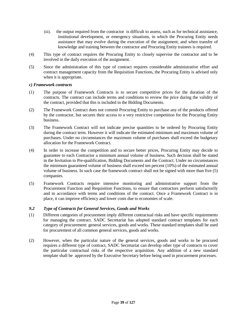- (iii). the output required from the contractor is difficult to assess, such as for technical assistance, institutional development, or emergency situations, in which the Procuring Entity needs assistance that may evolve during the execution of the assignment; and when transfer of knowledge and training between the contractor and Procuring Entity trainees is required.
- (4) This type of contract requires the Procuring Entity to closely supervise the contractor and to be involved in the daily execution of the assignment.
- (5) Since the administration of this type of contract requires considerable administrative effort and contract management capacity from the Requisition Functions, the Procuring Entity is advised only when it is appropriate.

#### *c) Framework contracts*

- (1) The purpose of Framework Contracts is to secure competitive prices for the duration of the contracts. The contract can include terms and conditions to review the price during the validity of the contract, provided that this is included in the Bidding Documents.
- (2) The Framework Contract does not commit Procuring Entity to purchase any of the products offered by the contractor, but secures their access to a very restrictive competition for the Procuring Entity business.
- (3) The Framework Contract will not indicate precise quantities to be ordered by Procuring Entity during the contract term. However it will indicate the estimated minimum and maximum volume of purchases. Under no circumstances the maximum volume of purchases shall exceed the budgetary allocation for the Framework Contract.
- (4) In order to increase the competition and to secure better prices, Procuring Entity may decide to guarantee to each Contractor a minimum annual volume of business. Such decision shall be stated in the Invitation to Pre-qualification, Bidding Documents and the Contract. Under no circumstances the minimum guaranteed volume of business shall exceed ten percent (10%) of the estimated annual volume of business. In such case the framework contract shall not be signed with more than five (5) companies.
- (5) Framework Contracts require intensive monitoring and administrative support from the Procurement Function and Requisition Functions, to ensure that contractors perform satisfactorily and in accordance with terms and conditions of the contract. Once a Framework Contract is in place, it can improve efficiency and lower costs due to economies of scale.

# *9.2 Type of Contracts for General Services, Goods and Works*

- (1) Different categories of procurement imply different contractual risks and have specific requirements for managing the contract. SADC Secretariat has adopted standard contract templates for each category of procurement: general services, goods and works. These standard templates shall be used for procurement of all common general services, goods and works.
- (2) However, when the particular nature of the general services, goods and works to be procured requires a different type of contract, SADC Secretariat can develop other type of contracts to cover the particular contractual risks of the respective acquisition. Any addition of a new standard template shall be approved by the Executive Secretary before being used in procurement processes.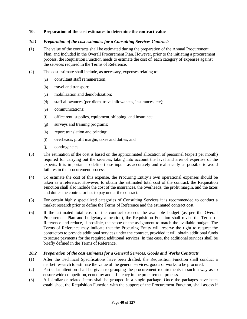# **10. Preparation of the cost estimates to determine the contract value**

# *10.1 Preparation of the cost estimates for a Consulting Services Contracts*

- (1) The value of the contracts shall be estimated during the preparation of the Annual Procurement Plan, and Included in the Overall Procurement Plan. However, prior to the initiating a procurement process, the Requisition Function needs to estimate the cost of each category of expenses against the services required in the Terms of Reference.
- (2) The cost estimate shall include, as necessary, expenses relating to:
	- (a) consultant staff remuneration;
	- (b) travel and transport;
	- (c) mobilization and demobilization;
	- (d) staff allowances (per-diem, travel allowances, insurances, etc);
	- (e) communications;
	- (f) office rent, supplies, equipment, shipping, and insurance;
	- (g) surveys and training programs;
	- (h) report translation and printing;
	- (i) overheads, profit margin, taxes and duties; and
	- (j) contingencies.
- (3) The estimation of the cost is based on the approximated allocation of personnel (expert per month) required for carrying out the services, taking into account the level and area of expertise of the experts. It is important to define these inputs as accurately and realistically as possible to avoid failures in the procurement process.
- (4) To estimate the cost of this expense, the Procuring Entity's own operational expenses should be taken as a reference. However, to obtain the estimated total cost of the contract, the Requisition Function shall also include the cost of the insurances, the overheads, the profit margin, and the taxes and duties the contractor has to pay under the contract.
- (5) For certain highly specialized categories of Consulting Services it is recommended to conduct a market research prior to define the Terms of Reference and the estimated contract cost.
- (6) If the estimated total cost of the contract exceeds the available budget (as per the Overall Procurement Plan and budgetary allocation), the Requisition Function shall revise the Terms of Reference and reduce, if possible, the scope of the assignment to match the available budget. The Terms of Reference may indicate that the Procuring Entity will reserve the right to request the contractors to provide additional services under the contract, provided it will obtain additional funds to secure payments for the required additional services. In that case, the additional services shall be briefly defined in the Terms of Reference.

#### *10.2 Preparation of the cost estimates for a General Services, Goods and Works Contracts*

- (1) After the Technical Specifications have been drafted, the Requisition Function shall conduct a market research to estimate the value of the general services, goods or works to be procured.
- (2) Particular attention shall be given to grouping the procurement requirements in such a way as to ensure wide competition, economy and efficiency in the procurement process.
- (3) All similar or related items shall be grouped in a single package. Once the packages have been established, the Requisition Function with the support of the Procurement Function, shall assess if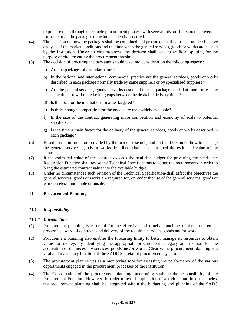to procure them through one single procurement process with several lots, or if it is more convenient for some or all the packages to be independently procured.

- (4) The decision on how the packages shall be combined and procured, shall be based on the objective analysis of the market conditions and the time when the general services, goods or works are needed by the Institution. Under no circumstances, the decision shall lead to artificial splitting for the purpose of circumventing the procurement thresholds.
- (5) The decision of procuring the packages should take into consideration the following aspects:
	- a) Are the packages of a similar nature?
	- b) In the national and international commercial practice are the general services, goods or works described in each package normally trade by same suppliers or by specialized suppliers?
	- c) Are the general services, goods or works described in each package needed at more or less the same time, or will there be long gaps between the desirable delivery times?
	- d) Is the local or the international market targeted?
	- e) Is there enough competition for the goods; are they widely available?
	- f) Is the size of the contract generating more competition and economy of scale to potential suppliers?
	- g) Is the time a main factor for the delivery of the general services, goods or works described in each package?
- (6) Based on the information provided by the market research, and on the decision on how to package the general services, goods or works described, shall be determined the estimated value of the contract.
- (7) If the estimated value of the contract exceeds the available budget for procuring the needs, the Requisition Function shall revise the Technical Specifications to adjust the requirements in order to bring the estimated contract value into the available budget.
- (8) Under no circumstances such revision of the Technical Specification shall affect the objectives the general services, goods or works are required for, or render the use of the general services, goods or works useless, unreliable or unsafe.

#### **11. Procurement Planning**

# *11.1 Responsibility*

#### *11.1.1 Introduction*

- (1) Procurement planning is essential for the effective and timely launching of the procurement processes, award of contracts and delivery of the required services, goods and/or works.
- (2) Procurement planning also enables the Procuring Entity to better manage its resources to obtain value for money, by identifying the appropriate procurement category and method for the acquisition of the necessary services, goods and/or works. Clearly, the procurement planning is a vital and mandatory function of the SADC Secretariat procurement system.
- (3) The procurement plan serves as a monitoring tool for assessing the performance of the various departments engaged in the procurement processes of the Institution.
- (4) The Coordination of the procurement planning functioning shall be the responsibility of the Procurement Function. However, in order to avoid duplication of activities and inconsistencies, the procurement planning shall be integrated within the budgeting and planning of the SADC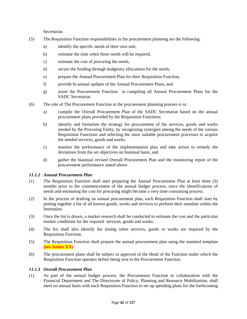Secretariat.

- (5) The Requisition Function responsibilities in the procurement planning are the following:
	- a) identify the specific needs of their own unit,
	- b) estimate the time when these needs will be required,
	- c) estimate the cost of procuring the needs,
	- d) secure the funding through budgetary allocations for the needs,
	- e) prepare the Annual Procurement Plan for their Requisition Function,
	- f) provide bi-annual updates of the Annual Procurement Plans, and
	- g) assist the Procurement Function in compiling all Annual Procurement Plans for the SADC Secretariat.
- (6) The role of The Procurement Function in the procurement planning process is to:
	- a) compile the Overall Procurement Plan of the SADC Secretariat based on the annual procurement plans provided by the Requisition Functions;
	- b) identify and formulate the strategy for procurement of the services, goods and works needed by the Procuring Entity, by recognizing synergies among the needs of the various Requisition Functions and selecting the most suitable procurement processes to acquire the needed services, goods and works.
	- c) monitor the performance of the implementation plan and take action to remedy the deviations from the set objectives on biannual basis, and
	- d) gather the biannual revised Overall Procurement Plan and the monitoring report of the procurement performance stated above.

# *11.1.2 Annual Procurement Plan*

- (1) The Requisition Function shall start preparing the Annual Procurement Plan at least three (3) months prior to the commencement of the annual budget process, since the identifications of needs and estimating the cost for procuring might become a very time consuming process.
- (2) In the process of drafting an annual procurement plan, each Requisition Function shall start by putting together a list of all known goods, works and services to perform their mandate within the Institution.
- (3) Once the list is drawn, a market research shall be conducted to estimate the cost and the particular market conditions for the required services, goods and works.
- (4) The list shall also identify the timing when services, goods or works are required by the Requisition Function.
- (5) The Requisition Function shall prepare the annual procurement plan using the standard template **(see Annex XX).**
- (6) The procurement plans shall be subject to approval of the Head of the Function under which the Requisition Function operates before being sent to the Procurement Function.

# *11.1.3 Overall Procurement Plan*

(1) As part of the annual budget process, the Procurement Function in collaboration with the Financial Department and The Directorate of Policy, Planning and Resource Mobilization, shall meet on annual basis with each Requisition Function to set up spending plans for the forthcoming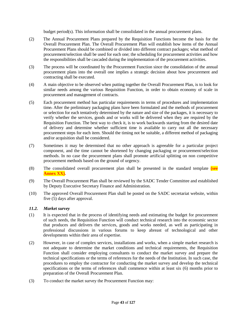budget period(s). This information shall be consolidated in the annual procurement plans.

- (2) The Annual Procurement Plans prepared by the Requisition Functions become the basis for the Overall Procurement Plan. The Overall Procurement Plan will establish how items of the Annual Procurement Plans should be combined or divided into different contract packages; what method of procurement/selection shall be used for each one; the scheduling for procurement activities and how the responsibilities shall be cascaded during the implementation of the procurement activities.
- (3) The process will be coordinated by the Procurement Function since the consolidation of the annual procurement plans into the overall one implies a strategic decision about how procurement and contracting shall be executed.
- (4) A main objective to be observed when putting together the Overall Procurement Plan, is to look for similar needs among the various Requisition Function, in order to obtain economy of scale in procurement and management of contracts.
- (5) Each procurement method has particular requirements in terms of procedures and implementation time. After the preliminary packaging plans have been formulated and the methods of procurement or selection for each tentatively determined by the nature and size of the packages, it is necessary to verify whether the services, goods and or works will be delivered when they are required by the Requisition Function. The best way to check it, is to work backwards starting from the desired date of delivery and determine whether sufficient time is available to carry out all the necessary procurement steps for each item. Should the timing not be suitable, a different method of packaging and/or acquisition shall be considered.
- (7) Sometimes it may be determined that no other approach is agreeable for a particular project component, and the time cannot be shortened by changing packaging or procurement/selection methods. In no case the procurement plans shall promote artificial splitting on non competitive procurement methods based on the ground of urgency.
- (8) The consolidated overall procurement plan shall be presented in the standard template **(see Annex XX).**
- (9) The Overall Procurement Plan shall be reviewed by the SADC Tender Committee and established by Deputy Executive Secretary Finance and Administration.
- (10) The approved Overall Procurement Plan shall be posted on the SADC secretariat website, within five (5) days after approval.

# *11.2. Market survey*

- (1) It is expected that in the process of identifying needs and estimating the budget for procurement of such needs, the Requisition Function will conduct technical research into the economic sector that produces and delivers the services, goods and works needed, as well as participating in professional discussions in various forums to keep abreast of technological and other developments within their area of expertise.
- (2) However, in case of complex services, installations and works, when a simple market research is not adequate to determine the market conditions and technical requirements, the Requisition Function shall consider employing consultants to conduct the market survey and prepare the technical specifications or the terms of references for the needs of the Institution. In such case, the procedures to employ the contractor for conducting the market survey and develop the technical specifications or the terms of references shall commence within at least six (6) months prior to preparation of the Overall Procurement Plan.
- (3) To conduct the market survey the Procurement Function may: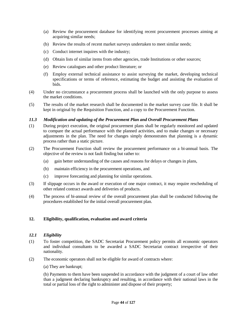- (a) Review the procurement database for identifying recent procurement processes aiming at acquiring similar needs;
- (b) Review the results of recent market surveys undertaken to meet similar needs;
- (c) Conduct internet inquires with the industry;
- (d) Obtain lists of similar items from other agencies, trade Institutions or other sources;
- (e) Review catalogues and other product literature; or
- (f) Employ external technical assistance to assist surveying the market, developing technical specifications or terms of reference, estimating the budget and assisting the evaluation of bids.
- (4) Under no circumstance a procurement process shall be launched with the only purpose to assess the market conditions.
- (5) The results of the market research shall be documented in the market survey case file. It shall be kept in original by the Requisition Function, and a copy to the Procurement Function.

# *11.3 Modification and updating of the Procurement Plan and Overall Procurement Plans*

- (1) During project execution, the original procurement plans shall be regularly monitored and updated to compare the actual performance with the planned activities, and to make changes or necessary adjustments in the plan. The need for changes simply demonstrates that planning is a dynamic process rather than a static picture.
- (2) The Procurement Function shall review the procurement performance on a bi-annual basis. The objective of the review is not fault finding but rather to:
	- (a) gain better understanding of the causes and reasons for delays or changes in plans,
	- (b) maintain efficiency in the procurement operations, and
	- (c) improve forecasting and planning for similar operations.
- (3) If slippage occurs in the award or execution of one major contract, it may require rescheduling of other related contract awards and deliveries of products.
- (4) The process of bi-annual review of the overall procurement plan shall be conducted following the procedures established for the initial overall procurement plan.

# **12. Eligibility, qualification, evaluation and award criteria**

# *12.1 Eligibility*

- (1) To foster competition, the SADC Secretariat Procurement policy permits all economic operators and individual consultants to be awarded a SADC Secretariat contract irrespective of their nationality.
- (2) The economic operators shall not be eligible for award of contracts where:

(a) They are bankrupt;

(b) Payments to them have been suspended in accordance with the judgment of a court of law other than a judgment declaring bankruptcy and resulting, in accordance with their national laws in the total or partial loss of the right to administer and dispose of their property;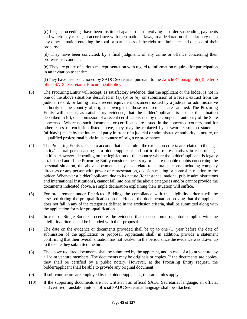(c) Legal proceedings have been instituted against them involving an order suspending payments and which may result, in accordance with their national laws, in a declaration of bankruptcy or in any other situation entailing the total or partial loss of the right to administer and dispose of their property;

(d) They have been convicted, by a final judgment, of any crime or offence concerning their professional conduct;

(e) They are guilty of serious misrepresentation with regard to information required for participation in an invitation to tender;

(f)They have been sanctioned by SADC Secretariat pursuant to the Article 48 paragraph (3) letter b of the SADC Secretariat Procurement Policy.

- (3) The Procuring Entity will accept, as satisfactory evidence, that the applicant or the bidder is not in one of the above situations described in (a), (b) or (e), on submission of a recent extract from the judicial record, or failing that, a recent equivalent document issued by a judicial or administrative authority in the country of origin showing that those requirements are satisfied. The Procuring Entity will accept, as satisfactory evidence, that the bidder/applicant. is not in the situation described in (d), on submission of a recent certificate issued by the competent authority of the State concerned. Where no such documents or certificates are issued in the concerned country, and for other cases of exclusion listed above, they may be replaced by a sworn / solemn statement (affidavit) made by the interested party in front of a judicial or administrative authority, a notary, or a qualified professional body in its country of origin or provenance.
- (4) The Procuring Entity takes into account that as a rule the exclusion criteria are related to the legal entity/ natural person acting as a bidder/applicant and not to the representatives in case of legal entities. However, depending on the legislation of the country where the bidder/applicant. is legally established and if the Procuring Entity considers necessary or has reasonable doubts concerning the personal situation, the above documents may also relate to natural persons, including company directors or any person with power of representation, decision-making or control in relation to the bidder. Whenever a bidder/applicant, due to its nature (for instance, national public administrations and international Institutions), cannot fall into one of the above categories and/or cannot provide the documents indicated above, a simple declaration explaining their situation will suffice.
- (5) For procurement under Restricted Bidding, the compliance with the eligibility criteria will be assessed during the pre-qualification phase. Hence, the documentation proving that the applicant does not fall in any of the categories defined in the exclusion criteria, shall be submitted along with the application form for pre-qualification.
- (6) In case of Single Source procedure, the evidence that the economic operator complies with the eligibility criteria shall be included with their proposal.
- (7) The date on the evidence or documents provided shall be up to one (1) year before the date of submission of the application or proposal. Applicants shall, in addition, provide a statement confirming that their overall situation has not weaken in the period since the evidence was drawn up to the date they submitted the bid.
- (8) The above required documents shall be submitted by the applicant, and in case of a joint venture, by all joint venture members. The documents may be originals or copies. If the documents are copies, they shall be certified by a public notary. However, at the Procuring Entity request, the bidder/applicant shall be able to provide any original document.
- (9) If sub-contractors are employed by the bidder/applicant., the same rules apply.
- (10) If the supporting documents are not written in an official SADC Secretariat language, an official and certified translation into an official SADC Secretariat language shall be attached.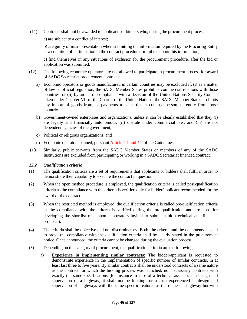(11) Contracts shall not be awarded to applicants or bidders who, during the procurement process:

a) are subject to a conflict of interest;

b) are guilty of misrepresentation when submitting the information required by the Procuring Entity as a condition of participation in the contract procedure, or fail to submit this information;

c) find themselves in any situations of exclusion for the procurement procedure, after the bid or application was submitted.

- (12) The following economic operators are not allowed to participate in procurement process for award of SADC Secretariat procurement contracts:
	- a) Economic operators or goods manufactured in certain countries may be excluded if, (i) as a matter of law or official regulation, the SADC Member States prohibits commercial relations with those countries, or (ii) by an act of compliance with a decision of the United Nations Security Council taken under Chapter VII of the Charter of the United Nations, the SADC Member States prohibits any import of goods from, or payments to, a particular country, person, or entity from those countries,
	- b) Government-owned enterprises and organizations, unless it can be clearly established that they (i) are legally and financially autonomous, (ii) operate under commercial law, and (iii) are not dependent agencies of the government,
	- c) Political or religious organizations, and
	- d) Economic operators banned, pursuant Article 4.1 and 4.2 of the Guidelines.
- (13) Similarly, public servants from the SADC Member States or members of any of the SADC Institutions are excluded from participating or working in a SADC Secretariat financed contract.

# *12.2 Qualification criteria*

- (1) The qualification criteria are a set of requirements that applicants or bidders shall fulfil in order to demonstrate their capability to execute the contract in question.
- (2) When the open method procedure is employed, the qualification criteria is called post-qualification criteria as the compliance with the criteria is verified only for bidder/applicant recommended for the award of the contract.
- (3) When the restricted method is employed, the qualification criteria is called pre-qualification criteria as the compliance with the criteria is verified during the pre-qualification and are used for developing the shortlist of economic operators invited to submit a bid (technical and financial proposal).
- (4) The criteria shall be objective and not discriminatory. Both, the criteria and the documents needed to prove the compliance with the qualification criteria shall be clearly stated in the procurement notice. Once announced, the criteria cannot be changed during the evaluation process.
- (5) Depending on the category of procurement, the qualification criteria are the following:
	- a) **Experience in implementing similar contracts:** The bidder/applicant is requested to demonstrate experience in the implementation of specific number of similar contracts, in at least last three to five years. By similar contracts shall be understood contracts of a same nature as the contract for which the bidding process was launched, not necessarily contracts with exactly the same specifications (for instance in case of a technical assistance in design and supervision of a highway, it shall not be looking for a firm experienced in design and supervision of highways with the same specific features as the requested highway but with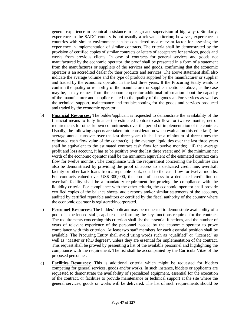general experience in technical assistance in design and supervision of highways). Similarly, experience in the SADC country is not usually a relevant criterion; however, experience in countries with similar environment can be considered as a relevant factor for assessing the experience in implementation of similar contracts. The criteria shall be demonstrated by the provision of certified copies of similar contracts or letters of acceptance for services, goods and works from previous clients. In case of contracts for general services and goods not manufactured by the economic operator, the proof shall be presented in a form of a statement from the manufactures or suppliers of the services and goods, confirming that the economic operator is an accredited dealer for their products and services. The above statement shall also indicate the average volume and the type of products supplied by the manufacturer or supplier and traded by the economic operator in the last three years. If the Procuring Entity wants to confirm the quality or reliability of the manufacturer or supplier mentioned above, as the case may be, it may request from the economic operator additional information about the capacity of the manufacturer and supplier related to the quality of the goods and/or services as well as the technical support, maintenance and troubleshooting for the goods and services produced and traded by the economic operator.

- b) **Financial Resources:** The bidder/applicant is requested to demonstrate the availability of the financial means to fully finance the estimated contract cash flow for twelve months, net of requirements for other known commitments over the period of implementation of the contract. Usually, the following aspects are taken into consideration when evaluation this criteria: i) the average annual turnover over the last three years (it shall be a minimum of three times the estimated cash flow value of the contract); ii) the average liquidities over the last three years shall be equivalent to the estimated contract cash flow for twelve months; iii) the average profit and loss account, it has to be positive over the last three years; and iv) the minimum net worth of the economic operator shall be the minimum equivalent of the estimated contract cash flow for twelve months . The compliance with the requirement concerning the liquidities can also be demonstrated by providing the proof of access to a dedicated credit line, overdraft facility or other bank loans from a reputable bank, equal to the cash flow for twelve months. For contracts valued over US\$ 300,000, the proof of access to a dedicated credit line or overdraft facility shall be a mandatory requirement for proving the compliance with the liquidity criteria. For compliance with the other criteria, the economic operator shall provide certified copies of the balance sheets, audit reports and/or similar statements of the accounts, audited by certified reputable auditors or certified by the fiscal authority of the country where the economic operator is registered/incorporated.
- c) **Personnel Resources:** The bidder/applicant may be requested to demonstrate availability of a pool of experienced staff, capable of performing the key functions required for the contract. The requirements concerning this criterion shall list the essential functions, and the number of years of relevant experience of the personnel needed by the economic operator to prove compliance with this criterion. At least two staff members for each essential position shall be available. The Procuring Entity shall avoid using words such as "qualified" or "licensed" as well as "Master or PhD degrees", unless they are essential for implementation of the contract. This request shall be proved by presenting a list of the available personnel and highlighting the compliance with the requirement. The list shall be accompanied by the Curricula Vitae of the proposed personnel.
- d) **Facilities Resources:** This is additional criteria which might be requested for bidders competing for general services, goods and/or works. In such instance, bidders or applicants are requested to demonstrate the availability of specialized equipment, essential for the execution of the contract, or facilities to provide maintenance or technical support at the site where the general services, goods or works will be delivered. The list of such requirements should be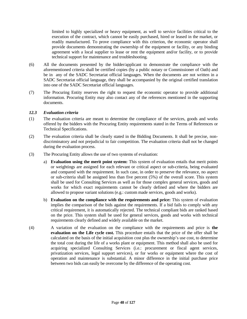limited to highly specialized or heavy equipment, as well to service facilities critical to the execution of the contract, which cannot be easily purchased, hired or leased in the market, or readily manufactured. To prove compliance with this criterion, the economic operator shall provide documents demonstrating the ownership of the equipment or facility, or any binding agreement with a local supplier to lease or rent the equipment and/or facility, or to provide technical support for maintenance and troubleshooting.

- (6) All the documents presented by the bidder/applicant to demonstrate the compliance with the aforementioned criteria shall be certified copies (by a public notary or Commissioner of Oath) and be in any of the SADC Secretariat official languages. When the documents are not written in a SADC Secretariat official language, they shall be accompanied by the original certified translation into one of the SADC Secretariat official languages.
- (7) The Procuring Entity reserves the right to request the economic operator to provide additional information. Procuring Entity may also contact any of the references mentioned in the supporting documents.

# *12.3 Evaluation criteria*

- (1) The evaluation criteria are meant to determine the compliance of the services, goods and works offered by the bidders with the Procuring Entity requirements stated in the Terms of References or Technical Specifications.
- (2) The evaluation criteria shall be clearly stated in the Bidding Documents. It shall be precise, nondiscriminatory and not prejudicial to fair competition. The evaluation criteria shall not be changed during the evaluation process.
- (3) The Procuring Entity allows the use of two systems of evaluation:
	- a) **Evaluation using the merit point system:** This system of evaluation entails that merit points or weightings are assigned for each relevant or critical aspect or sub-criteria, being evaluated and compared with the requirement. In such case, in order to preserve the relevance, no aspect or sub-criteria shall be assigned less than five percent (5%) of the overall score. This system shall be used for Consulting Services as well as for those complex general services, goods and works for which exact requirements cannot be clearly defined and where the bidders are allowed to propose variant solutions (e.g.: custom made services, goods and works).
	- b) **Evaluation on the compliance with the requirements and price:** This system of evaluation implies the comparison of the bids against the requirements. If a bid fails to comply with any critical requirement, it is automatically rejected. The technical compliant bids are ranked based on the price. This system shall be used for general services, goods and works with technical requirements clearly defined and widely available on the market.
- (4) A variation of the evaluation on the compliance with the requirements and price is **the evaluation on the Life cycle cost.** This procedure entails that the price of the offer shall be calculated on the basis of the initial acquisition cost plus the ownership's use cost, to determine the total cost during the life of a works plant or equipment. This method shall also be used for acquiring specialized Consulting Services (i.e.: procurement or fiscal agent services, privatization services, legal support services), or for works or equipment where the cost of operation and maintenance is substantial. A minor difference in the initial purchase price between two bids can easily be overcome by the difference of the operating cost.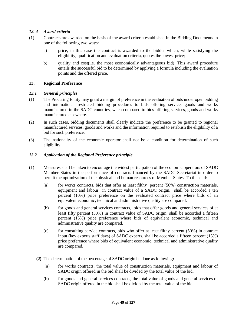# *12. 4 Award criteria*

- (1) Contracts are awarded on the basis of the award criteria established in the Bidding Documents in one of the following two ways:
	- a) price, in this case the contract is awarded to the bidder which, while satisfying the eligibility, qualification and evaluation criteria, quotes the lowest price;
	- b) quality and cost(i.e. the most economically advantageous bid). This award procedure entails the successful bid to be determined by applying a formula including the evaluation points and the offered price.

# **13. Regional Preference**

#### *13.1 General principles*

- (1) The Procuring Entity may grant a margin of preference in the evaluation of bids under open bidding and international restricted bidding procedures to bids offering service, goods and works manufactured in the SADC countries, when compared to bids offering services, goods and works manufactured elsewhere.
- (2) In such cases, bidding documents shall clearly indicate the preference to be granted to regional manufactured services, goods and works and the information required to establish the eligibility of a bid for such preference.
- (3) The nationality of the economic operator shall not be a condition for determination of such eligibility.

#### *13.2 Application of the Regional Preference principle*

- (1) Measures shall be taken to encourage the widest participation of the economic operators of SADC Member States in the performance of contracts financed by the SADC Secretariat in order to permit the optimization of the physical and human resources of Member States. To this end:
	- (a) for works contracts, bids that offer at least filthy percent (50%) construction materials, equipment and labour in contract value of a SADC origin, shall be accorded a ten percent (10%) price preference on the evaluated contract price where bids of an equivalent economic, technical and administrative quality are compared.
	- (b) for goods and general services contracts, bids that offer goods and general services of at least fifty percent (50%) in contract value of SADC origin, shall be accorded a fifteen percent (15%) price preference where bids of equivalent economic, technical and administrative quality are compared.
	- $(c)$  for consulting service contracts, bids who offer at least filthy percent (50%) in contract input (key experts staff days) of SADC experts, shall be accorded a fifteen percent (15%) price preference where bids of equivalent economic, technical and administrative quality are compared.
	- **(2)** The determination of the percentage of SADC origin be done as following**:** 
		- (a) for works contracts, the total value of construction materials, equipment and labour of SADC origin offered in the bid shall be divided by the total value of the bid.
		- (b) for goods and general services contracts, the total value of goods and general services of SADC origin offered in the bid shall be divided by the total value of the bid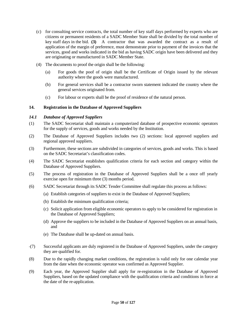- (c) for consulting service contracts, the total number of key staff days performed by experts who are citizens or permanent residents of a SADC Member State shall be divided by the total number of key staff days in the bid. **(3)** A contractor that was awarded the contract as a result of application of the margin of preference, must demonstrate prior to payment of the invoices that the services, good and works indicated in the bid as having SADC origin have been delivered and they are originating or manufactured in SADC Member State.
- (4) The documents to proof the origin shall be the following:
	- (a) For goods the poof of origin shall be the Certificate of Origin issued by the relevant authority where the goods were manufactured.
	- (b) For general services shall be a contractor sworn statement indicated the country where the general services originated from.
	- (c) For labour or experts shall be the proof of residence of the natural person.

# **14. Registration in the Database of Approved Suppliers**

# *14.1 Database of Approved Suppliers*

- (1) The SADC Secretariat shall maintain a computerized database of prospective economic operators for the supply of services, goods and works needed by the Institution.
- (2) The Database of Approved Suppliers includes two (2) sections: local approved suppliers and regional approved suppliers.
- (3) Furthermore, these sections are subdivided in categories of services, goods and works. This is based on the SADC Secretariat's classification codes.
- (4) The SADC Secretariat establishes qualification criteria for each section and category within the Database of Approved Suppliers.
- (5) The process of registration in the Database of Approved Suppliers shall be a once off yearly exercise open for minimum three (3) months period.
- (6) SADC Secretariat through its SADC Tender Committee shall regulate this process as follows:
	- (a) Establish categories of suppliers to exist in the Database of Approved Suppliers;
	- (b) Establish the minimum qualification criteria;
	- (c) Solicit application from eligible economic operators to apply to be considered for registration in the Database of Approved Suppliers;
	- (d) Approve the suppliers to be included in the Database of Approved Suppliers on an annual basis, and
	- (e) The Database shall be up-dated on annual basis.
- (7) Successful applicants are duly registered in the Database of Approved Suppliers, under the category they are qualified for.
- (8) Due to the rapidly changing market conditions, the registration is valid only for one calendar year from the date when the economic operator was confirmed as Approved Supplier.
- (9) Each year, the Approved Supplier shall apply for re-registration in the Database of Approved Suppliers, based on the updated compliance with the qualification criteria and conditions in force at the date of the re-application.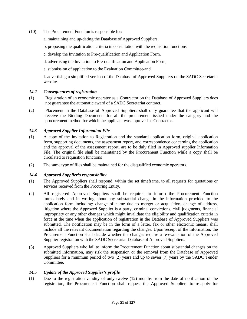- (10) The Procurement Function is responsible for:
	- a. maintaining and up-dating the Database of Approved Suppliers,
	- b. proposing the qualification criteria in consultation with the requisition functions,
	- c. develop the Invitation to Pre-qualification and Application Form,
	- d. advertising the Invitation to Pre-qualification and Application Form,
	- e. submission of application to the Evaluation Committee and

f. advertising a simplified version of the Database of Approved Suppliers on the SADC Secretariat website.

# *14.2 Consequences of registration*

- (1) Registration of an economic operator as a Contractor on the Database of Approved Suppliers does not guarantee the automatic award of a SADC Secretariat contract.
- (2) Placement in the Database of Approved Suppliers shall only guarantee that the applicant will receive the Bidding Documents for all the procurement issued under the category and the procurement method for which the applicant was approved as Contractor.

# *14.3 Approved Supplier Information File*

- (1) A copy of the Invitation to Registration and the standard application form, original application form, supporting documents, the assessment report, and correspondence concerning the application and the approval of the assessment report, are to be duly filed in Approved supplier Information File. The original file shall be maintained by the Procurement Function while a copy shall be circulated to requisition functions
- (2) The same type of files shall be maintained for the disqualified economic operators.

# *14.4 Approved Supplier's responsibility*

- (1) The Approved Suppliers shall respond, within the set timeframe, to all requests for quotations or services received from the Procuring Entity.
- (2) All registered Approved Suppliers shall be required to inform the Procurement Function immediately and in writing about any substantial change in the information provided to the application form including: change of name due to merger or acquisition, change of address, litigation where the Approved Supplier is a party, criminal convictions, civil judgments, financial impropriety or any other changes which might invalidate the eligibility and qualification criteria in force at the time when the application of registration in the Database of Approved Suppliers was submitted. The notification may be in the form of a letter, fax or other electronic means, shall include all the relevant documentation regarding the changes. Upon receipt of the information, the Procurement Function shall decide whether the changes require a re-evaluation of the Approved Supplier registration with the SADC Secretariat Database of Approved Suppliers.
- (3) Approved Suppliers who fail to inform the Procurement Function about substantial changes on the submitted information, may risk the suspension or the removal from the Database of Approved Suppliers for a minimum period of two  $(2)$  years and up to seven  $(7)$  years by the SADC Tender Committee.

# *14.5 Update of the Approved Supplier's profile*

(1) Due to the registration validity of only twelve (12) months from the date of notification of the registration, the Procurement Function shall request the Approved Suppliers to re-apply for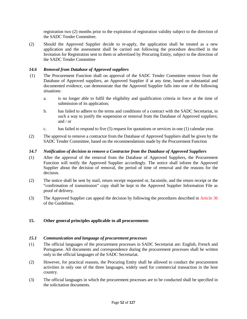registration two (2) months prior to the expiration of registration validity subject to the direction of the SADC Tender Committee.

(2) Should the Approved Supplier decide to re-apply, the application shall be treated as a new application and the assessment shall be carried out following the procedure described in the Invitation for Registration sent to them or advertised by Procuring Entity, subject to the direction of the SADC Tender Committee

# *14.6 Removal from Database of Approved suppliers*

- (1) The Procurement Function shall on approval of the SADC Tender Committee remove from the Database of Approved suppliers, an Approved Supplier if at any time, based on substantial and documented evidence, can demonstrate that the Approved Supplier falls into one of the following situations:
	- a. is no longer able to fulfil the eligibility and qualification criteria in force at the time of submission of its application;
	- b. has failed to adhere to the terms and conditions of a contract with the SADC Secretariat, in such a way to justify the suspension or removal from the Database of Approved suppliers; and / or
	- c. has failed to respond to five (5) request for quotations or services in one (1) calendar year.
- (2) The approval to remove a contractor from the Database of Approved Suppliers shall be given by the SADC Tender Committee, based on the recommendations made by the Procurement Function

# *14.7 Notification of decision to remove a Contractor from the Database of Approved Suppliers*

- (1) After the approval of the removal from the Database of Approved Suppliers, the Procurement Function will notify the Approved Supplier accordingly. The notice shall inform the Approved Supplier about the decision of removal, the period of time of removal and the reasons for the decision.
- (2) The notice shall be sent by mail, return receipt requested or, facsimile, and the return receipt or the "confirmation of transmission" copy shall be kept in the Approved Supplier Information File as proof of delivery.
- (3) The Approved Supplier can appeal the decision by following the procedures described in Article 36 of the Guidelines.

# **15. Other general principles applicable to all procurements**

# *15.1 Communication and language of procurement processes*

- (1) The official languages of the procurement processes in SADC Secretariat are: English, French and Portuguese. All documents and correspondence during the procurement processes shall be written only in the official languages of the SADC Secretariat.
- (2) However, for practical reasons, the Procuring Entity shall be allowed to conduct the procurement activities in only one of the three languages, widely used for commercial transaction in the host country.
- (3) The official languages in which the procurement processes are to be conducted shall be specified in the solicitation documents.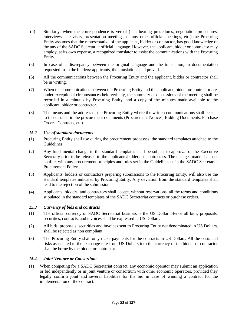- (4) Similarly, when the correspondence is verbal (i.e.: hearing procedures, negotiation procedures, interviews, site visits, presentation meetings, or any other official meetings, etc.) the Procuring Entity assumes that the representative of the applicant, bidder or contractor, has good knowledge of the any of the SADC Secretariat official language. However, the applicant, bidder or contractor may employ, at its own expense, a recognized translator to assist the communications with the Procuring Entity.
- (5) In case of a discrepancy between the original language and the translation, in documentation requested from the bidders/ applicants, the translation shall prevail.
- (6) All the communications between the Procuring Entity and the applicant, bidder or contractor shall be in writing.
- (7) When the communications between the Procuring Entity and the applicant, bidder or contractor are, under exceptional circumstances held verbally, the summary of discussions of the meeting shall be recorded in a minutes by Procuring Entity, and a copy of the minutes made available to the applicant, bidder or contractor.
- (8) The means and the address of the Procuring Entity where the written communications shall be sent to those stated in the procurement documents (Procurement Notices, Bidding Documents, Purchase Orders, Contracts, etc).

# *15.2 Use of standard documents*

- (1) Procuring Entity shall use during the procurement processes, the standard templates attached to the Guidelines.
- (2) Any fundamental change in the standard templates shall be subject to approval of the Executive Secretary prior to be released to the applicants/bidders or contractors. The changes made shall not conflict with any procurement principles and rules set in the Guidelines or in the SADC Secretariat Procurement Policy.
- (3) Applicants, bidders or contractors preparing submissions to the Procuring Entity, will also use the standard templates indicated by Procuring Entity. Any deviation from the standard templates shall lead to the rejection of the submission.
- (4) Applicants, bidders, and contractors shall accept, without reservations, all the terms and conditions stipulated in the standard templates of the SADC Secretariat contracts or purchase orders.

# *15.3 Currency of bids and contracts*

- (1) The official currency of SADC Secretariat business is the US Dollar. Hence all bids, proposals, securities, contracts, and invoices shall be expressed in US Dollars.
- (2) All bids, proposals, securities and invoices sent to Procuring Entity not denominated in US Dollars, shall be rejected as non compliant.
- (3) The Procuring Entity shall only make payments for the contracts in US Dollars. All the costs and risks associated to the exchange rate from US Dollars into the currency of the bidder or contractor shall be borne by the bidder or contractor.

# *15.4 Joint Venture or Consortium*

(1) When competing for a SADC Secretariat contract, any economic operator may submit an application or bid independently or in joint venture or consortium with other economic operators, provided they legally confirm joint and several liabilities for the bid in case of winning a contract for the implementation of the contract.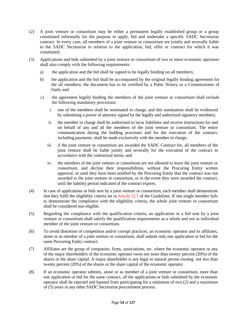- (2) A joint venture or consortium may be either a permanent legally established group or a group constituted informally for the purpose to apply, bid and undertake a specific SADC Secretariat contract. In every case, all members of a joint venture or consortium are jointly and severally liable to the SADC Secretariat in relation to the application, bid, offer or contract for which it was constituted.
- (3) Applications and bids submitted by a joint venture or consortium of two or more economic operators shall also comply with the following requirements:
	- a) the application and the bid shall be signed to be legally binding on all members;
	- b) the application and the bid shall be accompanied by the original legally binding agreement for the all members; the document has to be certified by a Pubic Notary or a Commissioner of Oath; and
	- c) the agreement legally binding the members of the joint venture or consortium shall include the following mandatory provisions:
		- i. one of the members shall be nominated in charge, and this nomination shall be evidenced by submitting a power of attorney signed by the legally and authorized signatory members;
		- ii. the member in charge shall be authorized to incur liabilities and receive instructions for and on behalf of any and all the members of the joint venture or consortium. The entire communication during the bidding processes and for the execution of the contract, including payments, shall be made exclusively with the member in charge;
		- iii. if the joint venture or consortium are awarded the SADC Contract for, all members of the joint venture shall be liable jointly and severally for the execution of the contract in accordance with the contractual terms; and
		- iv. the members of the joint venture or consortium are not allowed to leave the joint venture or consortium, and decline their responsibilities, without the Procuring Entity written approval, or until they have been notified by the Procuring Entity that the contract was not awarded to the joint venture or consortium, or in the event they were awarded the contract, until the liability period indicated of the contract expires.
- (4) In case of applications or bids sent by a joint venture or consortium, each member shall demonstrate that they fulfil the eligibility criteria set in Article 12.1 of the Guidelines. If one single member fails to demonstrate the compliance with the eligibility criteria, the whole joint venture or consortium shall be considered non eligible.
- (5) Regarding the compliance with the qualification criteria, an application or a bid sent by a joint venture or consortium shall satisfy the qualification requirements as a whole and not as individual member of the joint venture or consortium.
- (6) To avoid distortion of competition and/or corrupt practices, an economic operator and its affiliates, alone or as member of a joint venture or consortium, shall submit only one application or bid for the same Procuring Entity contract.
- (7) Affiliates are the group of companies, firms, associations, etc. where the economic operator or any of the major shareholders of the economic operator owns not more than twenty percent (20%) of the shares or the share capital. A major shareholder is any legal or natural person owning not less than twenty percent (20%) of the shares or the share capital of the economic operator.
- (8) If an economic operator submits, alone or as member of a joint venture or consortium, more than one application or bid for the same contract, all the applications or bids submitted by the economic operator shall be rejected and banned from participating for a minimum of two (2) and a maximum of (5) years in any other SADC Secretariat procurement process.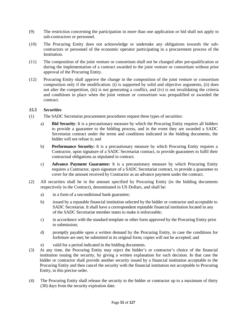- (9) The restriction concerning the participation in more than one application or bid shall not apply to sub-contractors or personnel.
- (10) The Procuring Entity does not acknowledge or undertake any obligations towards the subcontractors or personnel of the economic operator participating in a procurement process of the Institution.
- (11) The composition of the joint venture or consortium shall not be changed after pre-qualification or during the implementation of a contract awarded to the joint venture or consortium without prior approval of the Procuring Entity.
- (12) Procuring Entity shall approve the change in the composition of the joint venture or consortium composition only if the modification: (i) is supported by solid and objective arguments, (ii) does not alter the competition, (iii) is not generating a conflict, and (iv) is not invalidating the criteria and conditions in place when the joint venture or consortium was prequalified or awarded the contract.

# *15.5 Securities*

- (1) The SADC Secretariat procurement procedures request three types of securities:
	- a) **Bid Security**: It is a precautionary measure by which the Procuring Entity requires all bidders to provide a guarantee to the bidding process, and in the event they are awarded a SADC Secretariat contract under the terms and conditions indicated in the bidding documents, the bidder will not refuse it; and
	- b) **Performance Security:** It is a precautionary measure by which Procuring Entity requires a Contractor, upon signature of a SADC Secretariat contract, to provide guarantees to fulfil their contractual obligations as stipulated in contract.
	- c) **Advance Payment Guarantee:** It is a precautionary measure by which Procuring Entity requires a Contractor, upon signature of a SADC Secretariat contract, to provide a guarantee to cover for the amount received by Contractor as an advance payment under the contract.
- (2) All securities shall be in the amount specified by Procuring Entity (in the bidding documents respectively in the Contract), denominated in US Dollars, and shall be:
	- a) in a form of a unconditional bank guarantee;
	- b) issued by a reputable financial institution selected by the bidder or contractor and acceptable to SADC Secretariat. It shall have a correspondent reputable financial institution located in any of the SADC Secretariat member states to make it enforceable;
	- c) in accordance with the standard template or other form approved by the Procuring Entity prior to submission;
	- d) promptly payable upon a written demand by the Procuring Entity, in case the conditions for forfeiture are met; be submitted in its original form; copies will not be accepted; and
	- e) valid for a period indicated in the bidding documents.
- (3) At any time, the Procuring Entity may reject the bidder's or contractor's choice of the financial institution issuing the security, by giving a written explanation for such decision. In that case the bidder or contractor shall provide another security issued by a financial institution acceptable to the Procuring Entity and then cancel the security with the financial institution not acceptable to Procuring Entity, in this precise order.
- (4) The Procuring Entity shall release the security to the bidder or contractor up to a maximum of thirty (30) days from the security expiration date.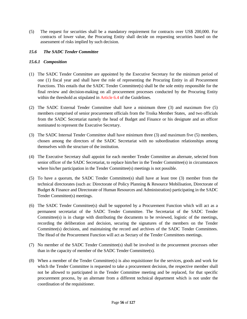(5) The request for securities shall be a mandatory requirement for contracts over US\$ 200,000. For contracts of lower value, the Procuring Entity shall decide on requesting securities based on the assessment of risks implied by such decision.

# *15.6 The SADC Tender Committee*

# *15.6.1 Composition*

- (1) The SADC Tender Committee are appointed by the Executive Secretary for the minimum period of one (1) fiscal year and shall have the role of representing the Procuring Entity in all Procurement Functions. This entails that the SADC Tender Committee(s) shall be the sole entity responsible for the final review and decision-making on all procurement processes conducted by the Procuring Entity within the threshold as stipulated in Article 6.4 of the Guidelines.
- (2) The SADC External Tender Committee shall have a minimum three (3) and maximum five (5) members comprised of senior procurement officials from the Troika Member States, and two officials from the SADC Secretariat namely the head of Budget and Finance or his designate and an officer nominated to represent the Executive Secretary.
- (3) The SADC Internal Tender Committee shall have minimum three (3) and maximum five (5) members, chosen among the directors of the SADC Secretariat with no subordination relationships among themselves with the structure of the institution.
- (4) The Executive Secretary shall appoint for each member Tender Committee an alternate, selected from senior officer of the SADC Secretariat, to replace him/her in the Tender Committee(s) in circumstances where his/her participation in the Tender Committee(s) meetings is not possible.
- (5) To have a quorum, the SADC Tender Committee(s) shall have at least tree (3) member from the technical directorates (such as: Directorate of Policy Planning & Resource Mobilisation, Directorate of Budget & Finance and Directorate of Human Resources and Administration) participating in the SADC Tender Committee(s) meetings.
- (6) The SADC Tender Committee(s) shall be supported by a Procurement Function which will act as a permanent secretariat of the SADC Tender Committee. The Secretariat of the SADC Tender Committee(s) is in charge with distributing the documents to be reviewed, logistic of the meetings, recording the deliberation and decision, securing the signatures of the members on the Tender Committee(s) decisions, and maintaining the record and archives of the SADC Tender Committees. The Head of the Procurement Function will act as Sectary of the Tender Committees meetings.
- (7) No member of the SADC Tender Committee(s) shall be involved in the procurement processes other than in the capacity of member of the SADC Tender Committee(s).
- (8) When a member of the Tender Committee(s) is also requisitioner for the services, goods and work for which the Tender Committee is requested to take a procurement decision, the respective member shall not be allowed to participated in the Tender Committee meeting and be replaced, for that specific procurement process, by an alternate from a different technical department which is not under the coordination of the requisitioner.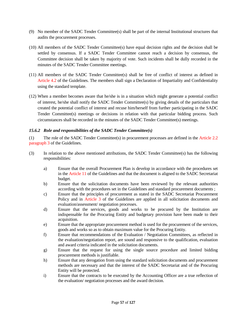- (9) No member of the SADC Tender Committee(s) shall be part of the internal Institutional structures that audits the procurement processes.
- (10) All members of the SADC Tender Committee(s) have equal decision rights and the decision shall be settled by consensus. If a SADC Tender Committee cannot reach a decision by consensus, the Committee decision shall be taken by majority of vote. Such incidents shall be dully recorded in the minutes of the SADC Tender Committee meetings.
- (11) All members of the SADC Tender Committee(s) shall be free of conflict of interest as defined in Article 4.2 of the Guidelines. The members shall sign a Declaration of Impartiality and Confidentiality using the standard template.
- (12) When a member becomes aware that he/she is in a situation which might generate a potential conflict of interest, he/she shall notify the SADC Tender Committee(s) by giving details of the particulars that created the potential conflict of interest and recuse him/herself from further participating in the SADC Tender Committee(s) meetings or decisions in relation with that particular bidding process. Such circumstances shall be recorded in the minutes of the SADC Tender Committee(s) meetings.

# *15.6.2 Role and responsibilities of the SADC Tender Committee(s)*

(1) The role of the SADC Tender Committee(s) in procurement processes are defined in the Article 2.2 paragraph 3 of the Guidelines.

- (3) In relation to the above mentioned attributions, the SADC Tender Committee(s) has the following responsibilities:
	- a) Ensure that the overall Procurement Plan is develop in accordance with the procedures set in the Article 11 of the Guidelines and that the document is aligned to the SADC Secretariat budget.
	- b) Ensure that the solicitation documents have been reviewed by the relevant authorities according with the procedures set in the Guidelines and standard procurement documents ;
	- c) Ensure that the principles of procurement as stated in the SADC Secretariat Procurement Policy and in Article 3 of the Guidelines are applied in all solicitation documents and evaluation/assessment/ negotiation processes.
	- d) Ensure that the services, goods and works to be procured by the Institution are indispensable for the Procuring Entity and budgetary provision have been made to their acquisition.
	- e) Ensure that the appropriate procurement method is used for the procurement of the services, goods and works so as to obtain maximum value for the Procuring Entity.
	- f) Ensure that recommendations of the Evaluation / Negotiation Committees, as reflected in the evaluation/negotiation report, are sound and responsive to the qualification, evaluation and award criteria indicated in the solicitation documents.
	- g) Ensure that the request for using the single source procedure and limited bidding procurement methods is justifiable.
	- h) Ensure that any derogation from using the standard solicitation documents and procurement methods are necessary and that the interest of the SADC Secretariat and of the Procuring Entity will be protected.
	- i) Ensure that the contracts to be executed by the Accounting Officer are a true reflection of the evaluation/ negotiation processes and the award decision.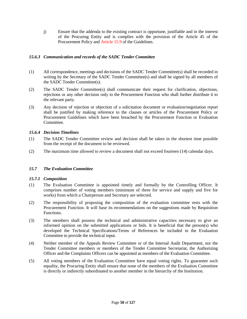j) Ensure that the addenda to the existing contract is opportune, justifiable and in the interest of the Procuring Entity and is complies with the provision of the Article 45 of the Procurement Policy and Article 15.9 of the Guidelines.

# *15.6.3 Communication and records of the SADC Tender Committee*

- (1) All correspondence, meetings and decisions of the SADC Tender Committee(s) shall be recorded in writing by the Secretary of the SADC Tender Committee(s) and shall be signed by all members of the SADC Tender Committee(s).
- (2) The SADC Tender Committee(s) shall communicate their request for clarification, objections, rejections or any other decision only to the Procurement Function who shall further distribute it to the relevant party.
- (3) Any decision of rejection or objection of a solicitation document or evaluation/negotiation report shall be justified by making reference to the clauses or articles of the Procurement Policy or Procurement Guidelines which have been breached by the Procurement Function or Evaluation Committee.

# *15.6.4 Decision Timelines*

- (1) The SADC Tender Committee review and decision shall be taken in the shortest time possible from the receipt of the document to be reviewed.
- (2) The maximum time allowed to review a document shall not exceed fourteen (14) calendar days.

# *15.7 The Evaluation Committee*

# *15.7.1 Composition*

- (1) The Evaluation Committee is appointed timely and formally by the Controlling Officer. It comprises number of voting members (minimum of three for service and supply and five for works) from which a Chairperson and Secretary are selected.
- (2) The responsibility of proposing the composition of the evaluation committee rests with the Procurement Function. It will base its recommendations on the suggestions made by Requisition Functions.
- (3) The members shall possess the technical and administrative capacities necessary to give an informed opinion on the submitted applications or bids. It is beneficial that the person(s) who developed the Technical Specifications/Terms of References be included in the Evaluation Committee to provide the technical input.
- (4) Neither member of the Appeals Review Committee or of the Internal Audit Department, nor the Tender Committee members or members of the Tender Committee Secretariat, the Authorizing Officer and the Complaints Officers can be appointed as members of the Evaluation Committee.
- (5) All voting members of the Evaluation Committee have equal voting rights. To guarantee such equality, the Procuring Entity shall ensure that none of the members of the Evaluation Committee is directly or indirectly subordinated to another member in the hierarchy of the Institution.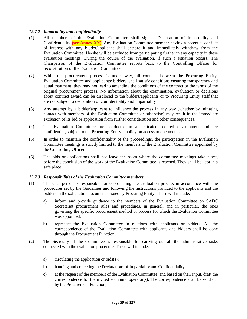# *15.7.2 Impartiality and confidentiality*

- (1) All members of the Evaluation Committee shall sign a Declaration of Impartiality and Confidentiality **(see Annex XX).** Any Evaluation Committee member having a potential conflict of interest with any bidder/applicant shall declare it and immediately withdraw from the Evaluation Committee. He/she will be excluded from participating further in any capacity in these evaluation meetings. During the course of the evaluation, if such a situation occurs, The Chairperson of the Evaluation Committee reports back to the Controlling Officer for reconstitution of the Evaluation Committee.
- (2) While the procurement process is under way, all contacts between the Procuring Entity, Evaluation Committee and applicants/ bidders, shall satisfy conditions ensuring transparency and equal treatment; they may not lead to amending the conditions of the contract or the terms of the original procurement process. No information about the examination, evaluation or decisions about contract award can be disclosed to the bidders/applicants or to Procuring Entity staff that are not subject to declaration of confidentiality and impartiality
- (3) Any attempt by a bidder/applicant to influence the process in any way (whether by initiating contact with members of the Evaluation Committee or otherwise) may result in the immediate exclusion of its bid or application from further consideration and other consequences.
- (4) The Evaluation Committee are conducted in a dedicated secured environment and are confidential, subject to the Procuring Entity's policy on access to documents.
- (5) In order to maintain the confidentiality of the proceedings, the participation in the Evaluation Committee meetings is strictly limited to the members of the Evaluation Committee appointed by the Controlling Officer.
- (6) The bids or applications shall not leave the room where the committee meetings take place, before the conclusion of the work of the Evaluation Committee is reached. They shall be kept in a safe place.

# *15.7.3 Responsibilities of the Evaluation Committee members*

- (1) The Chairperson is responsible for coordinating the evaluation process in accordance with the procedures set by the Guidelines and following the instructions provided to the applicants and the bidders in the solicitation documents issued by Procuring Entity. These will include:
	- a) inform and provide guidance to the members of the Evaluation Committee on SADC Secretariat procurement rules and procedures, in general, and in particular, the ones governing the specific procurement method or process for which the Evaluation Committee was appointed;
	- b) represent the Evaluation Committee in relations with applicants or bidders. All the correspondence of the Evaluation Committee with applicants and bidders shall be done through the Procurement Function;
- (2) The Secretary of the Committee is responsible for carrying out all the administrative tasks connected with the evaluation procedure. These will include:
	- a) circulating the application or bids(s);
	- b) handing and collecting the Declarations of Impartiality and Confidentiality;
	- c) at the request of the members of the Evaluation Committee, and based on their input, draft the correspondence for the invited economic operator(s). The correspondence shall be send out by the Procurement Function;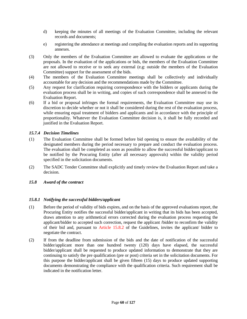- d) keeping the minutes of all meetings of the Evaluation Committee, including the relevant records and documents;
- e) registering the attendance at meetings and compiling the evaluation reports and its supporting annexes.
- (3) Only the members of the Evaluation Committee are allowed to evaluate the applications or the proposals. In the evaluation of the applications or bids, the members of the Evaluation Committee are not allowed to receive or to seek any external (e.g: outside the members of the Evaluation Committee) support for the assessment of the bids.
- (4) The members of the Evaluation Committee meetings shall be collectively and individually accountable for any decision and the recommendations made by the Committee.
- (5) Any request for clarification requiring correspondence with the bidders or applicants during the evaluation process shall be in writing, and copies of such correspondence shall be annexed to the Evaluation Report.
- (6) If a bid or proposal infringes the formal requirements, the Evaluation Committee may use its discretion to decide whether or not it shall be considered during the rest of the evaluation process, while ensuring equal treatment of bidders and applicants and in accordance with the principle of proportionality. Whatever the Evaluation Committee decision is, it shall be fully recorded and justified in the Evaluation Report.

# *15.7.4 Decision Timelines*

- (1) The Evaluation Committee shall be formed before bid opening to ensure the availability of the designated members during the period necessary to prepare and conduct the evaluation process. The evaluation shall be completed as soon as possible to allow the successful bidder/applicant to be notified by the Procuring Entity (after all necessary approvals) within the validity period specified in the solicitation documents.
- (2) The SADC Tender Committee shall explicitly and timely review the Evaluation Report and take a decision.

# *15.8 Award of the contract*

# *15.8.1 Notifying the successful bidders/applicant*

- (1) Before the period of validity of bids expires, and on the basis of the approved evaluations report, the Procuring Entity notifies the successful bidder/applicant in writing that its bids has been accepted, draws attention to any arithmetical errors corrected during the evaluation process requesting the applicant/bidder to accepted such correction, request the applicant /bidder to reconfirm the validity of their bid and, pursuant to Article 15.8.2 of the Guidelines, invites the applicant/ bidder to negotiate the contract.
- (2) If from the deadline from submission of the bids and the date of notification of the successful bidder/applicant more than one hundred twenty (120) days have elapsed, the successful bidder/applicant shall be requested to produce updated information to demonstrate that they are continuing to satisfy the pre qualification (pre or post) criteria set in the solicitation documents. For this purpose the bidder/applicant shall be given fifteen (15) days to produce updated supporting documents demonstrating the compliance with the qualification criteria. Such requirement shall be indicated in the notification letter.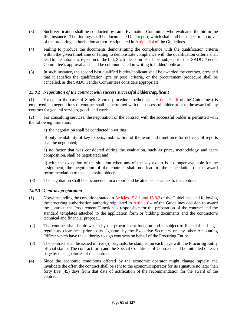- (3) Such verification shall be conducted by same Evaluation Committee who evaluated the bid in the first instance. The findings shall be documented in a report, which shall and be subject to approval of the procuring authorisation authority stipulated in Article 6.4 of the Guidelines.
- (4) Failing to produce the documents demonstrating the compliance with the qualification criteria within the given timeframe or failing to demonstrate compliance with the qualification criteria shall lead to the automatic rejection of the bid. Such decision shall be subject to the SADC Tender Committee's approval and shall be communicated in writing to bidder/applicant..
- (5) In such instance, the second best qualified bidder/applicant shall be awarded the contract, provided that it satisfies the qualification (pre or post) criteria, or the procurement procedure shall be cancelled, as the SADC Tender Committees considers appropriate.

# *15.8.2 Negotiation of the contract with success successful bidders/applicant*

(1) Except in the case of Single Source procedure method (see Article 6.2.6 of the Guidelines) is employed, no negotiations of contract shall be permitted with the successful bidder prior to the award of any contract for general services, goods and works.

(2) For consulting services, the negotiation of the contract with the successful bidder is permitted with the following limitation:

a) the negotiation shall be conducted in writing;

b) only availability of key experts, mobilization of the team and timeframe for delivery of reports shall be negotiated;

c) no factor that was considered during the evaluation, such as price, methodology and team composition, shall be negotiated; and

d) with the exception of the situation when any of the key expert is no longer available for the assignment, the negotiation of the contract shall not lead to the cancellation of the award recommendation to the successful bidder.

(3) The negotiation shall be documented in a report and be attached as annex to the contract.

# *15.8.3 Contract preparation*

- (1) Notwithstanding the conditions stated in Articles 15.8.1 and 15.8.2 of the Guidelines, and following the procuring authorisation authority stipulated in Article 6.4 of the Guidelines decision to award the contract, the Procurement Function is responsible for the preparation of the contract and the standard templates attached to the application form or bidding documents and the contractor's technical and financial proposal.
- (2) The contract shall be drawn up by the procurement function and is subject to financial and legal regulatory clearances prior to its signature by the Executive Secretary or any other Accounting Officer which have the authority to sign contracts on behalf of the Procuring Entity.
- (3) The contract shall be issued in five (5) originals, be stamped on each page with the Procuring Entity official stamp. The contract form and the Special Conditions of Contract shall be initialled on each page by the signatories of the contract.
- (4) Since the economic conditions offered by the economic operator might change rapidly and invalidate the offer, the contract shall be sent to the economic operator for its signature no later than forty five (45) days from that date of notification of the recommendation for the award of the contract.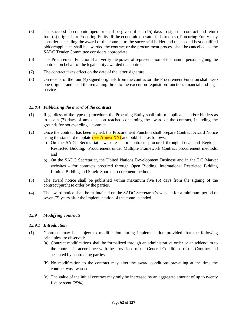- (5) The successful economic operator shall be given fifteen (15) days to sign the contract and return four (4) originals to Procuring Entity. If the economic operator fails to do so, Procuring Entity may consider cancelling the award of the contract to the successful bidder and the second best qualified bidder/applicant. shall be awarded the contract or the procurement process shall be cancelled, as the SADC Tender Committee considers appropriate.
- (6) The Procurement Function shall verify the power of representation of the natural person signing the contract on behalf of the legal entity awarded the contract.
- (7) The contract takes effect on the date of the latter signature.
- (8) On receipt of the four (4) signed originals from the contractor, the Procurement Function shall keep one original and send the remaining three to the execution requisition function, financial and legal service.

# *15.8.4 Publicizing the award of the contract*

- (1) Regardless of the type of procedure, the Procuring Entity shall inform applicants and/or bidders as in seven (7) days of any decision reached concerning the award of the contract, including the grounds for not awarding a contract.
- (2) Once the contract has been signed, the Procurement Function shall prepare Contract Award Notice using the standard template **(see Annex XX)** and publish it as follows:
	- a) On the SADC Secretariat's website for contracts procured through Local and Regional Restricted Bidding, Procurement under Multiple Framework Contract procurement methods, and
	- b) On the SADC Secretariat, the United Nations Development Business and in the DG Market websites – for contracts procured through Open Bidding, International Restricted Bidding Limited Bidding and Single Source procurement methods
- (3) The award notice shall be published within maximum five (5) days from the signing of the contract/purchase order by the parties.
- (4) The award notice shall be maintained on the SADC Secretariat's website for a minimum period of seven (7) years after the implementation of the contract ended.

# *15.9 Modifying contracts*

# *15.9.1 Introduction*

- (1) Contracts may be subject to modification during implementation provided that the following principles are observed:
	- (a) Contract modifications shall be formalized through an administrative order or an addendum to the contract in accordance with the provisions of the General Conditions of the Contract and accepted by contracting parties.
	- (b) No modification to the contract may alter the award conditions prevailing at the time the contract was awarded.
	- (c) The value of the initial contract may only be increased by an aggregate amount of up to twenty five percent (25%).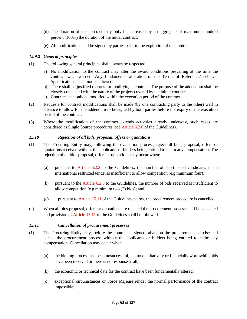- (d) The duration of the contract may only be increased by an aggregate of maximum hundred percent (100%) the duration of the initial contract.
- (e) All modification shall be signed by parties prior to the expiration of the contract.

# *15.9.2 General principles*

- (1) The following general principles shall always be respected:
	- a) No modification to the contract may alter the award conditions prevailing at the time the contract was awarded. Any fundamental alteration of the Terms of Reference/Technical Specifications, shall not be allowed.
	- b) There shall be justified reasons for modifying a contract. The purpose of the addendum shall be closely connected with the nature of the project covered by the initial contract.
	- c) Contracts can only be modified within the execution period of the contract.
- (2) Requests for contract modifications shall be made (by one contracting party to the other) well in advance to allow for the addendum to be signed by both parties before the expiry of the execution period of the contract.
- (3) Where the modification of the contract extends activities already underway, such cases are considered as Single Source procedures (see Article 6.2.6 of the Guidelines).

# *15.10 Rejection of all bids, proposal, offers or quotations*

- (1) The Procuring Entity may, following the evaluation process, reject all bids, proposal, offers or quotations received without the applicants or bidders being entitled to claim any compensation. The rejection of all bids proposal, offers or quotations may occur when:
	- (a) pursuant to Article 6.2.2 to the Guidelines, the number of short listed candidates in an international restricted tender is insufficient to allow competition (e.g minimum four);
	- (b) pursuant to the Article 6.2.5 to the Guidelines, the number of bids received is insufficient to allow competition (e.g minimum two (2) bids); and
	- (c) pursuant to Article 15.11 of the Guidelines below, the procurement procedure is cancelled.
- (2) When all bids proposal, offers or quotations are rejected the procurement process shall be cancelled and provision of Article 15.11 of the Guidelines shall be followed.

# *15.11 Cancellation of procurement processes*

- (1) The Procuring Entity may, before the contract is signed, abandon the procurement exercise and cancel the procurement process without the applicants or bidders being entitled to claim any compensation. Cancellation may occur when:
	- (a) the bidding process has been unsuccessful, i.e. no qualitatively or financially worthwhile bids have been received or there is no response at all;
	- (b) the economic or technical data for the contract have been fundamentally altered;
	- (c) exceptional circumstances or Force Majeure render the normal performance of the contract impossible;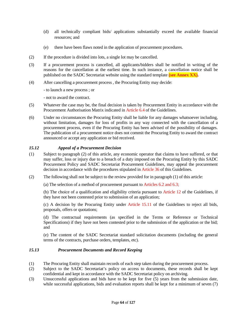- (d) all technically compliant bids/ applications substantially exceed the available financial resources; and
- (e) there have been flaws noted in the application of procurement procedures.
- (2) If the procedure is divided into lots, a single lot may be cancelled.
- (3) If a procurement process is cancelled, all applicants/bidders shall be notified in writing of the reasons for the cancellation at the earliest time. In such instance, a cancellation notice shall be published on the SADC Secretariat website using the standard template **(see Annex XX).**
- (4) After cancelling a procurement process , the Procuring Entity may decide:

- to launch a new process ; or

- not to award the contract.

- (5) Whatever the case may be, the final decision is taken by Procurement Entity in accordance with the Procurement Authorisation Matrix indicated in Article 6.4 of the Guidelines.
- (6) Under no circumstances the Procuring Entity shall be liable for any damages whatsoever including, without limitation, damages for loss of profits in any way connected with the cancellation of a procurement process, even if the Procuring Entity has been advised of the possibility of damages. The publication of a procurement notice does not commit the Procuring Entity to award the contract announced or accept any application or bid received.

# *15.12 Appeal of a Procurement Decision*

- (1) Subject to paragraph (2) of this article, any economic operator that claims to have suffered, or that may suffer, loss or injury due to a breach of a duty imposed on the Procuring Entity by this SADC Procurement Policy and SADC Secretariat Procurement Guidelines, may appeal the procurement decision in accordance with the procedures stipulated in Article 36 of this Guidelines.
- (2) The following shall not be subject to the review provided for in paragraph (1) of this article:

(a) The selection of a method of procurement pursuant to Articles 6.2 and 6.3;

(b) The choice of a qualification and eligibility criteria pursuant to Article 12 of the Guidelines, if they have not been contested prior to submission of an application;

(c) A decision by the Procuring Entity under Article 15.11 of the Guidelines to reject all bids, proposals, offers or quotations;

(d) The contractual requirements (as specified in the Terms or Reference or Technical Specifications) if they have not been contested prior to the submission of the application or the bid; and

(e) The content of the SADC Secretariat standard solicitation documents (including the general terms of the contracts, purchase orders, templates, etc).

# *15.13 Procurement Documents and Record Keeping*

- (1) The Procuring Entity shall maintain records of each step taken during the procurement process.
- (2) Subject to the SADC Secretariat's policy on access to documents, these records shall be kept confidential and kept in accordance with the SADC Secretariat policy on archiving.
- (3) Unsuccessful applications and bids have to be kept for five (5) years from the submission date, while successful applications, bids and evaluation reports shall be kept for a minimum of seven (7)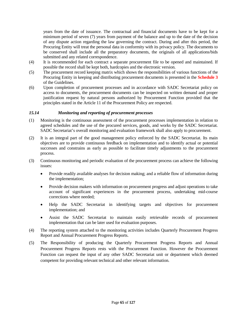years from the date of issuance. The contractual and financial documents have to be kept for a minimum period of seven (7) years from payment of the balance and up to the date of the decision of any dispute action regarding the law governing the contract. During and after this period, the Procuring Entity will treat the personal data in conformity with its privacy policy. The documents to be conserved shall include all the preparatory documents, the originals of all applications/bids submitted and any related correspondence.

- (4) It is recommended for each contract a separate procurement file to be opened and maintained. If possible the record shall be kept both, hardcopies and the electronic version.
- (5) The procurement record keeping matrix which shows the responsibilities of various functions of the Procuring Entity in keeping and distributing procurement documents is presented in the **Schedule 3** of the Guidelines.
- (6) Upon completion of procurement processes and in accordance with SADC Secretariat policy on access to documents, the procurement documents can be inspected on written demand and proper justification request by natural persons authorized by Procurement Function provided that the principles stated in the Article 11 of the Procurement Policy are respected.

# *15.14 Monitoring and reporting of procurement processes*

- (1) Monitoring is the continuous assessment of the procurement processes implementation in relation to agreed schedules and the use of the procured services, goods, and works by the SADC Secretariat. SADC Secretariat's overall monitoring and evaluation framework shall also apply to procurement.
- (2) It is an integral part of the good management policy enforced by the SADC Secretariat. Its main objectives are to provide continuous feedback on implementation and to identify actual or potential successes and constrains as early as possible to facilitate timely adjustments to the procurement process.
- (3) Continuous monitoring and periodic evaluation of the procurement process can achieve the following issues:
	- Provide readily available analyses for decision making; and a reliable flow of information during the implementation;
	- Provide decision makers with information on procurement progress and adjust operations to take account of significant experiences in the procurement process, undertaking mid-course corrections where needed;
	- Help the SADC Secretariat in identifying targets and objectives for procurement implementation; and
	- Assist the SADC Secretariat to maintain easily retrievable records of procurement implementation that can be later used for evaluation purposes.
- (4) The reporting system attached to the monitoring activities includes Quarterly Procurement Progress Report and Annual Procurement Progress Reports.
- (5) The Responsibility of producing the Quarterly Procurement Progress Reports and Annual Procurement Progress Reports rests with the Procurement Function. However the Procurement Function can request the input of any other SADC Secretariat unit or department which deemed competent for providing relevant technical and other relevant information.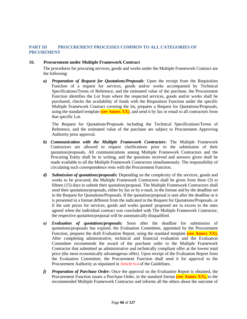# **PART III PROCUREMENT PROCESSES COMMON TO ALL CATEGORIES OF PRCUREMENT**

#### *16.* **Procurement under Multiple Framework Contract**

The procedures for procuring services, goods and works under the Multiple Framework Contract are the following:

*a) Preparation of Request for Quotations/Proposals*: Upon the receipt from the Requisition Function of a request for services, goods and/or works accompanied by Technical Specifications/Terms of Reference, and the estimated value of the purchase, the Procurement Function identifies the Lot from where the respected services, goods and/or works shall be purchased, checks the availability of funds with the Requisition Function under the specific Multiple Framework Contract covering the lot, prepares a Request for Quotations/Proposals, using the standard template **(see Annex XX)**, and send it by fax or email to all contractors from that specific Lot.

The Request for Quotations/Proposals including the Technical Specifications/Terms of Reference, and the estimated value of the purchase are subject to Procurement Approving Authority prior approval.

- *b) Communication with the Multiple Framework Contractors:* The Multiple Framework Contractors are allowed to request clarifications prior to the submission of their quotation/proposals. All communications among Multiple Framework Contractors and the Procuring Entity shall be in writing, and the questions received and answers given shall be made available to all the Multiple Framework Contractors simultaneously. The responsibility of circulating such correspondence rests with the Procurement Function.
- *d) Submission of quotations/proposals:* Depending on the complexity of the services, goods and works to be procured, the Multiple Framework Contractors shall be given from three (3) to fifteen (15) days to submit their quotation/proposal. The Multiple Framework Contractors shall send their quotations/proposals, either by fax or by e-mail, in the format and by the deadline set in the Request for Quotations/Proposals. If the quotation/proposal is sent after the deadline or it is presented in a format different from the indicated in the Request for Quotations/Proposals, or if the unit prices for services, goods and works quoted/ proposed are in excess to the ones agreed when the individual contract was concluded with The Multiple Framework Contractor, the respective quotation/proposal will be automatically disqualified.
- *e) Evaluation of quotations/proposals:* Soon after the deadline for submission of quotations/proposals has expired, the Evaluation Committee, appointed by the Procurement Function, prepares the draft Evaluation Report, using the standard template **(see Annex XX),**  After completing administrative, technical and financial evaluation and the Evaluation Committee recommends the award of the purchase order to the Multiple Framework Contractor that submitted an administrative and technically compliant offer at the lowest total price (the most economically advantageous offer). Upon receipt of the Evaluation Report from the Evaluation Committee, the Procurement Function shall send it for approval to the Procurement Authority as stipulated in Article 6.4 of the Guidelines.
- *f) Preparation of Purchase Order:* Once the approval on the Evaluation Report is obtained, the Procurement Function issues a Purchase Order, in the standard format **(see Annex XX),** to the recommended Multiple Framework Contractor and informs all the others about the outcome of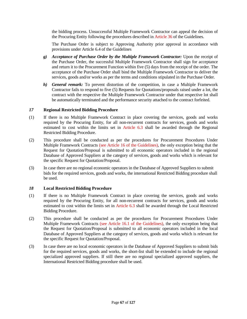the bidding process. Unsuccessful Multiple Framework Contractor can appeal the decision of the Procuring Entity following the procedures described in Article 36 of the Guidelines.

The Purchase Order is subject to Approving Authority prior approval in accordance with provisions under Article 6.4 of the Guidelines

- *g) Acceptance of Purchase Order by the Multiple Framework Contractor:* Upon the receipt of the Purchase Order, the successful Multiple Framework Contractor shall sign for acceptance and return it to the Procurement Function within five (5) days from the receipt of the order. The acceptance of the Purchase Order shall bind the Multiple Framework Contractor to deliver the services, goods and/or works as per the terms and conditions stipulated in the Purchase Order.
- *h) General remark:* To prevent distortion of the competition, in case a Multiple Framework Contractor fails to respond to five (5) Requests for Quotations/proposals raised under a lot, the contract with the respective the Multiple Framework Contractor under that respective lot shall be automatically terminated and the performance security attached to the contract forfeited.

# *17* **Regional Restricted Bidding Procedure**

- (1) If there is no Multiple Framework Contract in place covering the services, goods and works required by the Procuring Entity, for all non-recurrent contracts for services, goods and works estimated to cost within the limits set in Article 6.3 shall be awarded through the Regional Restricted Bidding Procedure.
- (2) This procedure shall be conducted as per the procedures for Procurement Procedures Under Multiple Framework Contracts (see Article 16 of the Guidelines), the only exception being that the Request for Quotation/Proposal is submitted to all economic operators included in the regional Database of Approved Suppliers at the category of services, goods and works which is relevant for the specific Request for Quotation/Proposal.
- (3) In case there are no regional economic operators in the Database of Approved Suppliers to submit bids for the required services, goods and works, the international Restricted Bidding procedure shall be used.

# *18* **Local Restricted Bidding Procedure**

- (1) If there is no Multiple Framework Contract in place covering the services, goods and works required by the Procuring Entity, for all non-recurrent contracts for services, goods and works estimated to cost within the limits set in Article 6.3 shall be awarded through the Local Restricted Bidding Procedure.
- (2) This procedure shall be conducted as per the procedures for Procurement Procedures Under Multiple Framework Contracts (see Article 16.1 of the Guidelines), the only exception being that the Request for Quotation/Proposal is submitted to all economic operators included in the local Database of Approved Suppliers at the category of services, goods and works which is relevant for the specific Request for Quotation/Proposal.
- (3) In case there are no local economic operators in the Database of Approved Suppliers to submit bids for the required services, goods and works, the short-list shall be extended to include the regional specialized approved suppliers. If still there are no regional specialized approved suppliers, the International Restricted Bidding procedure shall be used.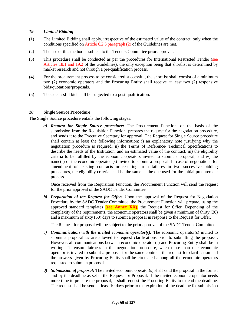# *19 Limited Bidding*

- (1) The Limited Bidding shall apply, irrespective of the estimated value of the contract, only when the conditions specified on Article 6.2.5 paragraph (2) of the Guidelines are met.
- (2) The use of this method is subject to the Tenders Committee prior approval.
- (3) This procedure shall be conducted as per the procedures for International Restricted Tender (see Articles 18.1 and 19.2 of the Guidelines), the only exception being that shortlist is determined by market research and not through a pre-qualification process.
- (4) For the procurement process to be considered successful, the shortlist shall consist of a minimum two (2) economic operators and the Procuring Entity shall receive at least two (2) responsive bids/quotations/proposals.
- (5) The successful bid shall be subjected to a post qualification.

# *20* **Single Source Procedure**

The Single Source procedure entails the following stages:

*a) Request for Single Source procedure***:** The Procurement Function, on the basis of the submission from the Requisition Function, prepares the request for the negotiation procedure, and sends it to the Executive Secretary for approval. The Request for Single Source procedure shall contain at least the following information: i) an explanatory note justifying why the negotiation procedure is required; ii) the Terms of Reference/ Technical Specifications to describe the needs of the Institution, and an estimated value of the contract, iii) the eligibility criteria to be fulfilled by the economic operators invited to submit a proposal; and iv) the name(s) of the economic operator (s) invited to submit a proposal. In case of negotiations for amendment of existing contracts or resulting from failures in two successive bidding procedures, the eligibility criteria shall be the same as the one used for the initial procurement process.

Once received from the Requisition Function, the Procurement Function will send the request for the prior approval of the SADC Tender Committee

*b) Preparation of the Request for Offer:* Upon the approval of the Request for Negotiation Procedure by the SADC Tender Committee, the Procurement Function will prepare, using the approved standard templates **(see Annex XX),** the Request for Offer. Depending of the complexity of the requirements, the economic operators shall be given a minimum of thirty (30) and a maximum of sixty (60) days to submit a proposal in response to the Request for Offer.

The Request for proposal will be subject to the prior approval of the SADC Tender Committee.

- *c) Communication with the invited economic operator(s):* The economic operator(s) invited to submit a proposal is/ are allowed to request clarifications prior to submitting the proposal. However, all communications between economic operator (s) and Procuring Entity shall be in writing. To ensure fairness in the negotiation procedure, when more than one economic operator is invited to submit a proposal for the same contract, the request for clarification and the answers given by Procuring Entity shall be circulated among all the economic operators requested to submit a proposal.
- *d) Submission of proposal:* The invited economic operator(s) shall send the proposal in the format and by the deadline as set in the Request for Proposal. If the invited economic operator needs more time to prepare the proposal, it shall request the Procuring Entity to extend the deadline. The request shall be send at least 10 days prior to the expiration of the deadline for submission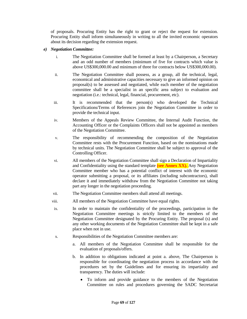of proposals. Procuring Entity has the right to grant or reject the request for extension. Procuring Entity shall inform simultaneously in writing to all the invited economic operators about its decision regarding the extension request.

#### *e) Negotiation Committee:*

- i. The Negotiation Committee shall be formed at least by a Chairperson, a Secretary and an odd number of members (minimum of five for contracts which value is above US\$300,000.00 and minimum of three for contracts below US\$300,000.00).
- ii. The Negotiation Committee shall possess, as a group, all the technical, legal, economical and administrative capacities necessary to give an informed opinion on proposal(s) to be assessed and negotiated, while each member of the negotiation committee shall be a specialist in an specific area subject to evaluation and negotiation (i.e.: technical, legal, financial, procurement, etc).
- iii. It is recommended that the person(s) who developed the Technical Specifications/Terms of References join the Negotiation Committee in order to provide the technical input.
- iv. Members of the Appeals Review Committee, the Internal Audit Function, the Accounting Officer or the Complaints Officers shall not be appointed as members of the Negotiation Committee.
- v. The responsibility of recommending the composition of the Negotiation Committee rests with the Procurement Function, based on the nominations made by technical units. The Negotiation Committee shall be subject to approval of the Controlling Officer.
- vi. All members of the Negotiation Committee shall sign a Declaration of Impartiality and Confidentiality using the standard template **(see Annex XX).** Any Negotiation Committee member who has a potential conflict of interest with the economic operator submitting a proposal, or its affiliates (including subcontractors), shall declare it and immediately withdraw from the Negotiation Committee not taking part any longer in the negotiation proceeding.
- vii. The Negotiation Committee members shall attend all meetings.
- viii. All members of the Negotiation Committee have equal rights.
- ix. In order to maintain the confidentiality of the proceedings, participation in the Negotiation Committee meetings is strictly limited to the members of the Negotiation Committee designated by the Procuring Entity. The proposal (s) and any other working documents of the Negotiation Committee shall be kept in a safe place when not in use.
- x. Responsibilities of the Negotiation Committee members are:
	- a. All members of the Negotiation Committee shall be responsible for the evaluation of proposals/offers.
	- b. In addition to obligations indicated at point a. above, The Chairperson is responsible for coordinating the negotiation process in accordance with the procedures set by the Guidelines and for ensuring its impartiality and transparency. The duties will include:
		- To inform and provide guidance to the members of the Negotiation Committee on rules and procedures governing the SADC Secretariat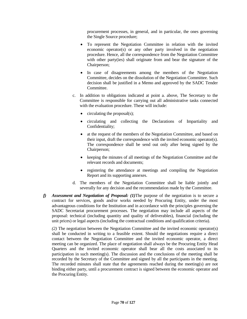procurement processes, in general, and in particular, the ones governing the Single Source procedure;

- To represent the Negotiation Committee in relation with the invited economic operator(s) or any other party involved in the negotiation procedure. Hence, all the correspondence from the Negotiation Committee with other party(ies) shall originate from and bear the signature of the Chairperson;
- In case of disagreements among the members of the Negotiation Committee, decides on the dissolution of the Negotiation Committee. Such decision shall be justified in a Memo and approved by the SADC Tender Committee.
- c. In addition to obligations indicated at point a. above, The Secretary to the Committee is responsible for carrying out all administrative tasks connected with the evaluation procedure. These will include:
	- $\bullet$  circulating the proposal(s);
	- circulating and collecting the Declarations of Impartiality and Confidentiality;
	- at the request of the members of the Negotiation Committee, and based on their input, draft the correspondence with the invited economic operator(s). The correspondence shall be send out only after being signed by the Chairperson;
	- keeping the minutes of all meetings of the Negotiation Committee and the relevant records and documents;
	- registering the attendance at meetings and compiling the Negotiation Report and its supporting annexes.
- d. The members of the Negotiation Committee shall be liable jointly and severally for any decision and the recommendation made by the Committee.
- *f) Assessment and Negotiation of Proposal: (1)*The purpose of the negotiation is to secure a contract for services, goods and/or works needed by Procuring Entity, under the most advantageous conditions for the Institution and in accordance with the principles governing the SADC Secretariat procurement processes. The negotiation may include all aspects of the proposal: technical (including quantity and quality of deliverables), financial (including the unit prices) or legal aspects (including the contractual conditions and qualification criteria).

*(2)* The negotiation between the Negotiation Committee and the invited economic operator(s) shall be conducted in writing to a feasible extent. Should the negotiations require a direct contact between the Negotiation Committee and the invited economic operator, a direct meeting can be organized. The place of negotiation shall always be the Procuring Entity Head Quarters and the invited economic operator shall bear all the costs associated to its participation in such meeting(s). The discussion and the conclusions of the meeting shall be recorded by the Secretary of the Committee and signed by all the participants in the meeting. The recorded minutes shall state that the agreements reached during the meeting(s) are not binding either party, until a procurement contract is signed between the economic operator and the Procuring Entity.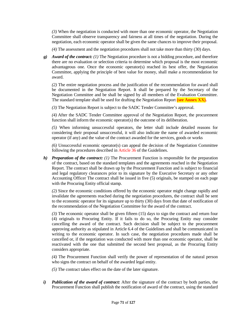*(3)* When the negotiation is conducted with more than one economic operator, the Negotiation Committee shall observe transparency and fairness at all times of the negotiation. During the negotiation, each economic operator shall be given the same chances to improve their proposal.

*(4)* The assessment and the negotiation procedures shall not take more than thirty (30) days.

*g) Award of the contract: (1)* The Negotiation procedure is not a bidding procedure, and therefore there are no evaluation or selection criteria to determine which proposal is the most economic advantageous one. Once the economic operator(s) reached its best offer, the Negotiation Committee, applying the principle of best value for money, shall make a recommendation for award.

*(2)* The entire negotiation process and the justification of the recommendation for award shall be documented in the Negotiation Report. It shall be prepared by the Secretary of the Negotiation Committee and be shall be signed by all members of the Evaluation Committee. The standard template shall be used for drafting the Negotiation Report **(see Annex XX).**

*(3)* The Negotiation Report is subject to the SADC Tender Committee's approval.

*(4)* After the SADC Tender Committee approval of the Negotiation Report, the procurement function shall inform the economic operator(s) the outcome of its deliberation.

*(5)* When informing unsuccessful operators, the letter shall include detailed reasons for considering their proposal unsuccessful, it will also indicate the name of awarded economic operator (if any) and the value of the contract awarded for the services, goods or works

*(6)* Unsuccessful economic operator(s) can appeal the decision of the Negotiation Committee following the procedures described in Article 36 of the Guidelines.

*h) Preparation of the contract: (1)* The Procurement Function is responsible for the preparation of the contract, based on the standard templates and the agreements reached in the Negotiation Report. The contract shall be drawn up by the Procurement Function and is subject to financial and legal regulatory clearances prior to its signature by the Executive Secretary or any other Accounting Officer The contract shall be issued in five (5) originals, be stamped on each page with the Procuring Entity official stamp.

*(2)* Since the economic conditions offered by the economic operator might change rapidly and invalidate the agreements reached during the negotiation procedures, the contract shall be sent to the economic operator for its signature up to thirty (30) days from that date of notification of the recommendation of the Negotiation Committee for the award of the contract.

*(3)* The economic operator shall be given fifteen (15) days to sign the contract and return four (4) originals to Procuring Entity. If it fails to do so, the Procuring Entity may consider cancelling the award of the contract. Such decision shall be subject to the procurement approving authority as stipulated in Article 6.4 of the Guidelines and shall be communicated in writing to the economic operator. In such case, the negotiation procedures made shall be cancelled or, if the negotiation was conducted with more than one economic operator, shall be reactivated with the one that submitted the second best proposal, as the Procuring Entity considers appropriate.

*(4)* The Procurement Function shall verify the power of representation of the natural person who signs the contract on behalf of the awarded legal entity.

*(5)* The contract takes effect on the date of the later signature.

*i) Publication of the award of contract:* After the signature of the contract by both parties, the Procurement Function shall publish the notification of award of the contract, using the standard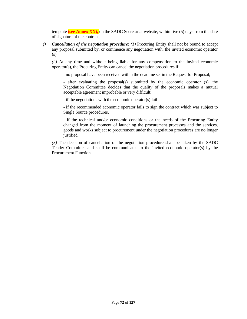template **(see Annex XX),** on the SADC Secretariat website, within five (5) days from the date of signature of the contract,

*j) Cancellation of the negotiation procedure: (1)* Procuring Entity shall not be bound to accept any proposal submitted by, or commence any negotiation with, the invited economic operator (s).

*(2)* At any time and without being liable for any compensation to the invited economic operator(s), the Procuring Entity can cancel the negotiation procedures if:

- no proposal have been received within the deadline set in the Request for Proposal;

- after evaluating the proposal(s) submitted by the economic operator (s), the Negotiation Committee decides that the quality of the proposals makes a mutual acceptable agreement improbable or very difficult;

- if the negotiations with the economic operator(s) fail

- if the recommended economic operator fails to sign the contract which was subject to Single Source procedures,

- if the technical and/or economic conditions or the needs of the Procuring Entity changed from the moment of launching the procurement processes and the services, goods and works subject to procurement under the negotiation procedures are no longer justified.

*(3)* The decision of cancellation of the negotiation procedure shall be taken by the SADC Tender Committee and shall be communicated to the invited economic operator(s) by the Procurement Function.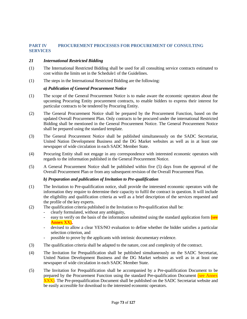# **PART IV PROCUREMENT PROCESSES FOR PROCUREMENT OF CONSULTING SERVICES**

# *21 International Restricted Bidding*

- (1) The International Restricted Bidding shall be used for all consulting service contracts estimated to cost within the limits set in the Schedule1 of the Guidelines.
- (1) The steps in the International Restricted Bidding are the following:

# *a) Publication of General Procurement Notice*

- (1) The scope of the General Procurement Notice is to make aware the economic operators about the upcoming Procuring Entity procurement contracts, to enable bidders to express their interest for particular contracts to be tendered by Procuring Entity.
- (2) The General Procurement Notice shall be prepared by the Procurement Function, based on the updated Overall Procurement Plan. Only contracts to be procured under the international Restricted Bidding shall be mentioned in the General Procurement Notice. The General Procurement Notice shall be prepared using the standard template.
- (3) The General Procurement Notice shall be published simultaneously on the SADC Secretariat, United Nation Development Business and the DG Market websites as well as in at least one newspaper of wide circulation in each SADC Member State.
- (4) Procuring Entity shall not engage in any correspondence with interested economic operators with regards to the information published in the General Procurement Notice.
- (5) A General Procurement Notice shall be published within five (5) days from the approval of the Overall Procurement Plan or from any subsequent revision of the Overall Procurement Plan.

# *b) Preparation and publication of Invitation to Pre-qualification*

- (1) The Invitation to Pre-qualification notice, shall provide the interested economic operators with the information they require to determine their capacity to fulfil the contract in question. It will include the eligibility and qualification criteria as well as a brief description of the services requested and the profile of the key experts.
- (2) The qualification criteria published in the Invitation to Pre-qualification shall be:
	- clearly formulated, without any ambiguity,
	- easy to verify on the basis of the information submitted using the standard application form **(see Annex XX),**
	- devised to allow a clear YES/NO evaluation to define whether the bidder satisfies a particular selection criterion, and
	- possible to prove by the applicants with intrinsic documentary evidence.
- (3) The qualification criteria shall be adapted to the nature, cost and complexity of the contract.
- (4) The Invitation for Prequalification shall be published simultaneously on the SADC Secretariat, United Nation Development Business and the DG Market websites as well as in at least one newspaper of wide circulation in each SADC Member State.
- (5) The Invitation for Prequalification shall be accompanied by a Pre-qualification Document to be prepared by the Procurement Function using the standard Pre-qualification Document (see Annex XXX). The Pre-prequalification Document shall be published on the SADC Secretariat website and be easily accessible for download to the interested economic operators.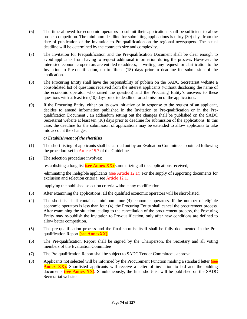- (6) The time allowed for economic operators to submit their applications shall be sufficient to allow proper competition. The minimum deadline for submitting applications is thirty (30) days from the date of publication of the Invitation to Pre-qualification on the regional newspapers. The actual deadline will be determined by the contract's size and complexity.
- (7) The Invitation for Prequalification and the Pre-qualification Document shall be clear enough to avoid applicants from having to request additional information during the process. However, the interested economic operators are entitled to address, in writing, any request for clarification to the Invitation to Pre-qualification, up to fifteen (15) days prior to deadline for submission of the application.
- (8) The Procuring Entity shall have the responsibility of publish on the SADC Secretariat website a consolidated list of questions received from the interest applicants (without disclosing the name of the economic operator who raised the question) and the Procuring Entity's answers to these questions with at least ten (10) days prior to deadline for submission of the applications.
- (9) If the Procuring Entity, either on its own initiative or in response to the request of an applicant, decides to amend information published in the Invitation to Pre-qualification or in the Prequalification Document , an addendum setting out the changes shall be published on the SADC Secretariat website at least ten (10) days prior to deadline for submission of the applications. In this case, the deadline for the submission of applications may be extended to allow applicants to take into account the changes.

# *c) Establishment of the shortlists*

- (1) The short-listing of applicants shall be carried out by an Evaluation Committee appointed following the procedure set in Article 15.7 of the Guidelines.
- (2) The selection procedure involves:

-establishing a long list **(see Annex XX)** summarizing all the applications received;

-eliminating the ineligible applicants (see Article 12.1); For the supply of supporting documents for exclusion and selection criteria, see Article 12.1.

-applying the published selection criteria without any modification.

- (3) After examining the applications, all the qualified economic operators will be short-listed.
- (4) The short-list shall contain a minimum four (4) economic operators. If the number of eligible economic operators is less than four (4), the Procuring Entity shall cancel the procurement process. After examining the situation leading to the cancellation of the procurement process, the Procuring Entity may re-publish the Invitation to Pre-qualification, only after new conditions are defined to allow better competition.
- (5) The pre-qualification process and the final shortlist itself shall be fully documented in the Prequalification Report **(see AnnexXX).**
- (6) The Pre-qualification Report shall be signed by the Chairperson, the Secretary and all voting members of the Evaluation Committee
- (7) The Pre-qualification Report shall be subject to SADC Tender Committee's approval.
- (8) Applicants not selected will be informed by the Procurement Function mailing a standard letter **(see Annex XX).** Shortlisted applicants will receive a letter of invitation to bid and the bidding documents **(see Annex XX).** Simultaneously, the final short-list will be published on the SADC Secretariat website.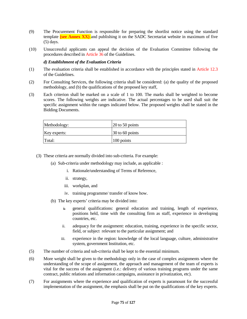- (9) The Procurement Function is responsible for preparing the shortlist notice using the standard template **(see Annex XX)** and publishing it on the SADC Secretariat website in maximum of five (5) days.
- (10) Unsuccessful applicants can appeal the decision of the Evaluation Committee following the procedures described in Article 36 of the Guidelines.

# *d) Establishment of the Evaluation Criteria*

- (1) The evaluation criteria shall be established in accordance with the principles stated in Article 12.3 of the Guidelines.
- (2) For Consulting Services, the following criteria shall be considered: (a) the quality of the proposed methodology, and (b) the qualifications of the proposed key staff,
- (3) Each criterion shall be marked on a scale of 1 to 100. The marks shall be weighted to become scores. The following weights are indicative. The actual percentages to be used shall suit the specific assignment within the ranges indicated below. The proposed weights shall be stated in the Bidding Documents.

| Methodology: | $\vert$ 20 to 50 points |
|--------------|-------------------------|
| Key experts: | $30$ to 60 points       |
| Total:       | 100 points              |

- (3) These criteria are normally divided into sub-criteria. For example:
	- (a) Sub-criteria under methodology may include, as applicable :
		- i. Rationale/understanding of Terms of Reference,
		- ii. strategy,
		- iii. workplan, and
		- iv. training programme/ transfer of know how.
	- (b) The key experts' criteria may be divided into:
		- $\frac{1}{\sqrt{2}}$  general qualifications: general education and training, length of experience, positions held, time with the consulting firm as staff, experience in developing countries, etc.
		- ii. adequacy for the assignment: education, training, experience in the specific sector, field, or subject relevant to the particular assignment; and
		- iii. experience in the region: knowledge of the local language, culture, administrative system, government Institution, etc.
- (5) The number of criteria and sub-criteria shall be kept to the essential minimum.
- (6) More weight shall be given to the methodology only in the case of complex assignments where the understanding of the scope of assignment, the approach and management of the team of experts is vital for the success of the assignment (i.e.: delivery of various training programs under the same contract, public relations and information campaigns, assistance in privatization, etc).
- (7) For assignments where the experience and qualification of experts is paramount for the successful implementation of the assignment, the emphasis shall be put on the qualifications of the key experts.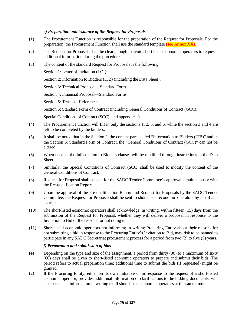# *e) Preparation and issuance of the Request for Proposals*

- (1) The Procurement Function is responsible for the preparation of the Request for Proposals. For the preparation, the Procurement Function shall use the standard template **(see Annex XX).**
- (2) The Request for Proposals shall be clear enough to avoid short listed economic operators to request additional information during the procedure.
- (3) The content of the standard Request for Proposals is the following:

Section 1: Letter of Invitation (LOI);

Section 2: Information to Bidders (ITB) (including the Data Sheet);

Section 3: Technical Proposal—Standard Forms;

Section 4: Financial Proposal—Standard Forms;

Section 5: Terms of Reference;

Section 6: Standard Form of Contract (including General Conditions of Contract (GCC),

Special Conditions of Contract (SCC), and appendices).

- (4) The Procurement Function will fill in only the sections 1, 2, 5, and 6, while the section 3 and 4 are left to be completed by the bidders.
- (5) It shall be noted that in the Section 2, the content parts called "Information to Bidders (ITB)" and in the Section 6: Standard Form of Contract, the "General Conditions of Contract (GCC)" can not be altered.
- (6) When needed, the Information to Bidders clauses will be modified through instructions in the Data Sheet.
- (7) Similarly, the Special Conditions of Contract (SCC) shall be used to modify the content of the General Conditions of Contract.
- (8) Request for Proposal shall be sent for the SADC Tender Committee's approval simultaneously with the Pre-qualification Report.
- (9) Upon the approval of the Pre-qualification Report and Request for Proposals by the SADC Tender Committee, the Request for Proposal shall be sent to short-listed economic operators by email and courier.
- (10) The short-listed economic operators shall acknowledge, in writing, within fifteen (15) days from the submission of the Request for Proposal, whether they will deliver a proposal in response to the Invitation to Bid or the reasons for not doing it.
- (11) Short-listed economic operators not informing in writing Procuring Entity about their reasons for not submitting a bid in response to the Procuring Entity's Invitation to Bid, may risk to be banned to participate in any SADC Secretariat procurement process for a period from two (2) to five (5) years.

# *f) Preparation and submission of bids*

- $\leftrightarrow$  Depending on the type and size of the assignment, a period from thirty (30) to a maximum of sixty (60) days shall be given to short-listed economic operators to prepare and submit their bids. The period refers to actual preparation time; additional time to submit the bids (if requested) might be granted.
- (2) If the Procuring Entity, either on its own initiative or in response to the request of a short-listed economic operator, provides additional information or clarifications to the bidding documents, will also send such information in writing to all short-listed economic operators at the same time.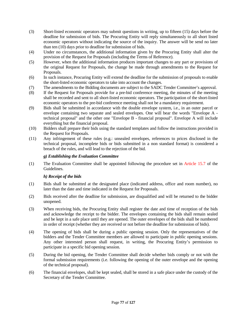- (3) Short-listed economic operators may submit questions in writing, up to fifteen (15) days before the deadline for submission of bids. The Procuring Entity will reply simultaneously to all short listed economic operators without indicating the source of the inquiry. The answer will be send no later than ten (10) days prior to deadline for submission of bids.
- (4) Under no circumstances, the additional information given by the Procuring Entity shall alter the provision of the Request for Proposals (including the Terms of Reference).
- (5) However, when the additional information produces important changes to any part or provisions of the original Request for Proposals, the change be made through amendments to the Request for Proposals.
- (6) In such instance, Procuring Entity will extend the deadline for the submission of proposals to enable the short-listed economic operators to take into account the changes.
- (7) The amendments to the Bidding documents are subject to the SADC Tender Committee's approval.
- (8) If the Request for Proposals provide for a pre-bid conference meeting, the minutes of the meeting shall be recorded and sent to all short-listed economic operators. The participation of the short-listed economic operators to the pre-bid conference meeting shall not be a mandatory requirement.
- (9) Bids shall be submitted in accordance with the double envelope system, i.e., in an outer parcel or envelope containing two separate and sealed envelopes. One will bear the words "Envelope A technical proposal" and the other one "Envelope B - financial proposal". Envelope A will include everything but the financial proposal.
- (10) Bidders shall prepare their bids using the standard templates and follow the instructions provided in the Request for Proposals.
- (11) Any infringement of these rules (e.g.: unsealed envelopes, references to prices disclosed in the technical proposal, incomplete bids or bids submitted in a non standard format) is considered a breach of the rules, and will lead to the rejection of the bid.

# *g) Establishing the Evaluation Committee*

(1) The Evaluation Committee shall be appointed following the procedure set in Article 15.7 of the Guidelines.

# *h) Receipt of the bids*

- (1) Bids shall be submitted at the designated place (indicated address, office and room number), no later than the date and time indicated in the Request for Proposals.
- (2) Bids received after the deadline for submission, are disqualified and will be returned to the bidder unopened.
- (3) When receiving bids, the Procuring Entity shall register the date and time of reception of the bids and acknowledge the receipt to the bidder. The envelopes containing the bids shall remain sealed and be kept in a safe place until they are opened. The outer envelopes of the bids shall be numbered in order of receipt (whether they are received or not before the deadline for submission of bids).
- (4) The opening of bids shall be during a public opening session. Only the representatives of the bidders and the Tender Committee members are allowed to participate in public opening sessions. Any other interested person shall request, in writing, the Procuring Entity's permission to participate in a specific bid opening session.
- (5) During the bid opening, the Tender Committee shall decide whether bids comply or not with the formal submission requirements (i.e. following the opening of the outer envelope and the opening of the technical proposal).
- (6) The financial envelopes, shall be kept sealed, shall be stored in a safe place under the custody of the Secretary of the Tender Committee.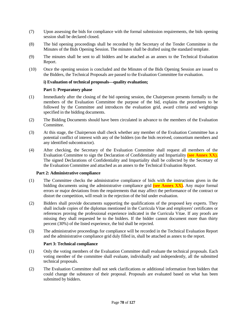- (7) Upon assessing the bids for compliance with the formal submission requirements, the bids opening session shall be declared closed.
- (8) The bid opening proceedings shall be recorded by the Secretary of the Tender Committee in the Minutes of the Bids Opening Session. The minutes shall be drafted using the standard template.
- (9) The minutes shall be sent to all bidders and be attached as an annex to the Technical Evaluation Report.
- (10) Once the opening session is concluded and the Minutes of the Bids Opening Session are issued to the Bidders, the Technical Proposals are passed to the Evaluation Committee for evaluation.

# **i) Evaluation of technical proposals—quality evaluation;**

# **Part 1: Preparatory phase**

- (1) Immediately after the closing of the bid opening session, the Chairperson presents formally to the members of the Evaluation Committee the purpose of the bid, explains the procedures to be followed by the Committee and introduces the evaluation grid, award criteria and weightings specified in the bidding documents.
- (2) The Bidding Documents should have been circulated in advance to the members of the Evaluation Committee.
- (3) At this stage, the Chairperson shall check whether any member of the Evaluation Committee has a potential conflict of interest with any of the bidders (on the bids received, consortium members and any identified subcontractor).
- (4) After checking, the Secretary of the Evaluation Committee shall request all members of the Evaluation Committee to sign the Declaration of Confidentiality and Impartiality **(see Annex XX).**  The signed Declarations of Confidentiality and Impartiality shall be collected by the Secretary of the Evaluation Committee and attached as an annex to the Technical Evaluation Report.

# **Part 2: Administrative compliance**

- (1) The Committee checks the administrative compliance of bids with the instructions given in the bidding documents using the administrative compliance grid **(see Annex XX).** Any major formal errors or major deviations from the requirements that may affect the performance of the contract or distort the competition, will result in the rejection of the bid under evaluation.
- (2) Bidders shall provide documents supporting the qualifications of the proposed key experts. They shall include copies of the diplomas mentioned in the Curricula Vitae and employers' certificates or references proving the professional experience indicated in the Curricula Vitae. If any proofs are missing they shall requested be to the bidders. If the bidder cannot document more than thirty percent (30%) of the listed experience, the bid shall be rejected.
- (3) The administrative proceedings for compliance will be recorded in the Technical Evaluation Report and the administrative compliance grid duly filled in, shall be attached as annex to the report.

# **Part 3: Technical compliance**

- (1) Only the voting members of the Evaluation Committee shall evaluate the technical proposals. Each voting member of the committee shall evaluate, individually and independently, all the submitted technical proposals.
- (2) The Evaluation Committee shall not seek clarifications or additional information from bidders that could change the substance of their proposal. Proposals are evaluated based on what has been submitted by bidders.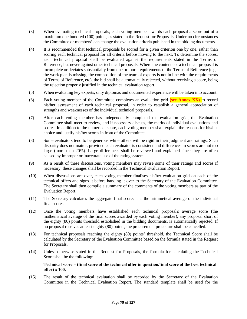- (3) When evaluating technical proposals, each voting member awards each proposal a score out of a maximum one hundred (100) points, as stated in the Request for Proposals. Under no circumstances the Committee or members' can change the evaluation criteria published in the bidding documents.
- (4) It is recommended that technical proposals be scored for a given criterion one by one, rather than scoring each technical proposal for all criteria before moving to the next. To determine the scores, each technical proposal shall be evaluated against the requirements stated in the Terms of Reference, but never against other technical proposals. Where the contents of a technical proposal is incomplete or deviates substantially from one or more requirements of the Terms of Reference (e.g.: the work plan is missing, the composition of the team of experts is not in line with the requirements of Terms of Reference, etc), the bid shall be automatically rejected, without receiving a score, being the rejection properly justified in the technical evaluation report.
- (5) When evaluating key experts, only diplomas and documented experience will be taken into account.
- (6) Each voting member of the Committee completes an evaluation grid **(see Annex XX)** to record his/her assessment of each technical proposal, in order to establish a general appreciation of strengths and weaknesses of the individual technical proposals.
- (7) After each voting member has independently completed the evaluation grid, the Evaluation Committee shall meet to review, and if necessary discuss, the merits of individual evaluations and scores. In addition to the numerical score, each voting member shall explain the reasons for his/her choice and justify his/her scores in front of the Committee.
- (8) Some evaluators tend to be generous while others will be rigid in their judgment and ratings. Such disparity does not matter, provided each evaluator is consistent and differences in scores are not too large (more than 20%). Large differences shall be reviewed and explained since they are often caused by improper or inaccurate use of the rating system.
- (9) As a result of these discussions, voting members may revise some of their ratings and scores if necessary; these changes shall be recorded in the Technical Evaluation Report.
- (10) When discussions are over, each voting member finalises his/her evaluation grid on each of the technical offers and signs it before handing it over to the Secretary of the Evaluation Committee. The Secretary shall then compile a summary of the comments of the voting members as part of the Evaluation Report.
- (11) The Secretary calculates the aggregate final score; it is the arithmetical average of the individual final scores.
- (12) Once the voting members have established each technical proposal's average score (the mathematical average of the final scores awarded by each voting member), any proposal short of the eighty (80) points threshold established in the bidding documents, is automatically rejected. If no proposal receives at least eighty (80) points, the procurement procedure shall be cancelled.
- (13) For technical proposals reaching the eighty (80) points' threshold, the Technical Score shall be calculated by the Secretary of the Evaluation Committee based on the formula stated in the Request for Proposals.
- (14) Unless otherwise stated in the Request for Proposals, the formula for calculating the Technical Score shall be the following:

#### **Technical score = (final score of the technical offer in question/final score of the best technical offer) x 100.**

(15) The result of the technical evaluation shall be recorded by the Secretary of the Evaluation Committee in the Technical Evaluation Report. The standard template shall be used for the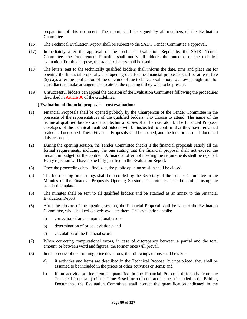preparation of this document. The report shall be signed by all members of the Evaluation Committee.

- (16) The Technical Evaluation Report shall be subject to the SADC Tender Committee's approval.
- (17) Immediately after the approval of the Technical Evaluation Report by the SADC Tender Committee, the Procurement Function shall notify all bidders the outcome of the technical evaluation. For this purpose, the standard letters shall be used.
- (18) The letters sent to the technically qualified bidders shall inform the date, time and place set for opening the financial proposals. The opening date for the financial proposals shall be at least five (5) days after the notification of the outcome of the technical evaluation, to allow enough time for consultants to make arrangements to attend the opening if they wish to be present.
- (19) Unsuccessful bidders can appeal the decision of the Evaluation Committee following the procedures described in Article 36 of the Guidelines.

# **j) Evaluation of financial proposals—cost evaluation;**

- (1) Financial Proposals shall be opened publicly by the Chairperson of the Tender Committee in the presence of the representatives of the qualified bidders who choose to attend. The name of the technical qualified bidders and their technical scores shall be read aloud. The Financial Proposal envelopes of the technical qualified bidders will be inspected to confirm that they have remained sealed and unopened. These Financial Proposals shall be opened, and the total prices read aloud and duly recorded.
- (2) During the opening session, the Tender Committee checks if the financial proposals satisfy all the formal requirements, including the one stating that the financial proposal shall not exceed the maximum budget for the contract. A financial offer not meeting the requirements shall be rejected. Every rejection will have to be fully justified in the Evaluation Report.
- (3) Once the proceedings have finalized, the public opening session shall be closed.
- (4) The bid opening proceedings shall be recorded by the Secretary of the Tender Committee in the Minutes of the Financial Proposals Opening Session. The minutes shall be drafted using the standard template.
- (5) The minutes shall be sent to all qualified bidders and be attached as an annex to the Financial Evaluation Report.
- (6) After the closure of the opening session, the Financial Proposal shall be sent to the Evaluation Committee, who shall collectively evaluate them. This evaluation entails:
	- a) correction of any computational errors;
	- b) determination of price deviations; and
	- c) calculation of the financial score.
- (7) When correcting computational errors, in case of discrepancy between a partial and the total amount, or between word and figures, the former ones will prevail.
- (8) In the process of determining price deviations, the following actions shall be taken:
	- a) if activities and items are described in the Technical Proposal but not priced, they shall be assumed to be included in the prices of other activities or items; and
	- b) If an activity or line item is quantified in the Financial Proposal differently from the Technical Proposal, (i) if the Time-Based form of contract has been included in the Bidding Documents, the Evaluation Committee shall correct the quantification indicated in the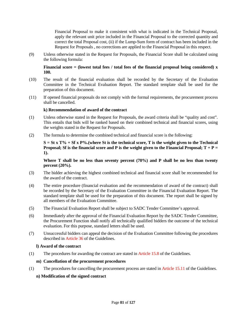Financial Proposal to make it consistent with what is indicated in the Technical Proposal, apply the relevant unit price included in the Financial Proposal to the corrected quantity and correct the total Proposal cost, (ii) if the Lump-Sum form of contract has been included in the Request for Proposals , no corrections are applied to the Financial Proposal in this respect.

(9) Unless otherwise stated in the Request for Proposals, the Financial Score shall be calculated using the following formula:

**Financial score = (lowest total fees / total fees of the financial proposal being considered) x 100.** 

- (10) The result of the financial evaluation shall be recorded by the Secretary of the Evaluation Committee in the Technical Evaluation Report. The standard template shall be used for the preparation of this document.
- (11) If opened financial proposals do not comply with the formal requirements, the procurement process shall be cancelled.

#### **k) Recommendation of award of the contract**

- (1) Unless otherwise stated in the Request for Proposals, the award criteria shall be "quality and cost". This entails that bids will be ranked based on their combined technical and financial scores, using the weights stated in the Request for Proposals.
- (2) The formula to determine the combined technical and financial score is the following:

 $S = St x T\% + Sf x P\%$ . (where St is the technical score, T is the weight given to the Technical **Proposal; Sf is the financial score and P is the weight given to the Financial Proposal; T + P = 1).** 

**Where T shall be no less than seventy percent (70%) and P shall be no less than twenty percent (20%).**

- (3) The bidder achieving the highest combined technical and financial score shall be recommended for the award of the contract.
- (4) The entire procedure (financial evaluation and the recommendation of award of the contract) shall be recorded by the Secretary of the Evaluation Committee in the Financial Evaluation Report. The standard template shall be used for the preparation of this document. The report shall be signed by all members of the Evaluation Committee.
- (5) The Financial Evaluation Report shall be subject to SADC Tender Committee's approval.
- (6) Immediately after the approval of the Financial Evaluation Report by the SADC Tender Committee, the Procurement Function shall notify all technically qualified bidders the outcome of the technical evaluation. For this purpose, standard letters shall be used.
- (7) Unsuccessful bidders can appeal the decision of the Evaluation Committee following the procedures described in Article 36 of the Guidelines.

#### **l) Award of the contract**

(1) The procedures for awarding the contract are stated in Article 15.8 of the Guidelines.

# **m) Cancellation of the procurement procedures**

(1) The procedures for cancelling the procurement process are stated in Article 15.11 of the Guidelines.

# **n) Modification of the signed contract**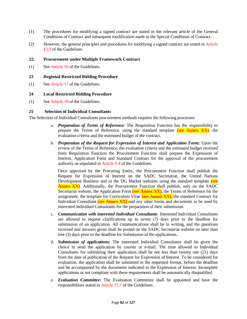- (1) The procedures for modifying a signed contract are stated in the relevant article of the General Conditions of Contract and subsequent modification made in the Special Conditions of Contract.
- (2) However, the general principles and procedures for modifying a signed contract are stated in Article 15.9 of the Guidelines.

# **22. Procurement under Multiple Framework Contract**

(1) See Article 16 of the Guidelines.

# **23 Regional Restricted Bidding Procedure**

(1) See Article 17 of the Guidelines.

# **24 Local Restricted Bidding Procedure**

(1) See Article 18 of the Guidelines.

# *25* **Selection of Individual Consultants**

The Selection of Individual Consultants procurement methods requires the following processes:

- a. *Preparation of Terms of Reference:* The Requisition Function has the responsibility to prepare the Terms of Reference, using the standard template **(see Annex XX)**, the evaluation criteria and the estimated budget of the contract.
- b. *Preparation of the Request for Expression of Interest and Application Form:* Upon the review of the Terms of Reference, the evaluation criteria and the estimated budget received from Requisition Function the Procurement Function shall prepare the Expression of Interest, Application Form and Standard Contract for the approval of the procurement authority as stipulated in Article 6.4 of the Guidelines.

Once approved by the Procuring Entity, the Procurement Function shall publish the Request for Expression of Interest on the SADC Secretariat, the United Nations Development Business and in the DG Market websites using the standard template **(see Annex XX)**. Additionally, the Procurement Function shall publish, only on the SADC Secretariat website, the Application Form (see **Annex XX)**, the Terms of Reference for the assignment, the template for Curriculum Vitae **(see Annex XX),** the standard Contract for Individual Consultant **(see Annex XX)** and any other forms and documents to be used by interested Individual Consultants for the preparation of their submission.

- c. *Communication with interested Individual Consultants:* Interested Individual Consultants are allowed to request clarifications up to seven (7) days prior to the deadline for submission of an application. All communications shall be in writing, and the questions received and answers given shall be posted on the SADC Secretariat website no later than tree (3) days prior to the deadline for Submission of the applications.
- d. *Submission of applications:* The interested Individual Consultants shall be given the choice to send the application by courier or e-mail. The time allowed to Individual Consultants for submitting their application shall be not less than twenty one (21) days from the date of publication of the Request for Expression of Interest. To be considered for evaluation, the application shall be submitted in the requested format, before the deadline and be accompanied by the documents indicated in the Expression of Interest. Incomplete applications or not compliant with these requirements shall be automatically disqualified.
- e. *Evaluation Committee:* The Evaluation Committee shall be appointed and have the responsibilities stated in Article 15.7 of the Guidelines.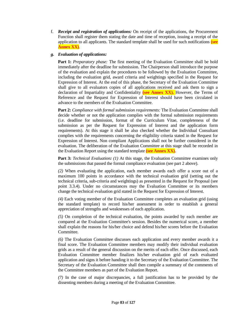f. *Receipt and registration of applications:* On receipt of the applications, the Procurement Function shall register them stating the date and time of reception, issuing a receipt of the application to all applicants. The standard template shall be used for such notifications **(see Annex XX)**.

# *g. Evaluation of applications:*

**Part 1:** *Preparatory phase:* The first meeting of the Evaluation Committee shall be hold immediately after the deadline for submission. The Chairperson shall introduce the purpose of the evaluation and explain the procedures to be followed by the Evaluation Committee, including the evaluation grid, award criteria and weightings specified in the Request for Expression of Interest. At the end of this phase, the Secretary of the Evaluation Committee shall give to all evaluators copies of all applications received and ask them to sign a declaration of Impartiality and Confidentiality **(see Annex XX).** However, the Terms of Reference and the Request for Expression of Interest should have been circulated in advance to the members of the Evaluation Committee.

**Part 2:** *Compliance with formal submission requirements:* The Evaluation Committee shall decide whether or not the application complies with the formal submission requirements (i.e. deadline for submission, format of the Curriculum Vitae, completeness of the submission as per the Request for Expression of Interest and the application form requirements). At this stage it shall be also checked whether the Individual Consultant complies with the requirements concerning the eligibility criteria stated in the Request for Expression of Interest. Non compliant Applications shall not be further considered in the evaluation. The deliberation of the Evaluation Committee at this stage shall be recorded in the Evaluation Report using the standard template **(see Annex XX).**

**Part 3:** *Technical Evaluation: (1)* At this stage, the Evaluation Committee examines only the submissions that passed the formal compliance evaluation (see part 2 above).

*(2)* When evaluating the application, each member awards each offer a score out of a maximum 100 points in accordance with the technical evaluation grid (setting out the technical criteria, sub-criteria and weightings) as presented in the Request for Proposal (see point 3.3.4). Under no circumstances may the Evaluation Committee or its members change the technical evaluation grid stated in the Request for Expression of Interest.

*(4)* Each voting member of the Evaluation Committee completes an evaluation grid (using the standard template) to record his/her assessment in order to establish a general appreciation of strengths and weaknesses of each application.

*(5)* On completion of the technical evaluation, the points awarded by each member are compared at the Evaluation Committee's session. Besides the numerical score, a member shall explain the reasons for his/her choice and defend his/her scores before the Evaluation Committee.

*(6)* The Evaluation Committee discusses each application and every member awards it a final score. The Evaluation Committee members may modify their individual evaluation grids as a result of the general discussion on the merits of each offer. Once discussed, each Evaluation Committee member finalizes his/her evaluation grid of each evaluated application and signs it before handing it to the Secretary of the Evaluation Committee. The Secretary of the Evaluation Committee shall then compile a summary of the comments of the Committee members as part of the Evaluation Report.

*(7)* In the case of major discrepancies, a full justification has to be provided by the dissenting members during a meeting of the Evaluation Committee.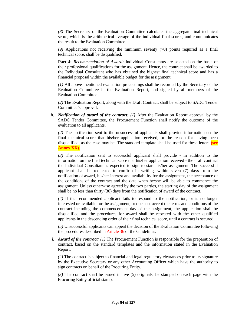*(8)* The Secretary of the Evaluation Committee calculates the aggregate final technical score, which is the arithmetical average of the individual final scores, and communicates the result to the Evaluation Committee.

*(9)* Applications not receiving the minimum seventy (70) points required as a final technical score, shall be disqualified.

**Part 4:** *Recommendation of Award:* Individual Consultants are selected on the basis of their professional qualifications for the assignment. Hence, the contract shall be awarded to the Individual Consultant who has obtained the highest final technical score and has a financial proposal within the available budget for the assignment.

*(1)* All above mentioned evaluation proceedings shall be recorded by the Secretary of the Evaluation Committee in the Evaluation Report, and signed by all members of the Evaluation Committee.

*(2)* The Evaluation Report, along with the Draft Contract, shall be subject to SADC Tender Committee's approval.

h. *Notification of award of the contract: (1)* After the Evaluation Report approval by the SADC Tender Committee, the Procurement Function shall notify the outcome of the evaluation to all applicants.

*(2)* The notification sent to the unsuccessful applicants shall provide information on the final technical score that his/her application received, or the reason for having been disqualified, as the case may be. The standard template shall be used for these letters **(see Annex XX).**

*(3)* The notification sent to successful applicant shall provide - in addition to the information on the final technical score that his/her application received - the draft contract the Individual Consultant is expected to sign to start his/her assignment. The successful applicant shall be requested to confirm in writing, within seven (7) days from the notification of award, his/her interest and availability for the assignment, the acceptance of the conditions of the contract and the date when he/she will be able to commence the assignment. Unless otherwise agreed by the two parties, the starting day of the assignment shall be no less than thirty (30) days from the notification of award of the contract.

*(4)* If the recommended applicant fails to respond to the notification, or is no longer interested or available for the assignment, or does not accept the terms and conditions of the contract including the commencement day of the assignment, the application shall be disqualified and the procedures for award shall be repeated with the other qualified applicants in the descending order of their final technical score, until a contract is secured.

*(5)* Unsuccessful applicants can appeal the decision of the Evaluation Committee following the procedures described in Article 36 of the Guidelines.

*i. Award of the contract: (1)* The Procurement Function is responsible for the preparation of contract, based on the standard templates and the information stated in the Evaluation Report.

*(2)* The contract is subject to financial and legal regulatory clearances prior to its signature by the Executive Secretary or any other Accounting Officer which have the authority to sign contracts on behalf of the Procuring Entity.

*(3)* The contract shall be issued in five (5) originals, be stamped on each page with the Procuring Entity official stamp.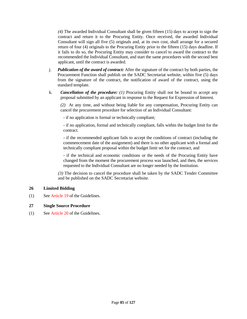*(4)* The awarded Individual Consultant shall be given fifteen (15) days to accept to sign the contract and return it to the Procuring Entity. Once received, the awarded Individual Consultant will sign all five (5) originals and, at its own cost, shall arrange for a secured return of four (4) originals to the Procuring Entity prior to the fifteen (15) days deadline. If it fails to do so, the Procuring Entity may consider to cancel to award the contract to the recommended the Individual Consultant, and start the same procedures with the second best applicant, until the contract is awarded.

- j. *Publication of the award of contract:* After the signature of the contract by both parties, the Procurement Function shall publish on the SADC Secretariat website, within five (5) days from the signature of the contract, the notification of award of the contract, using the standard template.
- k. *Cancellation of the procedure: (1)* Procuring Entity shall not be bound to accept any proposal submitted by an applicant in response to the Request for Expression of Interest.

*(2)* At any time, and without being liable for any compensation, Procuring Entity can cancel the procurement procedure for selection of an Individual Consultant:

- if no application is formal or technically compliant;

- if no application, formal and technically compliant, falls within the budget limit for the contract.

- if the recommended applicant fails to accept the conditions of contract (including the commencement date of the assignment) and there is no other applicant with a formal and technically compliant proposal within the budget limit set for the contract, and

- if the technical and economic conditions or the needs of the Procuring Entity have changed from the moment the procurement process was launched, and then, the services requested to the Individual Consultant are no longer needed by the Institution.

*(3)* The decision to cancel the procedure shall be taken by the SADC Tender Committee and be published on the SADC Secretariat website.

# **26 Limited Bidding**

(1) See Article 19 of the Guidelines.

# **27 Single Source Procedure**

(1) See Article 20 of the Guidelines.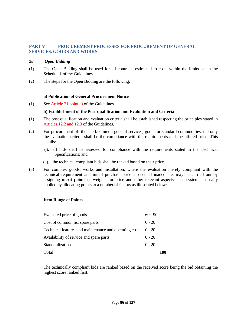# **PART V PROCUREMENT PROCESSES FOR PROCUREMENT OF GENERAL SERVICES, GOODS AND WORKS**

#### *28 Open Bidding*

- (1) The Open Bidding shall be used for all contracts estimated to costs within the limits set in the Schedule1 of the Guidelines.
- (2) The steps for the Open Bidding are the following:

#### **a) Publication of General Procurement Notice**

(1) See Article 21 point a) of the Guidelines

#### **b) Establishment of the Post-qualification and Evaluation and Criteria**

- (1) The post qualification and evaluation criteria shall be established respecting the principles stated in Articles 12.2 and 12.3 of the Guidelines.
- (2) For procurement off-the-shelf/common general services, goods or standard commodities, the only the evaluation criteria shall be the compliance with the requirements and the offered price. This entails:
	- (i). all bids shall be assessed for compliance with the requirements stated in the Technical Specifications; and
	- (ii). the technical compliant bids shall be ranked based on their price.
- (3) For complex goods, works and installation, where the evaluation merely compliant with the technical requirement and initial purchase price is deemed inadequate, may be carried out by assigning **merit points** or weights for price and other relevant aspects. This system is usually applied by allocating points to a number of factors as illustrated below:

#### **Item Range of Points**

| <b>Total</b>                                           |           | 100 |
|--------------------------------------------------------|-----------|-----|
| Standardization                                        | $0 - 20$  |     |
| Availability of service and spare parts                |           |     |
| Technical features and maintenance and operating costs | $0 - 20$  |     |
| Cost of common list spare parts                        | $0 - 20$  |     |
| Evaluated price of goods                               | $60 - 90$ |     |

The technically compliant bids are ranked based on the received score being the bid obtaining the highest score ranked first.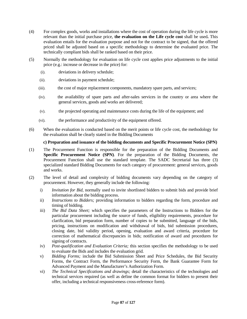- (4) For complex goods, works and installations where the cost of operation during the life cycle is more relevant than the initial purchase price, **the evaluation on the Life cycle cost** shall be used**.** This evaluation entails for the evaluation purpose and not for the contract to be signed, that the offered priced shall be adjusted based on a specific methodology to determine the evaluated price. The technically compliant bids shall be ranked based on their price.
- (5) Normally the methodology for evaluation on life cycle cost applies price adjustments to the initial price (e.g.: increase or decrease in the price) for:
	- (i). deviations in delivery schedule;
	- (ii). deviations in payment schedule;
	- (iii). the cost of major replacement components, mandatory spare parts, and services;
	- (iv). the availability of spare parts and after-sales services in the country or area where the general services, goods and works are delivered;
	- (v). the projected operating and maintenance costs during the life of the equipment; and
	- (vi). the performance and productivity of the equipment offered.
- (6) When the evaluation is conducted based on the merit points or life cycle cost, the methodology for the evaluation shall be clearly stated in the Bidding Documents

# **c) Preparation and issuance of the bidding documents and Specific Procurement Notice (SPN)**

- (1) The Procurement Function is responsible for the preparation of the Bidding Documents and **Specific Procurement Notice (SPN)**. For the preparation of the Bidding Documents, the Procurement Function shall use the standard template. The SADC Secretarial has three (3) specialized standard Bidding Documents for each category of procurement: general services, goods and works.
- (2) The level of detail and complexity of bidding documents vary depending on the category of procurement. However, they generally include the following:
	- i) *Invitation for Bid,* normally used to invite shortlisted bidders to submit bids and provide brief information about the bidding process.
	- ii) *Instructions to Bidders;* providing information to bidders regarding the form, procedure and timing of bidding.
	- iii) *The Bid Data Sheet;* which specifies the parameters of the Instructions to Bidders for the particular procurement including the source of funds, eligibility requirements, procedure for clarification, bid preparation form, number of copies to be submitted, language of the bids, pricing, instructions on modification and withdrawal of bids, bid submission procedures, closing date, bid validity period, opening, evaluation and award criteria, procedure for correction of mathematical discrepancies in bids; notification of award and procedures for signing of contracts.
	- iv) *Post-qualification and Evaluation Criteria;* this section specifies the methodology to be used to evaluate the Bids and includes the evaluation grid.
	- v) *Bidding Forms;* include the Bid Submission Sheet and Price Schedules, the Bid Security Forms, the Contract Form, the Performance Security Form, the Bank Guarantee Form for Advanced Payment and the Manufacturer's Authorization Form.
	- vi) *The Technical Specifications and drawings;* detail the characteristics of the technologies and technical services required (as well as define the common format for bidders to present their offer, including a technical responsiveness cross-reference form).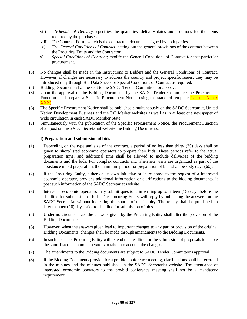- vii) *Schedule of Delivery;* specifies the quantities, delivery dates and locations for the items required by the purchaser.
- viii) The Contract Form, which is the contractual documents signed by both parties.
- ix) *The General Conditions of Contract;* setting out the general provisions of the contract between the Procuring Entity and the Contractor.
- x) *Special Conditions of Contract;* modify the General Conditions of Contract for that particular procurement.
- (3) No changes shall be made in the Instructions to Bidders and the General Conditions of Contract. However, if changes are necessary to address the country and project specific issues, they may be introduced only through Bid Data Sheets or Special Conditions of Contract as required.
- (4) Bidding Documents shall be sent to the SADC Tender Committee for approval.
- (5) Upon the approval of the Bidding Documents by the SADC Tender Committee the Procurement Function shall prepare a Specific Procurement Notice using the standard template (see the Annex XXX)
- (6) The Specific Procurement Notice shall be published simultaneously on the SADC Secretariat, United Nation Development Business and the DG Market websites as well as in at least one newspaper of wide circulation in each SADC Member State.
- **(7)** Simultaneously with the publication of the Specific Procurement Notice, the Procurement Function shall post on the SADC Secretariat website the Bidding Documents.

# **f) Preparation and submission of bids**

- (1) Depending on the type and size of the contract, a period of no less than thirty (30) days shall be given to short-listed economic operators to prepare their bids. These periods refer to the actual preparation time, and additional time shall be allowed to include deliveries of the bidding documents and the bids. For complex contracts and when site visits are organized as part of the assistance in bid preparation, the minimum period for preparation of bids shall be sixty days (60).
- (2) If the Procuring Entity, either on its own initiative or in response to the request of a interested economic operator, provides additional information or clarifications to the bidding documents, it post such information of the SADC Secretariat website
- (3) Interested economic operators may submit questions in writing up to fifteen (15) days before the deadline for submission of bids. The Procuring Entity will reply by publishing the answers on the SADC Secretariat without indicating the source of the inquiry. The replay shall be published no later than ten (10) days prior to deadline for submission of bids.
- (4) Under no circumstances the answers given by the Procuring Entity shall alter the provision of the Bidding Documents.
- (5) However, when the answers given lead to important changes to any part or provision of the original Bidding Documents, changes shall be made through amendments to the Bidding Documents.
- (6) In such instance, Procuring Entity will extend the deadline for the submission of proposals to enable the short-listed economic operators to take into account the changes.
- (7) The amendments to the Bidding documents are subject to SADC Tender Committee's approval.
- (8) If the Bidding Documents provide for a pre-bid conference meeting, clarifications shall be recorded in the minutes and the minutes published on the SADC Secretariat website. The attendance of interested economic operators to the pre-bid conference meeting shall not be a mandatory requirement.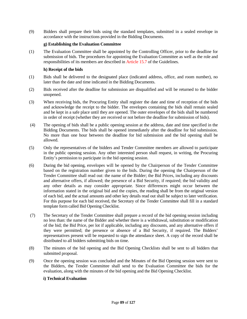(9) Bidders shall prepare their bids using the standard templates, submitted in a sealed envelope in accordance with the instructions provided in the Bidding Documents.

#### **g) Establishing the Evaluation Committee**

(1) The Evaluation Committee shall be appointed by the Controlling Officer, prior to the deadline for submission of bids. The procedures for appointing the Evaluation Committee as well as the role and responsibilities of its members are described in Article 15.7 of the Guidelines.

# **h) Receipt of the bids**

- (1) Bids shall be delivered to the designated place (indicated address, office, and room number), no later than the date and time indicated in the Bidding Documents.
- (2) Bids received after the deadline for submission are disqualified and will be returned to the bidder unopened.
- (3) When receiving bids, the Procuring Entity shall register the date and time of reception of the bids and acknowledge the receipt to the bidder. The envelopes containing the bids shall remain sealed and be kept in a safe place until they are opened. The outer envelopes of the bids shall be numbered in order of receipt (whether they are received or not before the deadline for submission of bids).
- (4) The opening of bids shall be a public opening session at the address, date and time specified in the Bidding Documents. The bids shall be opened immediately after the deadline for bid submission. No more than one hour between the deadline for bid submission and the bid opening shall be allowed.
- (5) Only the representatives of the bidders and Tender Committee members are allowed to participate in the public opening session. Any other interested person shall request, in writing, the Procuring Entity's permission to participate in the bid opening session.
- (6) During the bid opening, envelopes will be opened by the Chairperson of the Tender Committee based on the registration number given to the bids. During the opening the Chairperson of the Tender Committee shall read out: the name of the Bidder; the Bid Prices, including any discounts and alternative offers, if allowed; the presence of a Bid Security, if required; the bid validity and any other details as may consider appropriate. Since differences might occur between the information stated in the original bid and the copies, the reading shall be from the original version of each bid, and the actual amounts and other key details read out shall be subject to later verification. For this purpose for each bid received, the Secretary of the Tender Committee shall fill in a standard template form called Bid Opening Checklist.
- (7) The Secretary of the Tender Committee shall prepare a record of the bid opening session including no less than: the name of the Bidder and whether there is a withdrawal, substitution or modification of the bid; the Bid Price, per lot if applicable, including any discounts, and any alternative offers if they were permitted; the presence or absence of a Bid Security, if required. The Bidders' representatives present will be requested to sign the attendance sheet. A copy of the record shall be distributed to all bidders submitting bids on time.
- (8) The minutes of the bid opening and the Bid Opening Checklists shall be sent to all bidders that submitted proposal.
- (9) Once the opening session was concluded and the Minutes of the Bid Opening session were sent to the Bidders, the Tender Committee shall send to the Evaluation Committee the bids for the evaluation, along with the minutes of the bid opening and the Bid Opening Checklist.

# **i) Technical Evaluation**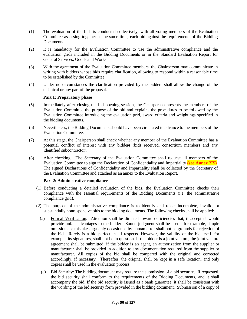- (1) The evaluation of the bids is conducted collectively, with all voting members of the Evaluation Committee assessing together at the same time, each bid against the requirements of the Bidding Documents.
- (2) It is mandatory for the Evaluation Committee to use the administrative compliance and the evaluation grids included in the Bidding Documents or in the Standard Evaluation Report for General Services, Goods and Works.
- (3) With the agreement of the Evaluation Committee members, the Chairperson may communicate in writing with bidders whose bids require clarification, allowing to respond within a reasonable time to be established by the Committee.
- (4) Under no circumstances the clarification provided by the bidders shall allow the change of the technical or any part of the proposal.

# **Part 1: Preparatory phase**

- (5) Immediately after closing the bid opening session, the Chairperson presents the members of the Evaluation Committee the purpose of the bid and explains the procedures to be followed by the Evaluation Committee introducing the evaluation grid, award criteria and weightings specified in the bidding documents.
- (6) Nevertheless, the Bidding Documents should have been circulated in advance to the members of the Evaluation Committee.
- (7) At this stage, the Chairperson shall check whether any member of the Evaluation Committee has a potential conflict of interest with any bidders (bids received, consortium members and any identified subcontractor).
- (8) After checking , The Secretary of the Evaluation Committee shall request all members of the Evaluation Committee to sign the Declaration of Confidentiality and Impartiality **(see Annex XX).** The signed Declarations of Confidentiality and Impartiality shall be collected by the Secretary of the Evaluation Committee and attached as an annex to the Evaluation Report.

# **Part 2: Administrative compliance**

- (1) Before conducting a detailed evaluation of the bids, the Evaluation Committee checks their compliance with the essential requirements of the Bidding Documents (i.e. the administrative compliance grid).
- (2) The purpose of the administrative compliance is to identify and reject incomplete, invalid, or substantially nonresponsive bids to the bidding documents. The following checks shall be applied:
	- (a) Formal Verification: Attention shall be directed toward deficiencies that, if accepted, would provide unfair advantages to the bidder. Sound judgment shall be used: for example, simple omissions or mistakes arguably occasioned by human error shall not be grounds for rejection of the bid. Rarely is a bid perfect in all respects. However, the validity of the bid itself, for example, its signatures, shall not be in question. If the bidder is a joint venture, the joint venture agreement shall be submitted; if the bidder is an agent, an authorization from the supplier or manufacturer shall be provided in addition to any documentation required from the supplier or manufacturer. All copies of the bid shall be compared with the original and corrected accordingly, if necessary. Thereafter, the original shall be kept in a safe location, and only copies shall be used in the evaluation process.
	- (c) Bid Security: The bidding document may require the submission of a bid security. If requested, the bid security shall conform to the requirements of the Bidding Documents, and it shall accompany the bid. If the bid security is issued as a bank guarantee, it shall be consistent with the wording of the bid security form provided in the bidding document. Submission of a copy of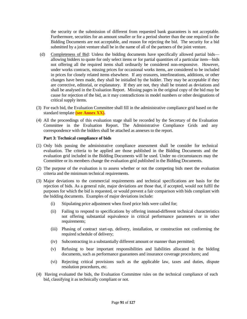the security or the submission of different from requested bank guarantees is not acceptable. Furthermore, securities for an amount smaller or for a period shorter than the one required in the Bidding Documents are not acceptable, and reason for rejecting the bid. The security for a bid submitted by a joint venture shall be in the name of all of the partners of the joint venture.

- (d) Completeness of Bid: Unless the bidding documents have specifically allowed partial bids allowing bidders to quote for only select items or for partial quantities of a particular item—bids not offering all the required items shall ordinarily be considered non-responsive. However, under works contracts, missing prices for occasional works items, are considered to be included in prices for closely related items elsewhere. If any erasures, interlineations, additions, or other changes have been made, they shall be initialled by the bidder. They may be acceptable if they are corrective, editorial, or explanatory. If they are not, they shall be treated as deviations and shall be analysed in the Evaluation Report. Missing pages in the original copy of the bid may be cause for rejection of the bid, as it may contradictions in model numbers or other designations of critical supply items.
- (3) For each bid, the Evaluation Committee shall fill in the administrative compliance grid based on the standard template **(see Annex XX).**
- (4) All the proceedings of this evaluation stage shall be recorded by the Secretary of the Evaluation Committee in the Evaluation Report. The Administrative Compliance Grids and any correspondence with the bidders shall be attached as annexes to the report.

#### **Part 3: Technical compliance of bids**

- (1) Only bids passing the administrative compliance assessment shall be consider for technical evaluation. The criteria to be applied are those published in the Bidding Documents and the evaluation grid included in the Bidding Documents will be used. Under no circumstances may the Committee or its members change the evaluation grid published in the Bidding Documents.
- (2) The purpose of the evaluation is to assess whether or not the competing bids meet the evaluation criteria and the minimum technical requirements.
- (3) Major deviations to the commercial requirements and technical specifications are basis for the rejection of bids. As a general rule, major deviations are those that, if accepted, would not fulfil the purposes for which the bid is requested, or would prevent a fair comparison with bids compliant with the bidding documents. Examples of major deviations include:
	- (i) Stipulating price adjustment when fixed price bids were called for;
	- (ii) Failing to respond to specifications by offering instead different technical characteristics not offering substantial equivalence in critical performance parameters or in other requirements;
	- (iii) Phasing of contract start-up, delivery, installation, or construction not conforming the required schedule of delivery;
	- (iv) Subcontracting in a substantially different amount or manner than permitted;
	- (v) Refusing to bear important responsibilities and liabilities allocated in the bidding documents, such as performance guarantees and insurance coverage procedures; and
	- (vi) Rejecting critical provisions such as the applicable law, taxes and duties, dispute resolution procedures, etc.
- (4) Having evaluated the bids, the Evaluation Committee rules on the technical compliance of each bid, classifying it as technically compliant or not.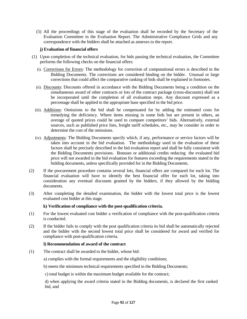(5) All the proceedings of this stage of the evaluation shall be recorded by the Secretary of the Evaluation Committee in the Evaluation Report. The Administrative Compliance Grids and any correspondence with the bidders shall be attached as annexes to the report.

# **j) Evaluation of financial offers**

- (1) Upon completion of the technical evaluation, for bids passing the technical evaluation, the Committee performs the following checks on the financial offers:
	- (i). Corrections for Errors: The methodology for correction of computational errors is described in the Bidding Documents. The corrections are considered binding on the bidder. Unusual or large corrections that could affect the comparative ranking of bids shall be explained in footnotes.
	- (ii). Discounts: Discounts offered in accordance with the Bidding Documents being a condition on the simultaneous award of other contracts or lots of the contract package (cross-discounts) shall not be incorporated until the completion of all evaluation steps. Any discount expressed as a percentage shall be applied to the appropriate base specified in the bid price.
	- (iii). Additions: Omissions to the bid shall be compensated for by adding the estimated costs for remedying the deficiency. Where items missing in some bids but are present in others, an average of quoted prices could be used to compare competitors' bids. Alternatively, external sources, such as published price lists, freight tariff schedules, etc., may be consider in order to determine the cost of the omissions.
	- (iv). Adjustments: The Bidding Documents specify which, if any, performance or service factors will be taken into account in the bid evaluation. The methodology used in the evaluation of these factors shall be precisely described in the bid evaluation report and shall be fully consistent with the Bidding Documents provisions. Bonuses or additional credits reducing the evaluated bid price will not awarded in the bid evaluation for features exceeding the requirements stated in the bidding documents, unless specifically provided for in the Bidding Documents.
- (2) If the procurement procedure contains several lots, financial offers are compared for each lot. The financial evaluation will have to identify the best financial offer for each lot, taking into consideration any eventual discounts granted by the bidders, if they allowed by the bidding documents.
- (3) After completing the detailed examination, the bidder with the lowest total price is the lowest evaluated cost bidder at this stage.

# **k) Verification of compliance with the post-qualification criteria.**

- (1) For the lowest evaluated cost bidder a verification of compliance with the post-qualification criteria is conducted.
- (2) If the bidder fails to comply with the post qualification criteria its bid shall be automatically rejected and the bidder with the second lowest total price shall be considered for award and verified for compliance with post-qualification criteria.

#### **l) Recommendation of award of the contract**

(1) The contract shall be awarded to the bidder, whose bid:

a) complies with the formal requirements and the eligibility conditions;

b) meets the minimum technical requirements specified in the Bidding Documents;

c) total budget is within the maximum budget available for the contract;

d) when applying the award criteria stated in the Bidding documents, is declared the first ranked bid, and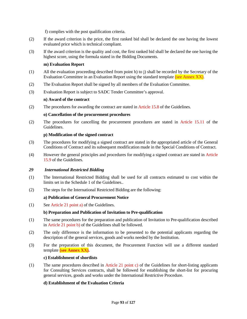f) complies with the post qualification criteria.

- (2) If the award criterion is the price, the first ranked bid shall be declared the one having the lowest evaluated price which is technical compliant.
- (3) If the award criterion is the quality and cost, the first ranked bid shall be declared the one having the highest score, using the formula stated in the Bidding Documents.

# **m) Evaluation Report**

- (1) All the evaluation proceeding described from point h) to j) shall be recorded by the Secretary of the Evaluation Committee in an Evaluation Report using the standard template (see Annex XX).
- (2) The Evaluation Report shall be signed by all members of the Evaluation Committee.
- (3) Evaluation Report is subject to SADC Tender Committee's approval.

# **n) Award of the contract**

(2) The procedures for awarding the contract are stated in Article 15.8 of the Guidelines.

# **o) Cancellation of the procurement procedures**

(2) The procedures for cancelling the procurement procedures are stated in Article 15.11 of the Guidelines.

# **p) Modification of the signed contract**

- (3) The procedures for modifying a signed contract are stated in the appropriated article of the General Conditions of Contract and its subsequent modification made in the Special Conditions of Contract.
- (4) However the general principles and procedures for modifying a signed contract are stated in Article 15.9 of the Guidelines.

# *29 International Restricted Bidding*

- (1) The International Restricted Bidding shall be used for all contracts estimated to cost within the limits set in the Schedule 1 of the Guidelines..
- (2) The steps for the International Restricted Bidding are the following:

# **a) Publication of General Procurement Notice**

(1) See Article 21 point a) of the Guidelines.

# **b) Preparation and Publication of Invitation to Pre-qualification**

- (1) The same procedures for the preparation and publication of Invitation to Pre-qualification described in Article 21 point b) of the Guidelines shall be followed.
- (2) The only difference is the information to be presented to the potential applicants regarding the description of the general services, goods and works needed by the Institution.
- (3) For the preparation of this document, the Procurement Function will use a different standard template **(see Annex XX).**

# **c) Establishment of shortlists**

(1) The same procedures described in Article 21 point c) of the Guidelines for short-listing applicants for Consulting Services contracts, shall be followed for establishing the short-list for procuring general services, goods and works under the International Restrictive Procedure.

# **d) Establishment of the Evaluation Criteria**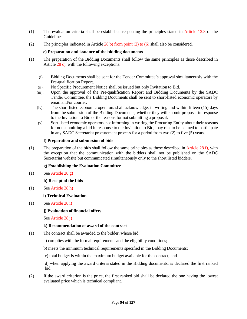- (1) The evaluation criteria shall be established respecting the principles stated in Article 12.3 of the Guidelines.
- (2) The principles indicated in Article 28 b) from point (2) to (6) shall also be considered.

# **e) Preparation and issuance of the bidding documents**

- (1) The preparation of the Bidding Documents shall follow the same principles as those described in Article 28 c), with the following exceptions:
	- (i). Bidding Documents shall be sent for the Tender Committee's approval simultaneously with the Pre-qualification Report.
	- (ii). No Specific Procurement Notice shall be issued but only Invitation to Bid.
	- (iii). Upon the approval of the Pre-qualification Report and Bidding Documents by the SADC Tender Committee, the Bidding Documents shall be sent to short-listed economic operators by email and/or courier.
	- (iv). The short-listed economic operators shall acknowledge, in writing and within fifteen (15) days from the submission of the Bidding Documents, whether they will submit proposal in response to the Invitation to Bid or the reasons for not submitting a proposal.
	- (v). Sort-listed economic operators not informing in writing the Procuring Entity about their reasons for not submitting a bid in response to the Invitation to Bid, may risk to be banned to participate in any SADC Secretariat procurement process for a period from two (2) to five (5) years.

# **f) Preparation and submission of bids**

(1) The preparation of the bids shall follow the same principles as those described in Article 28 f), with the exception that the communication with the bidders shall not be published on the SADC Secretariat website but communicated simultaneously only to the short listed bidders.

# **g) Establishing the Evaluation Committee**

(1) See Article 28 g)

**h) Receipt of the bids**

(1) See Article 28 h)

**i) Technical Evaluation** 

(1) See Article 28 i)

# **j) Evaluation of financial offers**

See Article 28 j)

# **k) Recommendation of award of the contract**

(1) The contract shall be awarded to the bidder, whose bid:

a) complies with the formal requirements and the eligibility conditions;

b) meets the minimum technical requirements specified in the Bidding Documents;

c) total budget is within the maximum budget available for the contract; and

d) when applying the award criteria stated in the Bidding documents, is declared the first ranked bid.

(2) If the award criterion is the price, the first ranked bid shall be declared the one having the lowest evaluated price which is technical compliant.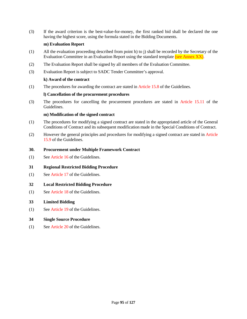(3) If the award criterion is the best-value-for-money, the first ranked bid shall be declared the one having the highest score, using the formula stated in the Bidding Documents.

# **m) Evaluation Report**

- (1) All the evaluation proceeding described from point h) to j) shall be recorded by the Secretary of the Evaluation Committee in an Evaluation Report using the standard template (see Annex XX).
- (2) The Evaluation Report shall be signed by all members of the Evaluation Committee.
- (3) Evaluation Report is subject to SADC Tender Committee's approval.

# **k) Award of the contract**

(1) The procedures for awarding the contract are stated in Article 15.8 of the Guidelines.

# **l) Cancellation of the procurement procedures**

(3) The procedures for cancelling the procurement procedures are stated in Article 15.11 of the Guidelines.

# **m) Modification of the signed contract**

- (1) The procedures for modifying a signed contract are stated in the appropriated article of the General Conditions of Contract and its subsequent modification made in the Special Conditions of Contract.
- (2) However the general principles and procedures for modifying a signed contract are stated in Article 15.9 of the Guidelines.

# **30. Procurement under Multiple Framework Contract**

(1) See Article 16 of the Guidelines.

# **31 Regional Restricted Bidding Procedure**

(1) See Article 17 of the Guidelines.

# **32 Local Restricted Bidding Procedure**

(1) See Article 18 of the Guidelines.

# **33 Limited Bidding**

(1) See Article 19 of the Guidelines.

# **34 Single Source Procedure**

(1) See Article 20 of the Guidelines.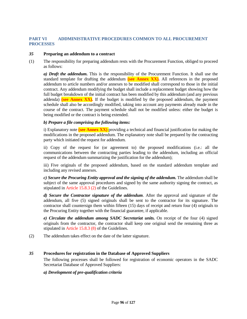# **PART VI ADDMINISTRATIVE PROCEDURES COMMON TO ALL PROCUREMENT PROCESSES**

#### *35* **Preparing an addendum to a contract**

(1) The responsibility for preparing addendum rests with the Procurement Function, obliged to proceed as follows:

*a) Draft the addendum.* This is the responsibility of the Procurement Function. It shall use the standard template for drafting the addendum **(see Annex XX).** All references in the proposed addendum to article numbers and/or annexes to be modified shall correspond to those in the initial contract. Any addendum modifying the budget shall include a replacement budget showing how the full budget breakdown of the initial contract has been modified by this addendum (and any previous addenda) **(see Annex XX).** If the budget is modified by the proposed addendum, the payment schedule shall also be accordingly modified, taking into account any payments already made in the course of the contract. The payment schedule shall not be modified unless: either the budget is being modified or the contract is being extended.

# *b) Prepare a file comprising the following items:*

i) Explanatory note **(see Annex XX)** providing a technical and financial justification for making the modifications in the proposed addendum. The explanatory note shall be prepared by the contracting party which initiated the request for addendum.

ii) Copy of the request for (or agreement to) the proposed modifications (i.e.: all the communications between the contracting parties leading to the addendum, including an official request of the addendum summarizing the justification for the addendum);

iii) Five originals of the proposed addendum, based on the standard addendum template and including any revised annexes.

*c) Secure the Procuring Entity approval and the signing of the addendum.* The addendum shall be subject of the same approval procedures and signed by the same authority signing the contract, as stipulated in Article 15.8.3 (2) of the Guidelines.

*d) Secure the Contractor signature of the addendum*. After the approval and signature of the addendum, all five (5) signed originals shall be sent to the contractor for its signature. The contractor shall countersign them within fifteen (15) days of receipt and return four (4) originals to the Procuring Entity together with the financial guarantee, if applicable.

*e) Circulate the addendum among SADC Secretariat units.* On receipt of the four (4) signed originals from the contractor, the contractor shall keep one original send the remaining three as stipulated in Article 15.8.3 (8) of the Guidelines.

(2) The addendum takes effect on the date of the latter signature.

# *35* **Procedures for registration in the Database of Approved Suppliers**

The following processes shall be followed for registration of economic operators in the SADC Secretariat Database of Approved Suppliers:

#### *a) Development of pre-qualification criteria*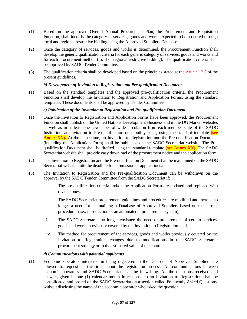- (1) Based on the approved Overall Annual Procurement Plan, the Procurement and Requisition Function, shall identify the category of services, goods and works expected to be procured through local and regional restrictive bidding using the Approved Suppliers Database.
- (2) Once the category of services, goods and works is determined, the Procurement Function shall develop the generic qualification criteria for each generic category of services, goods and works and for each procurement method (local or regional restrictive bidding). The qualification criteria shall be approved by SADC Tender Committee.
- (3) The qualification criteria shall be developed based on the principles stated at the Article 12.2 of the present guidelines.

# *b) Development of Invitation to Registration and Pre-qualification Document*

(1) Based on the standard templates and the approved pre-qualification criteria, the Procurement Function shall develop the Invitation to Registration and Application Forms, using the standard templates. These documents shall be approved by Tender Committee.

# *c) Publication of the Invitation to Registration and Pre-qualification Document*

- (1) Once the Invitation to Registration and Application Forms have been approved, the Procurement Function shall publish on the United Nations Development Business and in the DG Market websites as well as in at least one newspaper of wide circulation from each member state of the SADC Institution, an Invitation to Pre-qualification on monthly basis, using the standard template **(see Annex XX).** At the same time, an Invitation to Registration and the Pre-qualification Document (including the Application Form) shall be published on the SADC Secretariat website. The Prequalification Document shall be drafted using the standard template **(see Annex XX).** The SADC Secretariat website shall provide easy download of the procurement notice and the application form.
- (2) The Invitation to Registration and the Pre-qualification Document shall be maintained on the SADC Secretariat website until the deadline for submission of applications..
- (3) The Invitation to Registration and the Pre-qualification Document can be withdrawn on the approval by the SADC Tender Committee from the SADC Secretariat if:
	- i. The pre-qualification criteria and/or the Application Form are updated and replaced with revised ones;
	- ii. The SADC Secretariat procurement guidelines and procedures are modified and there is no longer a need for maintaining a Database of Approved Suppliers based on the current procedures (i.e.: introduction of an automated e-procurement system);
	- iii. The SADC Secretariat no longer envisage the need of procurement of certain services, goods and works previously covered by the Invitation to Registration; and
	- iv. The method for procurement of the services, goods and works previously covered by the Invitation to Registration, changes due to modifications in the SADC Secretariat procurement strategy or in the estimated value of the contracts.

# *d) Communications with potential applicants*

(1) Economic operators interested in being registered in the Database of Approved Suppliers are allowed to request clarifications about the registration process. All communications between economic operators and SADC Secretariat shall be in writing. All the questions received and answers given in one (1) calendar month in response to an Invitation to Registration shall be consolidated and posted on the SADC Secretariat on a section called Frequently Asked Questions, without disclosing the name of the economic operator who asked the question.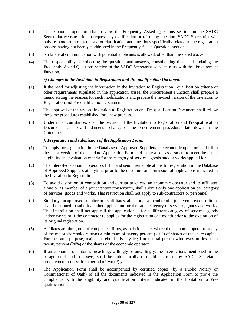- (2) The economic operators shall review the Frequently Asked Questions section on the SADC Secretariat website prior to request any clarification or raise any question. SADC Secretariat will only respond to those requests for clarification and questions specifically related to the registration process having not been yet addressed in the Frequently Asked Questions section.
- (3) No bilateral communication with potential applicants is allowed, other than the stated above.
- (4) The responsibility of collecting the questions and answers, consolidating them and updating the Frequently Asked Questions section of the SADC Secretariat website, rests with the Procurement Function.

# *e) Changes in the Invitation to Registration and Pre-qualification Document*

- (1) If the need for adjusting the information in the Invitation to Registration , qualification criteria or other requirements stipulated in the application arises, the Procurement Function shall prepare a memo stating the reasons for such modifications and prepare the revised version of the Invitation to Registration and Pre-qualification Document.
- (2) The approval of the revised Invitation to Registration and Pre-qualification Document shall follow the same procedures established for a new process.
- (3) Under no circumstances shall the revision of the Invitation to Registration and Pre-qualification Document lead to a fundamental change of the procurement procedures laid down in the Guidelines.

# *f) Preparation and submission of the Application Form.*

- (1) To apply for registration in the Database of Approved Suppliers, the economic operator shall fill in the latest version of the standard Application Form and make a self assessment to meet the actual eligibility and evaluation criteria for the category of services, goods and/ or works applied for.
- (2) The interested economic operators fill in and send their applications for registration in the Database of Approved Suppliers at anytime prior to the deadline for submission of applications indicated in the Invitation to Registration.
- (3) To avoid distortion of competition and corrupt practices, an economic operator and its affiliates, alone or as member of a joint venture/consortium, shall submit only one application per category of services, goods and works. This restriction shall not apply to sub-contractors or personnel.
- (4) Similarly, an approved supplier or its affiliates, alone or as a member of a joint venture/consortium, shall be banned to submit another application for the same category of services, goods and works. This interdiction shall not apply if the application is for a different category of services, goods and/or works or if the contractor re-applies for the registration one month prior to the expiration of its original registration.
- (5) Affiliates are the group of companies, firms, associations, etc. where the economic operator or any of the major shareholders owns a minimum of twenty percent (20%) of shares of the share capital. For the same purpose, major shareholder is any legal or natural person who owns no less than twenty percent (20%) of the shares of the economic operator.
- (6) If an economic operator is breaching, willingly or unwillingly, the interdictions mentioned in the paragraph 4 and 5 above, shall be automatically disqualified from any SADC Secretariat procurement process for a period of two (2) years.
- (7) The Application Form shall be accompanied by certified copies (by a Public Notary or Commissioner of Oath) of all the documents indicated in the Application Form to prove the compliance with the eligibility and qualification criteria indicated in the Invitation to Prequalification.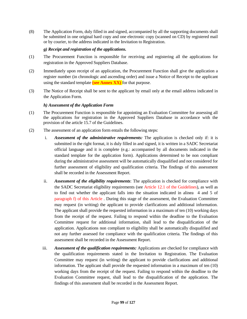(8) The Application Form, duly filled in and signed, accompanied by all the supporting documents shall be submitted in one original hard copy and one electronic copy (scanned on CD) by registered mail or by courier, to the address indicated in the Invitation to Registration.

# *g) Receipt and registration of the applications.*

- (1) The Procurement Function is responsible for receiving and registering all the applications for registration in the Approved Suppliers Database.
- (2) Immediately upon receipt of an application, the Procurement Function shall give the application a register number (in chronologic and ascending order) and issue a Notice of Receipt to the applicant using the standard template **(see Annex XX)** for that purpose.
- (3) The Notice of Receipt shall be sent to the applicant by email only at the email address indicated in the Application Form.

# *h) Assessment of the Application Form*

- (1) The Procurement Function is responsible for appointing an Evaluation Committee for assessing all the applications for registration in the Approved Suppliers Database in accordance with the provision of the article 15.7 of the Guidelines.
- (2) The assessment of an application form entails the following steps:
	- i. *Assessment of the administrative requirements:* The application is checked only if: it is submitted in the right format, it is duly filled in and signed, it is written in a SADC Secretariat official language and it is complete (e.g.: accompanied by all documents indicated in the standard template for the application form). Applications determined to be non compliant during the administrative assessment will be automatically disqualified and not considered for further assessment of eligibility and qualification criteria. The findings of this assessment shall be recorded in the Assessment Report.
	- ii. *Assessment of the eligibility requirements*: The application is checked for compliance with the SADC Secretariat eligibility requirements (see Article 12.1 of the Guidelines), as well as to find out whether the applicant falls into the situation indicated in alinea 4 and 5 of paragraph f) of this Article . During this stage of the assessment, the Evaluation Committee may request (in writing) the applicant to provide clarifications and additional information. The applicant shall provide the requested information in a maximum of ten (10) working days from the receipt of the request. Failing to respond within the deadline to the Evaluation Committee request for additional information, shall lead to the disqualification of the application. Applications non compliant to eligibility shall be automatically disqualified and not any further assessed for compliance with the qualification criteria. The findings of this assessment shall be recorded in the Assessment Report.
	- iii. *Assessment of the qualification requirements:* Applications are checked for compliance with the qualification requirements stated in the Invitation to Registration. The Evaluation Committee may request (in writing) the applicant to provide clarifications and additional information. The applicant shall provide the requested information in a maximum of ten (10) working days from the receipt of the request. Failing to respond within the deadline to the Evaluation Committee request, shall lead to the disqualification of the application. The findings of this assessment shall be recorded in the Assessment Report.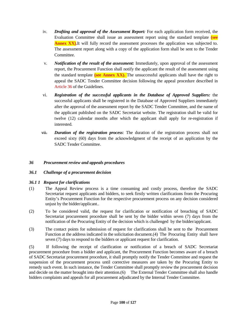- iv. *Drafting and approval of the Assessment Report:* For each application form received, the Evaluation Committee shall issue an assessment report using the standard template **(see Annex XX).**It will fully record the assessment processes the application was subjected to. The assessment report along with a copy of the application form shall be sent to the Tender Committee.
- v. *Notification of the result of the assessment:* Immediately, upon approval of the assessment report, the Procurement Function shall notify the applicant the result of the assessment using the standard template **(see Annex XX).** The unsuccessful applicants shall have the right to appeal the SADC Tender Committee decision following the appeal procedure described in Article 36 of the Guidelines.
- vi. *Registration of the successful applicants in the Database of Approved Suppliers:* the successful applicants shall be registered in the Database of Approved Suppliers immediately after the approval of the assessment report by the SADC Tender Committee, and the name of the applicant published on the SADC Secretariat website. The registration shall be valid for twelve (12) calendar months after which the applicant shall apply for re-registration if interested.
- vii. *Duration of the registration process*: The duration of the registration process shall not exceed sixty (60) days from the acknowledgment of the receipt of an application by the SADC Tender Committee.

# *36 Procurement review and appeals procedures*

# *36.1 Challenge of a procurement decision*

# *36.1 1 Request for clarifications*

- (1) The Appeal Review process is a time consuming and costly process, therefore the SADC Secretariat request applicants and bidders, to seek firstly written clarifications from the Procuring Entity's Procurement Function for the respective procurement process on any decision considered unjust by the bidder/applicant..
- (2) To be considered valid, the request for clarification or notification of breaching of SADC Secretariat procurement procedure shall be sent by the bidder within seven (7) days from the notification of the Procuring Entity of the decision which is challenged by the bidder/applicant.
- (3) The contact points for submission of request for clarifications shall be sent to the Procurement Function at the address indicated in the solicitation document.(4) The Procuring Entity shall have seven (7) days to respond to the bidders or applicant request for clarification.

(5) If following the receipt of clarification or notification of a breach of SADC Secretariat procurement procedure from a bidder and applicant, the Procurement Function becomes aware of a breach of SADC Secretariat procurement procedure, it shall promptly notify the Tender Committee and request the suspension of the procurement process until corrective measures are taken by the Procuring Entity to remedy such event. In such instance, the Tender Committee shall promptly review the procurement decision and decide on the matter brought into their attention.(6) The External Tender Committee shall also handle bidders complaints and appeals for all procurement adjudicated by the Internal Tender Committee.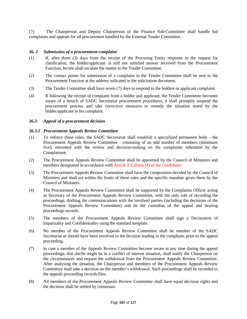(7) The Chairperson and Deputy Chairperson of the Finance Sub-Committee shall handle bid complaints and appeals for all procurement handled by the External Tender Committee.

#### *36. 2 Submission of a procurement complaint*

- (1) If, after three (3) days from the receipt of the Procuring Entity response to the request for clarification, the bidder/applicant. is still not satisfied answer received from the Procurement Function, he/she shall escalate the matter to the Tender Committee.
- (2) The contact points for submission of a complaint to the Tender Committee shall be sent to the Procurement Function at the address indicated in the solicitation document.
- (3) The Tender Committee shall have seven (7) days to respond to the bidders or applicant complaint.
- (4) If following the receipt of complaint from a bidder and applicant, the Tender Committee becomes aware of a breach of SADC Secretariat procurement procedures, it shall promptly suspend the procurement process and take corrective measures to remedy the situation noted by the bidder/applicant in his complaint.

# *36.3 Appeal of a procurement decision*

#### *36.3.1 Procurement Appeals Review Committee*

- (1) To enforce these rules, the SADC Secretariat shall establish a specialized permanent body the Procurement Appeals Review Committee - consisting of an odd number of members (minimum five), entrusted with the review and decision-making on the complaints submitted by the Complainant.
- (2) The Procurement Appeals Review Committee shall be appointed by the Council of Ministers and members designated in accordance with Article 2.3 alinea (4) of the Guidelines.
- (3) The Procurement Appeals Review Committee shall have the composition decided by the Council of Ministers and shall act within the limits of these rules and the specific mandate given them by the Council of Ministers.
- (4) The Procurement Appeals Review Committee shall be supported by the Complaints Officer acting as Secretary of the Procurement Appeals Review Committee, with the only role of recording the proceedings, drafting the communications with the involved parties (including the decisions of the Procurement Appeals Review Committee) and be the custodian of the appeal and hearing proceedings records.
- (5) The members of the Procurement Appeals Review Committee shall sign a Declaration of Impartiality and Confidentiality using the standard template.
- (6) No member of the Procurement Appeals Review Committee shall be member of the SADC Secretariat or should have been involved in the decision leading to the compliant, prior to the appeal proceeding.
- (7) In case a member of the Appeals Review Committee become aware at any time during the appeal proceedings, that she/he might be in a conflict of interest situation, shall notify the Chairperson on the circumstances and request the withdrawal from the Procurement Appeals Review Committee. After analysing the situation, the Chairperson and members of the Procurement Appeals Review Committee shall take a decision on the member's withdrawal. Such proceedings shall be recorded in the appeals proceeding records/files.
- (8) All members of the Procurement Appeals Review Committee shall have equal decision rights and the decision shall be settled by consensus.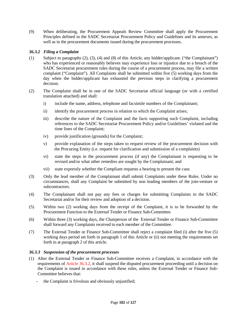(9) When deliberating, the Procurement Appeals Review Committee shall apply the Procurement Principles defined in the SADC Secretariat Procurement Policy and Guidelines and its annexes, as well as in the procurement documents issued during the procurement processes.

# *36.3.2 Filing a Complaint*

- (1) Subject to paragraphs (2), (3), (4) and (8) of this Article, any bidder/applicant. ("the Complainant") who has experienced or reasonably believes may experience loss or injustice due to a breach of the SADC Secretariat procurement rules during the course of a procurement process, may file a written complaint ("Complaint"). All Complaints shall be submitted within five (5) working days from the day when the bidder/applicant has exhausted the previous steps in clarifying a procurement decision.
- (2) The Complaint shall be in one of the SADC Secretariat official language (or with a certified translation attached) and shall:
	- i) include the name, address, telephone and facsimile numbers of the Complainant;
	- ii) identify the procurement process in relation to which the Complaint arises;
	- iii) describe the nature of the Complaint and the facts supporting such Complaint, including references to the SADC Secretariat Procurement Policy and/or Guidelines' violated and the time lines of the Complaint;
	- iv) provide justification (grounds) for the Complaint;
	- v) provide explanation of the steps taken to request review of the procurement decision with the Procuring Entity (i.e. request for clarification and submission of a complaints)
	- vi) state the steps in the procurement process (if any) the Complainant is requesting to be revised and/or what other remedies are sought by the Complainant; and
	- vii) state expressly whether the Compliant requests a hearing to present the case.
- (3) Only the lead member of the Complainant shall submit Complaints under these Rules. Under no circumstances, shall any Complaint be submitted by non leading members of the join-venture or subcontractors.
- (4) The Complainant shall not pay any fees or charges for submitting Complaints to the SADC Secretariat and/or for their review and adoption of a decision.
- (5) Within two (2) working days from the receipt of the Complaint, it is to be forwarded by the Procurement Function to the External Tender or Finance Sub-Committee.
- (6) Within three (3) working days, the Chairperson of the External Tender or Finance Sub-Committee shall forward any Complaints received to each member of the Committee.
- (7) The External Tender or Finance Sub-Committee shall reject a complaint filed (i) after the five (5) working days period set forth in paragraph 1 of this Article or (ii) not meeting the requirements set forth in at paragraph 2 of this article.

# *36.3.3 Suspension of the procurement processes*

- (1) After the External Tender or Finance Sub-Committee receives a Complaint, in accordance with the requirements of Article 36.3.2, it shall suspend the disputed procurement proceeding until a decision on the Complaint is issued in accordance with these rules, unless the External Tender or Finance Sub-Committee believes that:
	- the Complaint is frivolous and obviously unjustified;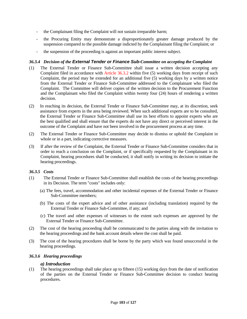- the Complainant filing the Complaint will not sustain irreparable harm;
- the Procuring Entity may demonstrate a disproportionately greater damage produced by the suspension compared to the possible damage indicted by the Complainant filing the Complaint; or
- the suspension of the proceeding is against an important public interest subject.

# *36.3.4 Decision of the External Tender or Finance Sub-Committee on accepting the Complaint*

- (1) The External Tender or Finance Sub-Committee shall issue a written decision accepting any Complaint filed in accordance with Article 36.3.2 within five (5) working days from receipt of such Complaint, the period may be extended for an additional five (5) working days by a written notice from the External Tender or Finance Sub-Committee addressed to the Complainant who filed the Complaint. The Committee will deliver copies of the written decision to the Procurement Function and the Complainant who filed the Complaint within twenty four (24) hours of rendering a written decision.
- (2) In reaching its decision, the External Tender or Finance Sub-Committee may, at its discretion, seek assistance from experts in the area being reviewed. When such additional experts are to be consulted, the External Tender or Finance Sub-Committee shall use its best efforts to appoint experts who are the best qualified and shall ensure that the experts do not have any direct or perceived interest in the outcome of the Complaint and have not been involved in the procurement process at any time.
- (2) The External Tender or Finance Sub-Committee may decide to dismiss or uphold the Complaint in whole or in a part, indicating corrective measures.
- (3) If after the review of the Complaint, the External Tender or Finance Sub-Committee considers that in order to reach a conclusion on the Complaint, or if specifically requested by the Complainant in its Complaint, hearing procedures shall be conducted, it shall notify in writing its decision to initiate the hearing proceedings.

# *36.3.5 Costs*

- (1) The External Tender or Finance Sub-Committee shall establish the costs of the hearing proceedings in its Decision. The term "costs" includes only:
	- (a) The fees, travel, accommodation and other incidental expenses of the External Tender or Finance Sub-Committee members;
	- (b) The costs of the expert advice and of other assistance (including translation) required by the External Tender or Finance Sub-Committee, if any; and
	- (c) The travel and other expenses of witnesses to the extent such expenses are approved by the External Tender or Finance Sub-Committee.
- (2) The cost of the hearing proceeding shall be communicated to the parties along with the invitation to the hearing proceedings and the bank account details where the cost shall be paid.
- (3) The cost of the hearing procedures shall be borne by the party which was found unsuccessful in the hearing proceedings.

# *36.3.6 Hearing proceedings*

#### *a) Introduction*

(1) The hearing proceedings shall take place up to fifteen (15) working days from the date of notification of the parties on the External Tender or Finance Sub-Committee decision to conduct hearing procedures.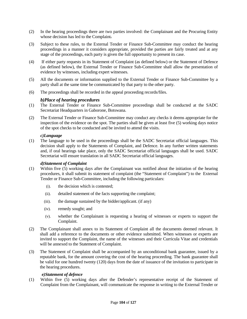- (2) In the hearing proceedings there are two parties involved: the Complainant and the Procuring Entity whose decision has led to the Complaint.
- (3) Subject to these rules, to the External Tender or Finance Sub-Committee may conduct the hearing proceedings in a manner it considers appropriate, provided the parties are fairly treated and at any stage of the proceedings, each party is given the full opportunity to present its case.
- (4) If either party requests in its Statement of Complaint (as defined below) or the Statement of Defence (as defined below), the External Tender or Finance Sub-Committee shall allow the presentation of evidence by witnesses, including expert witnesses.
- (5) All the documents or information supplied to the External Tender or Finance Sub-Committee by a party shall at the same time be communicated by that party to the other party.
- (6) The proceedings shall be recorded in the appeal proceeding records/files.

# *b)Place of hearing procedures*

- (1) The External Tender or Finance Sub-Committee proceedings shall be conducted at the SADC Secretariat Headquarters in Gaborone, Botswana.
- (2) The External Tender or Finance Sub-Committee may conduct any checks it deems appropriate for the inspection of the evidence on the spot. The parties shall be given at least five (5) working days notice of the spot checks to be conducted and be invited to attend the visits.

# *c)Language*

(1) The language to be used in the proceedings shall be the SADC Secretariat official languages. This decision shall apply to the Statements of Complaint, and Defence. In any further written statements and, if oral hearings take place, only the SADC Secretariat official languages shall be used. SADC Secretariat will ensure translation in all SADC Secretariat official languages.

# *d)Statement of Complaint*

- (1) Within five (5) working days after the Complainant was notified about the initiation of the hearing procedures, it shall submit its statement of complaint (the "Statement of Complaint") to the External Tender or Finance Sub-Committee, including the following particulars:
	- (i). the decision which is contested;
	- (ii). detailed statement of the facts supporting the complaint;
	- (iii). the damage sustained by the bidder/applicant. (if any)
	- (iv). remedy sought; and
	- (v). whether the Complainant is requesting a hearing of witnesses or experts to support the Complaint.
- (2) The Complainant shall annex to its Statement of Complaint all the documents deemed relevant. It shall add a reference to the documents or other evidence submitted. When witnesses or experts are invited to support the Complaint, the name of the witnesses and their Curricula Vitae and credentials will be annexed to the Statement of Complaint.
- (3) The Statement of Complaint shall be accompanied by an unconditional bank guarantee, issued by a reputable bank, for the amount covering the cost of the hearing proceeding. The bank guarantee shall be valid for one hundred twenty (120) days from the date of issuance of the invitation to participate in the hearing procedures.

# *e)Statement of defence*

(1) Within five (5) working days after the Defender's representative receipt of the Statement of Complaint from the Complainant, will communicate the response in writing to the External Tender or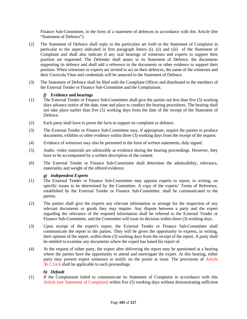Finance Sub-Committee, in the form of a statement of defences in accordance with this Article (the "Statement of Defence").

- (2) The Statement of Defence shall reply to the particulars set forth in the Statement of Complaint in particular to the aspect indicated in first paragraph letters (i), (ii) and (iii) of the Statement of Complaint and shall also indicate if any oral hearings of witnesses and experts to support their position are requested. The Defender shall annex to its Statement of Defence, the documents supporting its defence and shall add a reference to the documents or other evidence to support their position. When witnesses or experts are invited to act on their defences, the name of the witnesses and their Curricula Vitae and credentials will be annexed to the Statement of Defence.
- (3) The Statement of Defence shall be filed with the Compliant Officer and distributed to the members of the External Tender or Finance Sub-Committee and the Complainant.

# *f)* **Evidence and hearings**

- (1) The External Tender or Finance Sub-Committee shall give the parties not less than five (5) working days advance notice of the date, time and place to conduct the hearing procedures. The hearing shall not take place earlier than five (5) working days from the date of the receipt of the Statement of Defence.
- (2) Each party shall have to prove the facts to support its complaint or defence.
- (3) The External Tender or Finance Sub-Committee may, if appropriate, require the parties to produce documents, exhibits or other evidence within three (3) working days from the receipt of the request.
- (4) Evidence of witnesses may also be presented in the form of written statements, duly signed.
- (5) Audio -video materials are admissible as evidence during the hearing proceedings. However, they have to be accompanied by a written description of the content.
- (6) The External Tender or Finance Sub-Committee shall determine the admissibility, relevance, materiality and weight of the offered evidence.

# *g) Independent Experts*

- (1) The External Tender or Finance Sub-Committee may appoint experts to report, in writing, on specific issues to be determined by the Committee. A copy of the experts' Terms of Reference, established by the External Tender or Finance Sub-Committee, shall be communicated to the parties.
- (2) The parties shall give the experts any relevant information or arrange for the inspection of any relevant documents or goods they may require. Any dispute between a party and the expert regarding the relevance of the required information shall be referred to the External Tender or Finance Sub-Committee, and the Committee will issue its decision within three (3) working days.
- (3) Upon receipt of the expert's report, the External Tender or Finance Sub-Committee shall communicate the report to the parties. They will be given the opportunity to express, in writing, their opinion of the report, within three (3) working days from the receipt of the report. A party shall be entitled to examine any documents where the expert has based his report of.
- (4) At the request of either party, the expert after delivering the report may be questioned at a hearing where the parties have the opportunity to attend and interrogate the expert. At this hearing, either party may present expert witnesses to testify on the points at issue. The provisions of Article 36.1.3.6.6 shall be applicable to such proceedings.

# *h) Default*

(1) If the Complainant failed to communicate its Statement of Complaint in accordance with this Article (see Statement of Complaint) within five (5) working days without demonstrating sufficient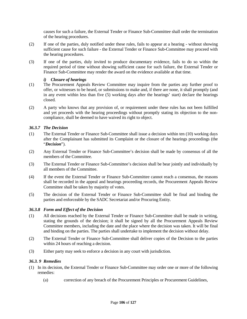causes for such a failure, the External Tender or Finance Sub-Committee shall order the termination of the hearing procedures.

- (2) If one of the parties, duly notified under these rules, fails to appear at a hearing without showing sufficient cause for such failure - the External Tender or Finance Sub-Committee may proceed with the hearing procedures.
- (3) If one of the parties, duly invited to produce documentary evidence, fails to do so within the required period of time without showing sufficient cause for such failure, the External Tender or Finance Sub-Committee may render the award on the evidence available at that time.

# *i) Closure of hearings*

- (1) The Procurement Appeals Review Committee may inquire from the parties any further proof to offer, or witnesses to be heard, or submissions to make and, if there are none, it shall promptly (and in any event within less than five (5) working days after the hearings' start) declare the hearings closed.
- (2) A party who knows that any provision of, or requirement under these rules has not been fulfilled and yet proceeds with the hearing proceedings without promptly stating its objection to the noncompliance, shall be deemed to have waived its right to object.

# *36.3.7 The Decision*

- (1) The External Tender or Finance Sub-Committee shall issue a decision within ten (10) working days after the Complainant has submitted its Complaint or the closure of the hearings proceedings (the "*Decision*").
- (2) Any External Tender or Finance Sub-Committee's decision shall be made by consensus of all the members of the Committee.
- (3) The External Tender or Finance Sub-Committee's decision shall be bear jointly and individually by all members of the Committee.
- (4) If the event the External Tender or Finance Sub-Committee cannot reach a consensus, the reasons shall be recorded in the appeal and hearings proceeding records, the Procurement Appeals Review Committee shall be taken by majority of votes.
- (5) The decision of the External Tender or Finance Sub-Committee shall be final and binding the parties and enforceable by the SADC Secretariat and/or Procuring Entity.

# *36.3.8 Form and Effect of the Decision*

- (1) All decisions reached by the External Tender or Finance Sub-Committee shall be made in writing, stating the grounds of the decision; it shall be signed by all the Procurement Appeals Review Committee members, including the date and the place where the decision was taken. It will be final and binding on the parties. The parties shall undertake to implement the decision without delay.
- (2) The External Tender or Finance Sub-Committee shall deliver copies of the Decision to the parties within 24 hours of reaching a decision.
- (3) Either party may seek to enforce a decision in any court with jurisdiction.

# *36.3. 9 Remedies*

- (1) In its decision, the External Tender or Finance Sub-Committee may order one or more of the following remedies:
	- (a) correction of any breach of the Procurement Principles or Procurement Guidelines,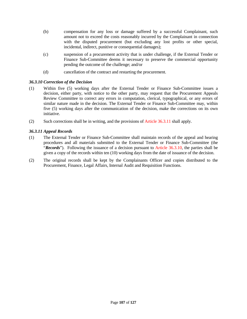- (b) compensation for any loss or damage suffered by a successful Complainant, such amount not to exceed the costs reasonably incurred by the Complainant in connection with the disputed procurement (but excluding any lost profits or other special, incidental, indirect, punitive or consequential damages);
- (c) suspension of a procurement activity that is under challenge, if the External Tender or Finance Sub-Committee deems it necessary to preserve the commercial opportunity pending the outcome of the challenge; and/or
- (d) cancellation of the contract and restarting the procurement.

# *36.3.10 Correction of the Decision*

- (1) Within five (5) working days after the External Tender or Finance Sub-Committee issues a decision, either party, with notice to the other party, may request that the Procurement Appeals Review Committee to correct any errors in computation, clerical, typographical, or any errors of similar nature made in the decision. The External Tender or Finance Sub-Committee may, within five (5) working days after the communication of the decision, make the corrections on its own initiative.
- (2) Such corrections shall be in writing, and the provisions of Article 36.3.11 shall apply.

# *36.3.11 Appeal Records*

- (1) The External Tender or Finance Sub-Committee shall maintain records of the appeal and hearing procedures and all materials submitted to the External Tender or Finance Sub-Committee (the "*Records*"). Following the issuance of a decision pursuant to Article 36.3.10, the parties shall be given a copy of the records within ten (10) working days from the date of issuance of the decision.
- (2) The original records shall be kept by the Complainants Officer and copies distributed to the Procurement, Finance, Legal Affairs, Internal Audit and Requisition Functions.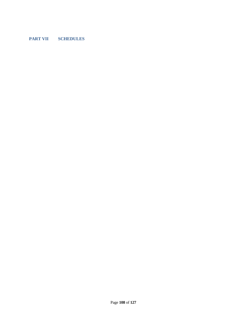# **PART VII SCHEDULES**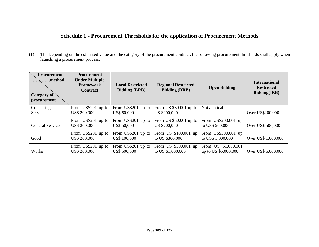# **Schedule 1 - Procurement Thresholds for the application of Procurement Methods**

(1) The Depending on the estimated value and the category of the procurement contract, the following procurement thresholds shall apply when launching a procurement process:

| <b>Procurement</b><br>method<br><b>Category of</b><br>procurement | <b>Procurement</b><br><b>Under Multiple</b><br><b>Framework</b><br><b>Contract</b> | <b>Local Restricted</b><br><b>Bidding (LRB)</b> | <b>Regional Restricted</b><br><b>Bidding (RRB)</b> | <b>Open Bidding</b>                         | <b>International</b><br><b>Restricted</b><br><b>Bidding(IRB)</b> |
|-------------------------------------------------------------------|------------------------------------------------------------------------------------|-------------------------------------------------|----------------------------------------------------|---------------------------------------------|------------------------------------------------------------------|
| Consulting<br><b>Services</b>                                     | From US\$201 up to<br><b>US\$ 200,000</b>                                          | From US\$201 up to<br>US\$ 50,000               | From US $$50,001$ up to<br><b>US \$200,000</b>     | Not applicable                              | Over US\$200,000                                                 |
| <b>General Services</b>                                           | From US\$201 up to<br><b>US\$ 200,000</b>                                          | From US\$201 up to<br><b>US\$ 50,000</b>        | From US $$50,001$ up to<br><b>US \$200,000</b>     | From US\$200,001 up<br>to US\$ 500,000      | Over US\$ 500,000                                                |
| Good                                                              | From US\$201 up to<br><b>US\$ 200,000</b>                                          | From US\$201 up to<br>US\$ 100,000              | From US \$100,001 up<br>to US \$300,000            | From US\$300,001 up<br>to US\$ 1,000,000    | Over US\$ 1,000,000                                              |
| Works                                                             | From US\$201 up to<br><b>US\$ 200,000</b>                                          | From US\$201 up to<br><b>US\$ 500,000</b>       | From US \$500,001 up<br>to US \$1,000,000          | From US \$1,000,001<br>up to US \$5,000,000 | Over US\$ 5,000,000                                              |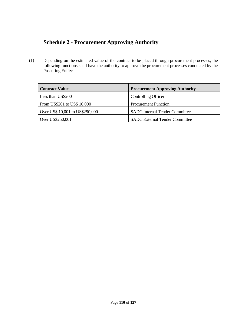## **Schedule 2 - Procurement Approving Authority**

(1) Depending on the estimated value of the contract to be placed through procurement processes, the following functions shall have the authority to approve the procurement processes conducted by the Procuring Entity:

| <b>Contract Value</b>           | <b>Procurement Approving Authority</b> |
|---------------------------------|----------------------------------------|
| Less than US\$200               | Controlling Officer                    |
| From US\$201 to US\$ 10,000     | <b>Procurement Function</b>            |
| Over US\$ 10,001 to US\$250,000 | <b>SADC</b> Internal Tender Committee- |
| Over US\$250,001                | <b>SADC External Tender Committee</b>  |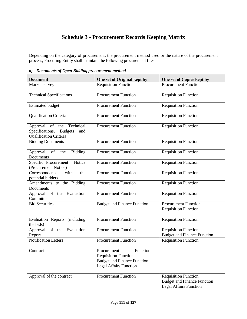# **Schedule 3 - Procurement Records Keeping Matrix**

Depending on the category of procurement, the procurement method used or the nature of the procurement process, Procuring Entity shall maintain the following procurement files:

|  |  | a) Documents of Open Bidding procurement method |
|--|--|-------------------------------------------------|
|--|--|-------------------------------------------------|

| <b>Document</b>                                                                       | One set of Original kept by                                                                                                   | One set of Copies kept by                                                                          |
|---------------------------------------------------------------------------------------|-------------------------------------------------------------------------------------------------------------------------------|----------------------------------------------------------------------------------------------------|
| Market survey                                                                         | <b>Requisition Function</b>                                                                                                   | <b>Procurement Function</b>                                                                        |
| <b>Technical Specifications</b>                                                       | <b>Procurement Function</b>                                                                                                   | <b>Requisition Function</b>                                                                        |
| <b>Estimated budget</b>                                                               | <b>Procurement Function</b>                                                                                                   | <b>Requisition Function</b>                                                                        |
| <b>Qualification Criteria</b>                                                         | <b>Procurement Function</b>                                                                                                   | <b>Requisition Function</b>                                                                        |
| Approval of the Technical<br>Specifications, Budgets<br>and<br>Qualification Criteria | <b>Procurement Function</b>                                                                                                   | <b>Requisition Function</b>                                                                        |
| <b>Bidding Documents</b>                                                              | <b>Procurement Function</b>                                                                                                   | <b>Requisition Function</b>                                                                        |
| of<br>Bidding<br>Approval<br>the<br>Documents                                         | <b>Procurement Function</b>                                                                                                   | <b>Requisition Function</b>                                                                        |
| Specific Procurement Notice<br>(Procurement Notice)                                   | <b>Procurement Function</b>                                                                                                   | <b>Requisition Function</b>                                                                        |
| Correspondence<br>with<br>the<br>potential bidders                                    | <b>Procurement Function</b>                                                                                                   | <b>Requisition Function</b>                                                                        |
| Amendments to the Bidding<br>Documents                                                | <b>Procurement Function</b>                                                                                                   | <b>Requisition Function</b>                                                                        |
| Approval of the Evaluation<br>Committee                                               | <b>Procurement Function</b>                                                                                                   | <b>Requisition Function</b>                                                                        |
| <b>Bid Securities</b>                                                                 | <b>Budget and Finance Function</b>                                                                                            | <b>Procurement Function</b><br><b>Requisition Function</b>                                         |
| Evaluation Reports (including<br>the bids)                                            | <b>Procurement Function</b>                                                                                                   | <b>Requisition Function</b>                                                                        |
| Approval of the Evaluation<br>Report                                                  | <b>Procurement Function</b>                                                                                                   | <b>Requisition Function</b><br><b>Budget and Finance Function</b>                                  |
| <b>Notification Letters</b>                                                           | <b>Procurement Function</b>                                                                                                   | <b>Requisition Function</b>                                                                        |
| Contract                                                                              | Function<br>Procurement<br><b>Requisition Function</b><br><b>Budget and Finance Function</b><br><b>Legal Affairs Function</b> |                                                                                                    |
| Approval of the contract                                                              | <b>Procurement Function</b>                                                                                                   | <b>Requisition Function</b><br><b>Budget and Finance Function</b><br><b>Legal Affairs Function</b> |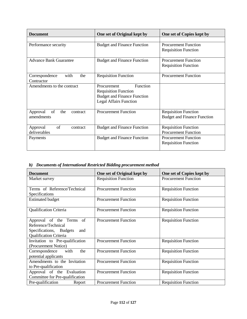| <b>Document</b>                   | One set of Original kept by        | One set of Copies kept by          |
|-----------------------------------|------------------------------------|------------------------------------|
|                                   |                                    |                                    |
| Performance security              | <b>Budget and Finance Function</b> | <b>Procurement Function</b>        |
|                                   |                                    | <b>Requisition Function</b>        |
|                                   |                                    |                                    |
| <b>Advance Bank Guarantee</b>     | <b>Budget and Finance Function</b> | <b>Procurement Function</b>        |
|                                   |                                    | <b>Requisition Function</b>        |
| with<br>the<br>Correspondence     | <b>Requisition Function</b>        | <b>Procurement Function</b>        |
| Contractor                        |                                    |                                    |
| Amendments to the contract        | Function<br>Procurement            |                                    |
|                                   | <b>Requisition Function</b>        |                                    |
|                                   | <b>Budget and Finance Function</b> |                                    |
|                                   | <b>Legal Affairs Function</b>      |                                    |
|                                   |                                    |                                    |
| of<br>Approval<br>the<br>contract | <b>Procurement Function</b>        | <b>Requisition Function</b>        |
| amendments                        |                                    | <b>Budget and Finance Function</b> |
| of<br>Approval<br>contract        | <b>Budget and Finance Function</b> | <b>Requisition Function</b>        |
| deliverables                      |                                    | <b>Procurement Function</b>        |
| Payments                          | <b>Budget and Finance Function</b> | <b>Procurement Function</b>        |
|                                   |                                    | <b>Requisition Function</b>        |
|                                   |                                    |                                    |

## *b) Documents of International Restricted Bidding procurement method*

| <b>Document</b>                                                                                                    | One set of Original kept by | One set of Copies kept by   |  |
|--------------------------------------------------------------------------------------------------------------------|-----------------------------|-----------------------------|--|
| Market survey                                                                                                      | <b>Requisition Function</b> | <b>Procurement Function</b> |  |
| Terms of Reference/Technical<br>Specifications                                                                     | <b>Procurement Function</b> | <b>Requisition Function</b> |  |
| <b>Estimated budget</b>                                                                                            | <b>Procurement Function</b> | <b>Requisition Function</b> |  |
| <b>Qualification Criteria</b>                                                                                      | <b>Procurement Function</b> | <b>Requisition Function</b> |  |
| Approval of the Terms of<br>Reference/Technical<br>Specifications, Budgets<br>and<br><b>Qualification Criteria</b> | <b>Procurement Function</b> | <b>Requisition Function</b> |  |
| Invitation to Pre-qualification<br>(Procurement Notice)                                                            | <b>Procurement Function</b> | <b>Requisition Function</b> |  |
| the<br>Correspondence<br>with<br>potential applicants                                                              | <b>Procurement Function</b> | <b>Requisition Function</b> |  |
| Amendments to the Invitation<br>to Pre-qualification                                                               | <b>Procurement Function</b> | <b>Requisition Function</b> |  |
| Approval of the Evaluation<br>Committee for Pre-qualification                                                      | <b>Procurement Function</b> | <b>Requisition Function</b> |  |
| Pre-qualification<br>Report                                                                                        | <b>Procurement Function</b> | <b>Requisition Function</b> |  |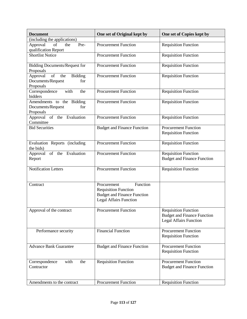| <b>Document</b>                                                                        | One set of Original kept by                                                                                                   | One set of Copies kept by                                                                          |
|----------------------------------------------------------------------------------------|-------------------------------------------------------------------------------------------------------------------------------|----------------------------------------------------------------------------------------------------|
| (including the applications)                                                           |                                                                                                                               |                                                                                                    |
| Approval<br>of<br>Pre-<br>the<br>qualification Report                                  | <b>Procurement Function</b>                                                                                                   | <b>Requisition Function</b>                                                                        |
| <b>Shortlist Notice</b>                                                                | <b>Procurement Function</b>                                                                                                   | <b>Requisition Function</b>                                                                        |
| <b>Bidding Documents/Request for</b><br>Proposals                                      | <b>Procurement Function</b>                                                                                                   | <b>Requisition Function</b>                                                                        |
| $\sigma$<br>the<br><b>Bidding</b><br>Approval<br>Documents/Request<br>for<br>Proposals | <b>Procurement Function</b>                                                                                                   | <b>Requisition Function</b>                                                                        |
| with<br>Correspondence<br>the<br>bidders                                               | <b>Procurement Function</b>                                                                                                   | <b>Requisition Function</b>                                                                        |
| Amendments to the Bidding<br>Documents/Request<br>for<br>Proposals                     | <b>Procurement Function</b>                                                                                                   | <b>Requisition Function</b>                                                                        |
| Approval of the Evaluation<br>Committee                                                | <b>Procurement Function</b>                                                                                                   | <b>Requisition Function</b>                                                                        |
| <b>Bid Securities</b>                                                                  | <b>Budget and Finance Function</b>                                                                                            | <b>Procurement Function</b><br><b>Requisition Function</b>                                         |
| Evaluation Reports (including<br>the bids)                                             | <b>Procurement Function</b>                                                                                                   | <b>Requisition Function</b>                                                                        |
| Approval of the Evaluation<br>Report                                                   | <b>Procurement Function</b>                                                                                                   | <b>Requisition Function</b><br><b>Budget and Finance Function</b>                                  |
| <b>Notification Letters</b>                                                            | <b>Procurement Function</b>                                                                                                   | <b>Requisition Function</b>                                                                        |
| Contract                                                                               | Function<br>Procurement<br><b>Requisition Function</b><br><b>Budget and Finance Function</b><br><b>Legal Affairs Function</b> |                                                                                                    |
| Approval of the contract                                                               | <b>Procurement Function</b>                                                                                                   | <b>Requisition Function</b><br><b>Budget and Finance Function</b><br><b>Legal Affairs Function</b> |
| Performance security                                                                   | <b>Financial Function</b>                                                                                                     | <b>Procurement Function</b><br><b>Requisition Function</b>                                         |
| <b>Advance Bank Guarantee</b>                                                          | <b>Budget and Finance Function</b>                                                                                            | Procurement Function<br><b>Requisition Function</b>                                                |
| with<br>Correspondence<br>the<br>Contractor                                            | <b>Requisition Function</b>                                                                                                   | <b>Procurement Function</b><br><b>Budget and Finance Function</b>                                  |
| Amendments to the contract                                                             | <b>Procurement Function</b>                                                                                                   | <b>Requisition Function</b>                                                                        |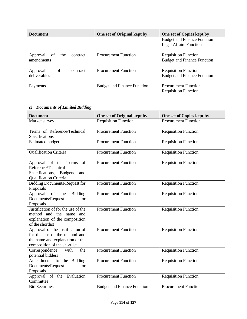| <b>Document</b>                   | One set of Original kept by        | One set of Copies kept by          |
|-----------------------------------|------------------------------------|------------------------------------|
|                                   |                                    | <b>Budget and Finance Function</b> |
|                                   |                                    | <b>Legal Affairs Function</b>      |
| Approval<br>the<br>contract<br>of | <b>Procurement Function</b>        | <b>Requisition Function</b>        |
| amendments                        |                                    | <b>Budget and Finance Function</b> |
|                                   |                                    |                                    |
| of<br>Approval<br>contract        | <b>Procurement Function</b>        | <b>Requisition Function</b>        |
| deliverables                      |                                    | <b>Budget and Finance Function</b> |
| Payments                          | <b>Budget and Finance Function</b> | <b>Procurement Function</b>        |
|                                   |                                    | <b>Requisition Function</b>        |

## *c) Documents of Limited Bidding*

| <b>Document</b>                                             | One set of Original kept by        | One set of Copies kept by   |
|-------------------------------------------------------------|------------------------------------|-----------------------------|
| Market survey                                               | <b>Requisition Function</b>        | <b>Procurement Function</b> |
| Terms of Reference/Technical                                | <b>Procurement Function</b>        | <b>Requisition Function</b> |
| Specifications                                              |                                    |                             |
| <b>Estimated budget</b>                                     | <b>Procurement Function</b>        | <b>Requisition Function</b> |
| <b>Qualification Criteria</b>                               | <b>Procurement Function</b>        | <b>Requisition Function</b> |
| Approval of the Terms<br>of                                 | <b>Procurement Function</b>        | <b>Requisition Function</b> |
| Reference/Technical                                         |                                    |                             |
| Specifications, Budgets<br>and                              |                                    |                             |
| Qualification Criteria                                      |                                    |                             |
| <b>Bidding Documents/Request for</b>                        | <b>Procurement Function</b>        | <b>Requisition Function</b> |
| Proposals                                                   |                                    |                             |
| $\overline{\text{of}}$<br>Approval<br>the<br><b>Bidding</b> | <b>Procurement Function</b>        | <b>Requisition Function</b> |
| Documents/Request<br>for                                    |                                    |                             |
| Proposals                                                   |                                    |                             |
| Justification of for the use of the                         | <b>Procurement Function</b>        | <b>Requisition Function</b> |
| method and the name and                                     |                                    |                             |
| explanation of the composition                              |                                    |                             |
| of the shortlist                                            |                                    |                             |
| Approval of the justification of                            | <b>Procurement Function</b>        | <b>Requisition Function</b> |
| for the use of the method and                               |                                    |                             |
| the name and explanation of the                             |                                    |                             |
| composition of the shortlist                                |                                    |                             |
| Correspondence<br>the<br>with                               | <b>Procurement Function</b>        | <b>Requisition Function</b> |
| potential bidders                                           |                                    |                             |
| Amendments to the Bidding                                   | <b>Procurement Function</b>        | <b>Requisition Function</b> |
| Documents/Request<br>for                                    |                                    |                             |
| Proposals                                                   |                                    |                             |
| Approval of the Evaluation                                  | <b>Procurement Function</b>        | <b>Requisition Function</b> |
| Committee                                                   |                                    |                             |
| <b>Bid Securities</b>                                       | <b>Budget and Finance Function</b> | <b>Procurement Function</b> |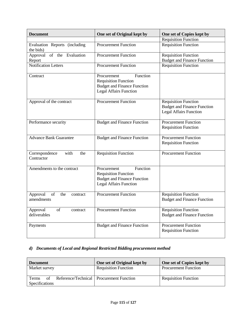| <b>Document</b>                                            | One set of Original kept by                                                                                                   | One set of Copies kept by                                                                          |
|------------------------------------------------------------|-------------------------------------------------------------------------------------------------------------------------------|----------------------------------------------------------------------------------------------------|
|                                                            |                                                                                                                               | <b>Requisition Function</b>                                                                        |
| Evaluation Reports (including<br>the bids)                 | <b>Procurement Function</b>                                                                                                   | <b>Requisition Function</b>                                                                        |
| Approval of the Evaluation<br>Report                       | <b>Procurement Function</b>                                                                                                   | <b>Requisition Function</b><br><b>Budget and Finance Function</b>                                  |
| <b>Notification Letters</b>                                | <b>Procurement Function</b>                                                                                                   | <b>Requisition Function</b>                                                                        |
| Contract                                                   | Function<br>Procurement<br><b>Requisition Function</b><br><b>Budget and Finance Function</b><br><b>Legal Affairs Function</b> |                                                                                                    |
| Approval of the contract                                   | <b>Procurement Function</b>                                                                                                   | <b>Requisition Function</b><br><b>Budget and Finance Function</b><br><b>Legal Affairs Function</b> |
| Performance security                                       | <b>Budget and Finance Function</b>                                                                                            | <b>Procurement Function</b><br><b>Requisition Function</b>                                         |
| <b>Advance Bank Guarantee</b>                              | <b>Budget and Finance Function</b>                                                                                            | <b>Procurement Function</b><br><b>Requisition Function</b>                                         |
| with<br>Correspondence<br>the<br>Contractor                | <b>Requisition Function</b>                                                                                                   | <b>Procurement Function</b>                                                                        |
| Amendments to the contract                                 | Function<br>Procurement<br><b>Requisition Function</b><br><b>Budget and Finance Function</b><br><b>Legal Affairs Function</b> |                                                                                                    |
| Approval<br><sub>of</sub><br>the<br>contract<br>amendments | <b>Procurement Function</b>                                                                                                   | <b>Requisition Function</b><br><b>Budget and Finance Function</b>                                  |
| of<br>Approval<br>contract<br>deliverables                 | <b>Procurement Function</b>                                                                                                   | <b>Requisition Function</b><br><b>Budget and Finance Function</b>                                  |
| Payments                                                   | <b>Budget and Finance Function</b>                                                                                            | <b>Procurement Function</b><br><b>Requisition Function</b>                                         |

#### *d) Documents of Local and Regional Restricted Bidding procurement method*

| <b>Document</b>                                                                    | One set of Original kept by | One set of Copies kept by   |
|------------------------------------------------------------------------------------|-----------------------------|-----------------------------|
| Market survey                                                                      | <b>Requisition Function</b> | <b>Procurement Function</b> |
| Reference/Technical   Procurement Function<br><b>Terms</b><br>of<br>Specifications |                             | <b>Requisition Function</b> |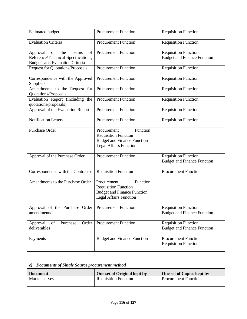| <b>Estimated budget</b>                                                                                               | <b>Procurement Function</b>                                                                                                   | <b>Requisition Function</b>                                       |
|-----------------------------------------------------------------------------------------------------------------------|-------------------------------------------------------------------------------------------------------------------------------|-------------------------------------------------------------------|
| <b>Evaluation Criteria</b>                                                                                            | <b>Procurement Function</b>                                                                                                   | <b>Requisition Function</b>                                       |
| of<br>the<br>Terms<br>of<br>Approval<br>Reference/Technical Specifications,<br><b>Budgets and Evaluation Criteria</b> | <b>Procurement Function</b>                                                                                                   | <b>Requisition Function</b><br><b>Budget and Finance Function</b> |
| <b>Request for Quotations/Proposals</b>                                                                               | <b>Procurement Function</b>                                                                                                   | <b>Requisition Function</b>                                       |
| Correspondence with the Approved<br>Suppliers                                                                         | <b>Procurement Function</b>                                                                                                   | <b>Requisition Function</b>                                       |
| Amendments to the Request for<br>Quotations/Proposals                                                                 | <b>Procurement Function</b>                                                                                                   | <b>Requisition Function</b>                                       |
| Evaluation Report (including the<br>quotations/proposals)                                                             | <b>Procurement Function</b>                                                                                                   | <b>Requisition Function</b>                                       |
| Approval of the Evaluation Report                                                                                     | <b>Procurement Function</b>                                                                                                   | <b>Requisition Function</b>                                       |
| <b>Notification Letters</b>                                                                                           | <b>Procurement Function</b>                                                                                                   | <b>Requisition Function</b>                                       |
| <b>Purchase Order</b>                                                                                                 | Function<br>Procurement<br><b>Requisition Function</b><br><b>Budget and Finance Function</b><br><b>Legal Affairs Function</b> |                                                                   |
| Approval of the Purchase Order                                                                                        | <b>Procurement Function</b>                                                                                                   | <b>Requisition Function</b><br><b>Budget and Finance Function</b> |
| Correspondence with the Contractor                                                                                    | <b>Requisition Function</b>                                                                                                   | Procurement Function                                              |
| Amendments to the Purchase Order                                                                                      | Function<br>Procurement<br><b>Requisition Function</b><br><b>Budget and Finance Function</b><br><b>Legal Affairs Function</b> |                                                                   |
| Approval of the Purchase Order Procurement Function<br>amendments                                                     |                                                                                                                               | <b>Requisition Function</b><br><b>Budget and Finance Function</b> |
| of<br>Purchase<br>Order<br>Approval<br>deliverables                                                                   | <b>Procurement Function</b>                                                                                                   | <b>Requisition Function</b><br><b>Budget and Finance Function</b> |
| Payments                                                                                                              | <b>Budget and Finance Function</b>                                                                                            | <b>Procurement Function</b><br><b>Requisition Function</b>        |

## *e) Documents of Single Source procurement method*

| <b>Document</b> | One set of Original kept by | One set of Copies kept by   |
|-----------------|-----------------------------|-----------------------------|
| Market survey   | <b>Requisition Function</b> | <b>Procurement Function</b> |
|                 |                             |                             |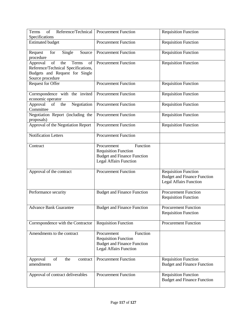| Reference/Technical<br>Terms<br>of<br>Specifications                                                                                                                                                                              | <b>Procurement Function</b>                                                                                                   | <b>Requisition Function</b>                                                                        |
|-----------------------------------------------------------------------------------------------------------------------------------------------------------------------------------------------------------------------------------|-------------------------------------------------------------------------------------------------------------------------------|----------------------------------------------------------------------------------------------------|
| <b>Estimated budget</b>                                                                                                                                                                                                           | <b>Procurement Function</b>                                                                                                   | <b>Requisition Function</b>                                                                        |
| Source<br>Request<br>for<br>Single<br>procedure                                                                                                                                                                                   | <b>Procurement Function</b>                                                                                                   | <b>Requisition Function</b>                                                                        |
| Approval<br>$% \left( \left( \mathcal{A},\mathcal{A}\right) \right) =\left( \mathcal{A},\mathcal{A}\right)$ of<br>Terms<br>the<br>of<br>Reference/Technical Specifications,<br>Budgets and Request for Single<br>Source procedure | <b>Procurement Function</b>                                                                                                   | <b>Requisition Function</b>                                                                        |
| Request for Offer                                                                                                                                                                                                                 | <b>Procurement Function</b>                                                                                                   | <b>Requisition Function</b>                                                                        |
| Correspondence with the invited<br>economic operator                                                                                                                                                                              | <b>Procurement Function</b>                                                                                                   | <b>Requisition Function</b>                                                                        |
| Negotiation<br>Approval<br>of<br>the<br>Committee                                                                                                                                                                                 | <b>Procurement Function</b>                                                                                                   | <b>Requisition Function</b>                                                                        |
| Negotiation Report (including the<br>proposals)                                                                                                                                                                                   | <b>Procurement Function</b>                                                                                                   | <b>Requisition Function</b>                                                                        |
| Approval of the Negotiation Report                                                                                                                                                                                                | <b>Procurement Function</b>                                                                                                   | <b>Requisition Function</b>                                                                        |
| <b>Notification Letters</b>                                                                                                                                                                                                       | <b>Procurement Function</b>                                                                                                   |                                                                                                    |
| Contract                                                                                                                                                                                                                          | Function<br>Procurement<br><b>Requisition Function</b><br><b>Budget and Finance Function</b><br><b>Legal Affairs Function</b> |                                                                                                    |
| Approval of the contract                                                                                                                                                                                                          | <b>Procurement Function</b>                                                                                                   | <b>Requisition Function</b><br><b>Budget and Finance Function</b><br><b>Legal Affairs Function</b> |
| Performance security                                                                                                                                                                                                              | <b>Budget and Finance Function</b>                                                                                            | <b>Procurement Function</b><br><b>Requisition Function</b>                                         |
| <b>Advance Bank Guarantee</b>                                                                                                                                                                                                     | <b>Budget and Finance Function</b>                                                                                            | Procurement Function<br><b>Requisition Function</b>                                                |
| Correspondence with the Contractor                                                                                                                                                                                                | <b>Requisition Function</b>                                                                                                   | <b>Procurement Function</b>                                                                        |
| Amendments to the contract                                                                                                                                                                                                        | Function<br>Procurement<br><b>Requisition Function</b><br><b>Budget and Finance Function</b><br><b>Legal Affairs Function</b> |                                                                                                    |
| of<br>Approval<br>the<br>contract<br>amendments                                                                                                                                                                                   | <b>Procurement Function</b>                                                                                                   | <b>Requisition Function</b><br><b>Budget and Finance Function</b>                                  |
| Approval of contract deliverables                                                                                                                                                                                                 | <b>Procurement Function</b>                                                                                                   | <b>Requisition Function</b><br><b>Budget and Finance Function</b>                                  |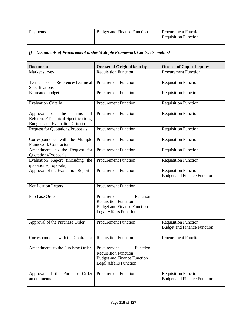| Payments | <b>Budget and Finance Function</b> | <b>Procurement Function</b> |
|----------|------------------------------------|-----------------------------|
|          |                                    | <b>Requisition Function</b> |
|          |                                    |                             |

## *f) Documents of Procurement under Multiple Framework Contracts method*

| <b>Document</b>                                                                                                       | One set of Original kept by                                                                                                   | One set of Copies kept by                                         |
|-----------------------------------------------------------------------------------------------------------------------|-------------------------------------------------------------------------------------------------------------------------------|-------------------------------------------------------------------|
| Market survey                                                                                                         | <b>Requisition Function</b>                                                                                                   | <b>Procurement Function</b>                                       |
| Reference/Technical<br>of<br>Terms<br>Specifications                                                                  | <b>Procurement Function</b>                                                                                                   | <b>Requisition Function</b>                                       |
| <b>Estimated budget</b>                                                                                               | <b>Procurement Function</b>                                                                                                   | <b>Requisition Function</b>                                       |
| <b>Evaluation Criteria</b>                                                                                            | <b>Procurement Function</b>                                                                                                   | <b>Requisition Function</b>                                       |
| Approval<br>of<br>the<br>Terms<br>of<br>Reference/Technical Specifications,<br><b>Budgets and Evaluation Criteria</b> | <b>Procurement Function</b>                                                                                                   | <b>Requisition Function</b>                                       |
| <b>Request for Quotations/Proposals</b>                                                                               | <b>Procurement Function</b>                                                                                                   | <b>Requisition Function</b>                                       |
| Correspondence with the Multiple<br><b>Framework Contractors</b>                                                      | <b>Procurement Function</b>                                                                                                   | <b>Requisition Function</b>                                       |
| Amendments to the Request for<br>Quotations/Proposals                                                                 | <b>Procurement Function</b>                                                                                                   | <b>Requisition Function</b>                                       |
| Evaluation Report (including the<br>quotations/proposals)                                                             | Procurement Function                                                                                                          | <b>Requisition Function</b>                                       |
| Approval of the Evaluation Report                                                                                     | <b>Procurement Function</b>                                                                                                   | Requisition Function<br><b>Budget and Finance Function</b>        |
| <b>Notification Letters</b>                                                                                           | <b>Procurement Function</b>                                                                                                   |                                                                   |
| Purchase Order                                                                                                        | Function<br>Procurement<br><b>Requisition Function</b><br><b>Budget and Finance Function</b><br><b>Legal Affairs Function</b> |                                                                   |
| Approval of the Purchase Order                                                                                        | <b>Procurement Function</b>                                                                                                   | <b>Requisition Function</b><br><b>Budget and Finance Function</b> |
| Correspondence with the Contractor                                                                                    | <b>Requisition Function</b>                                                                                                   | <b>Procurement Function</b>                                       |
| Amendments to the Purchase Order                                                                                      | Function<br>Procurement<br><b>Requisition Function</b><br><b>Budget and Finance Function</b><br><b>Legal Affairs Function</b> |                                                                   |
| Approval of the Purchase Order<br>amendments                                                                          | <b>Procurement Function</b>                                                                                                   | <b>Requisition Function</b><br><b>Budget and Finance Function</b> |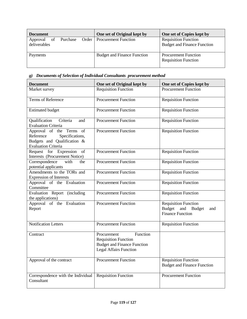| <b>Document</b>          |             | One set of Original kept by         | One set of Copies kept by                                         |
|--------------------------|-------------|-------------------------------------|-------------------------------------------------------------------|
| Approval<br>deliverables | of Purchase | <b>Order</b>   Procurement Function | <b>Requisition Function</b><br><b>Budget and Finance Function</b> |
| Payments                 |             | <b>Budget and Finance Function</b>  | <b>Procurement Function</b><br><b>Requisition Function</b>        |

#### *g) Documents of Selection of Individual Consultants procurement method*

| <b>Document</b>                                                                                                       | One set of Original kept by                                                                                                   | One set of Copies kept by                                                                    |
|-----------------------------------------------------------------------------------------------------------------------|-------------------------------------------------------------------------------------------------------------------------------|----------------------------------------------------------------------------------------------|
| Market survey                                                                                                         | <b>Requisition Function</b>                                                                                                   | <b>Procurement Function</b>                                                                  |
| Terms of Reference                                                                                                    | <b>Procurement Function</b>                                                                                                   | <b>Requisition Function</b>                                                                  |
| <b>Estimated budget</b>                                                                                               | <b>Procurement Function</b>                                                                                                   | <b>Requisition Function</b>                                                                  |
| Criteria<br>Qualification<br>and<br><b>Evaluation Criteria</b>                                                        | <b>Procurement Function</b>                                                                                                   | <b>Requisition Function</b>                                                                  |
| Approval of the Terms of<br>Specifications,<br>Reference<br>Budgets and Qualification &<br><b>Evaluation Criteria</b> | <b>Procurement Function</b>                                                                                                   | <b>Requisition Function</b>                                                                  |
| Request for Expression of<br>Interests (Procurement Notice)                                                           | <b>Procurement Function</b>                                                                                                   | <b>Requisition Function</b>                                                                  |
| Correspondence<br>with<br>the<br>potential applicants                                                                 | <b>Procurement Function</b>                                                                                                   | <b>Requisition Function</b>                                                                  |
| Amendments to the TORs and<br><b>Expression of Interests</b>                                                          | <b>Procurement Function</b>                                                                                                   | <b>Requisition Function</b>                                                                  |
| Approval of the Evaluation<br>Committee                                                                               | <b>Procurement Function</b>                                                                                                   | <b>Requisition Function</b>                                                                  |
| Evaluation Report (including<br>the applications)                                                                     | <b>Procurement Function</b>                                                                                                   | <b>Requisition Function</b>                                                                  |
| Approval of the Evaluation<br>Report                                                                                  | <b>Procurement Function</b>                                                                                                   | <b>Requisition Function</b><br><b>Budget</b><br>and Budget<br>and<br><b>Finance Function</b> |
| <b>Notification Letters</b>                                                                                           | <b>Procurement Function</b>                                                                                                   | <b>Requisition Function</b>                                                                  |
| Contract                                                                                                              | Function<br>Procurement<br><b>Requisition Function</b><br><b>Budget and Finance Function</b><br><b>Legal Affairs Function</b> |                                                                                              |
| Approval of the contract                                                                                              | <b>Procurement Function</b>                                                                                                   | <b>Requisition Function</b><br><b>Budget and Finance Function</b>                            |
| Correspondence with the Individual<br>Consultant                                                                      | <b>Requisition Function</b>                                                                                                   | <b>Procurement Function</b>                                                                  |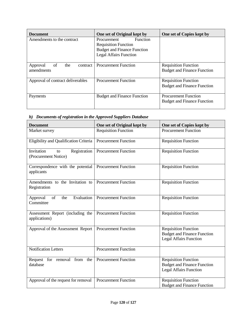| <b>Document</b>                   | One set of Original kept by        | One set of Copies kept by          |
|-----------------------------------|------------------------------------|------------------------------------|
| Amendments to the contract        | Function<br>Procurement            |                                    |
|                                   | <b>Requisition Function</b>        |                                    |
|                                   | <b>Budget and Finance Function</b> |                                    |
|                                   | <b>Legal Affairs Function</b>      |                                    |
|                                   |                                    |                                    |
| of<br>the<br>Approval<br>contract | <b>Procurement Function</b>        | <b>Requisition Function</b>        |
| amendments                        |                                    | <b>Budget and Finance Function</b> |
|                                   |                                    |                                    |
| Approval of contract deliverables | <b>Procurement Function</b>        | <b>Requisition Function</b>        |
|                                   |                                    | <b>Budget and Finance Function</b> |
|                                   |                                    |                                    |
| Payments                          | <b>Budget and Finance Function</b> | <b>Procurement Function</b>        |
|                                   |                                    | <b>Budget and Finance Function</b> |
|                                   |                                    |                                    |

*h) Documents of registration in the Approved Suppliers Database*

| <b>Document</b>                                          | One set of Original kept by | One set of Copies kept by                                                                          |
|----------------------------------------------------------|-----------------------------|----------------------------------------------------------------------------------------------------|
| Market survey                                            | <b>Requisition Function</b> | <b>Procurement Function</b>                                                                        |
| Eligibility and Qualification Criteria                   | <b>Procurement Function</b> | <b>Requisition Function</b>                                                                        |
| Registration<br>Invitation<br>to<br>(Procurement Notice) | <b>Procurement Function</b> | Requisition Function                                                                               |
| Correspondence with the potential<br>applicants          | <b>Procurement Function</b> | <b>Requisition Function</b>                                                                        |
| Amendments to the Invitation to<br>Registration          | <b>Procurement Function</b> | <b>Requisition Function</b>                                                                        |
| Evaluation<br>Approval<br>of<br>the<br>Committee         | <b>Procurement Function</b> | <b>Requisition Function</b>                                                                        |
| Assessment Report (including the<br>applications)        | <b>Procurement Function</b> | <b>Requisition Function</b>                                                                        |
| Approval of the Assessment Report                        | <b>Procurement Function</b> | <b>Requisition Function</b><br><b>Budget and Finance Function</b><br><b>Legal Affairs Function</b> |
| <b>Notification Letters</b>                              | <b>Procurement Function</b> |                                                                                                    |
| Request for removal from the<br>database                 | <b>Procurement Function</b> | <b>Requisition Function</b><br><b>Budget and Finance Function</b><br><b>Legal Affairs Function</b> |
| Approval of the request for removal                      | <b>Procurement Function</b> | <b>Requisition Function</b><br><b>Budget and Finance Function</b>                                  |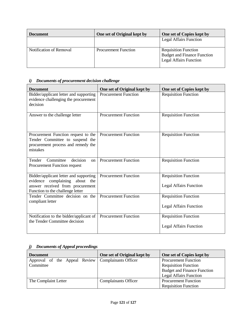| <b>Document</b>         | One set of Original kept by | One set of Copies kept by                                                                          |
|-------------------------|-----------------------------|----------------------------------------------------------------------------------------------------|
|                         |                             | <b>Legal Affairs Function</b>                                                                      |
| Notification of Removal | <b>Procurement Function</b> | <b>Requisition Function</b><br><b>Budget and Finance Function</b><br><b>Legal Affairs Function</b> |

## *i) Documents of procurement decision challenge*

| <b>Document</b>                                                                                                                                  | One set of Original kept by | One set of Copies kept by                                    |
|--------------------------------------------------------------------------------------------------------------------------------------------------|-----------------------------|--------------------------------------------------------------|
| Bidder/applicant letter and supporting<br>evidence challenging the procurement<br>decision                                                       | <b>Procurement Function</b> | <b>Requisition Function</b>                                  |
| Answer to the challenge letter                                                                                                                   | <b>Procurement Function</b> | <b>Requisition Function</b>                                  |
| Procurement Function request to the<br>Tender Committee to suspend the<br>procurement process and remedy the<br>mistakes                         | <b>Procurement Function</b> | <b>Requisition Function</b>                                  |
| decision<br>Committee<br>Tender<br>on<br>Procurement Function request                                                                            | <b>Procurement Function</b> | <b>Requisition Function</b>                                  |
| Bidder/applicant letter and supporting<br>evidence complaining about the<br>answer received from procurement<br>Function to the challenge letter | <b>Procurement Function</b> | <b>Requisition Function</b><br><b>Legal Affairs Function</b> |
| Tender Committee decision on the<br>compliant letter                                                                                             | <b>Procurement Function</b> | <b>Requisition Function</b><br><b>Legal Affairs Function</b> |
| Notification to the bidder/applicant of<br>the Tender Committee decision                                                                         | <b>Procurement Function</b> | <b>Requisition Function</b><br><b>Legal Affairs Function</b> |

## *j) Documents of Appeal proceedings*

| <b>Document</b>                                      | One set of Original kept by | One set of Copies kept by          |
|------------------------------------------------------|-----------------------------|------------------------------------|
| Approval of the Appeal Review   Complainants Officer |                             | <b>Procurement Function</b>        |
| Committee                                            |                             | <b>Requisition Function</b>        |
|                                                      |                             | <b>Budget and Finance Function</b> |
|                                                      |                             | <b>Legal Affairs Function</b>      |
| The Complaint Letter                                 | <b>Complainants Officer</b> | <b>Procurement Function</b>        |
|                                                      |                             | <b>Requisition Function</b>        |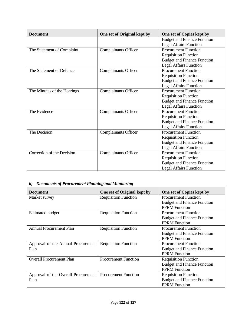| <b>Document</b>             | One set of Original kept by | One set of Copies kept by          |
|-----------------------------|-----------------------------|------------------------------------|
|                             |                             | <b>Budget and Finance Function</b> |
|                             |                             | <b>Legal Affairs Function</b>      |
| The Statement of Complaint  | <b>Complainants Officer</b> | <b>Procurement Function</b>        |
|                             |                             | <b>Requisition Function</b>        |
|                             |                             | <b>Budget and Finance Function</b> |
|                             |                             | <b>Legal Affairs Function</b>      |
| The Statement of Defence    | <b>Complainants Officer</b> | <b>Procurement Function</b>        |
|                             |                             | <b>Requisition Function</b>        |
|                             |                             | <b>Budget and Finance Function</b> |
|                             |                             | <b>Legal Affairs Function</b>      |
| The Minutes of the Hearings | <b>Complainants Officer</b> | <b>Procurement Function</b>        |
|                             |                             | <b>Requisition Function</b>        |
|                             |                             | <b>Budget and Finance Function</b> |
|                             |                             | <b>Legal Affairs Function</b>      |
| The Evidence                | <b>Complainants Officer</b> | <b>Procurement Function</b>        |
|                             |                             | <b>Requisition Function</b>        |
|                             |                             | <b>Budget and Finance Function</b> |
|                             |                             | <b>Legal Affairs Function</b>      |
| The Decision                | Complainants Officer        | <b>Procurement Function</b>        |
|                             |                             | <b>Requisition Function</b>        |
|                             |                             | <b>Budget and Finance Function</b> |
|                             |                             | <b>Legal Affairs Function</b>      |
| Correction of the Decision  | <b>Complainants Officer</b> | <b>Procurement Function</b>        |
|                             |                             | <b>Requisition Function</b>        |
|                             |                             | <b>Budget and Finance Function</b> |
|                             |                             | <b>Legal Affairs Function</b>      |

#### *k) Documents of Procurement Planning and Monitoring*

| <b>Document</b>                     | One set of Original kept by | One set of Copies kept by          |
|-------------------------------------|-----------------------------|------------------------------------|
| Market survey                       | <b>Requisition Function</b> | <b>Procurement Function</b>        |
|                                     |                             | <b>Budget and Finance Function</b> |
|                                     |                             | <b>PPRM</b> Function               |
| <b>Estimated budget</b>             | <b>Requisition Function</b> | <b>Procurement Function</b>        |
|                                     |                             | <b>Budget and Finance Function</b> |
|                                     |                             | <b>PPRM</b> Function               |
| <b>Annual Procurement Plan</b>      | <b>Requisition Function</b> | <b>Procurement Function</b>        |
|                                     |                             | <b>Budget and Finance Function</b> |
|                                     |                             | <b>PPRM</b> Function               |
| Approval of the Annual Procurement  | <b>Requisition Function</b> | <b>Procurement Function</b>        |
| Plan                                |                             | <b>Budget and Finance Function</b> |
|                                     |                             | <b>PPRM</b> Function               |
| <b>Overall Procurement Plan</b>     | <b>Procurement Function</b> | <b>Requisition Function</b>        |
|                                     |                             | <b>Budget and Finance Function</b> |
|                                     |                             | <b>PPRM Function</b>               |
| Approval of the Overall Procurement | <b>Procurement Function</b> | <b>Requisition Function</b>        |
| Plan                                |                             | <b>Budget and Finance Function</b> |
|                                     |                             | <b>PPRM Function</b>               |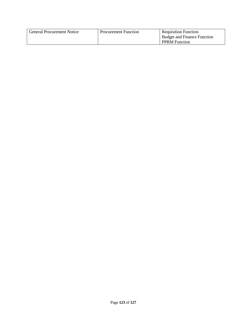| <b>General Procurement Notice</b> | <b>Procurement Function</b> | <b>Requisition Function</b>        |
|-----------------------------------|-----------------------------|------------------------------------|
|                                   |                             | <b>Budget and Finance Function</b> |
|                                   |                             | <b>PPRM</b> Function               |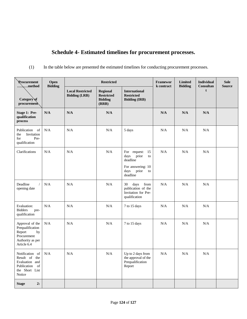# **Schedule 4- Estimated timelines for procurement processes.**

(1) In the table below are presented the estimated timelines for conducting procurement processes.

| Procurement<br>$\ldots$ ,method                                                                       | Open<br><b>Bidding</b> | <b>Restricted</b>                               |                                                                 |                                                                                                            | Framewor<br>k contract | <b>Limited</b><br><b>Bidding</b> | <b>Individual</b><br>Consultan | <b>Sole</b><br><b>Source</b> |
|-------------------------------------------------------------------------------------------------------|------------------------|-------------------------------------------------|-----------------------------------------------------------------|------------------------------------------------------------------------------------------------------------|------------------------|----------------------------------|--------------------------------|------------------------------|
| Category of<br>procurement                                                                            |                        | <b>Local Restricted</b><br><b>Bidding (LRB)</b> | <b>Regional</b><br><b>Restricted</b><br><b>Bidding</b><br>(RRB) | <b>International</b><br><b>Restricted</b><br><b>Bidding (IRB)</b>                                          |                        | t                                |                                |                              |
| Stage 1: Pre-<br>qualification<br>process                                                             | N/A                    | N/A                                             | N/A                                                             |                                                                                                            | N/A                    | N/A                              | N/A                            |                              |
| Publication<br>- of<br>Invitation<br>the<br>for<br>Pre-<br>qualification                              | N/A                    | N/A                                             | N/A                                                             | 5 days                                                                                                     | N/A                    | N/A                              | N/A                            |                              |
| Clarifications                                                                                        | $\rm N/A$              | N/A                                             | N/A                                                             | For request: 15<br>prior<br>days<br>to<br>deadline<br>For answering: 10<br>prior<br>days<br>to<br>deadline | N/A                    | N/A                              | N/A                            |                              |
| Deadline<br>opening date                                                                              | N/A                    | N/A                                             | N/A                                                             | days<br>from<br>30<br>publication of the<br>Invitation for Pre-<br>qualification                           | N/A                    | N/A                              | N/A                            |                              |
| Evaluation:<br><b>Bidders</b><br>pre-<br>qualification                                                | N/A                    | N/A                                             | N/A                                                             | 7 to 15 days                                                                                               | N/A                    | N/A                              | N/A                            |                              |
| Approval of the<br>Prequalification<br>Report<br>by<br>Procurement<br>Authority as per<br>Article 6.4 | $\rm N/A$              | $\rm N/A$                                       | N/A                                                             | 7 to 15 days                                                                                               | N/A                    | N/A                              | N/A                            |                              |
| Notification of<br>Result of the<br>Evaluation and<br>Publication of<br>the Short List<br>Notice      | N/A                    | N/A                                             | N/A                                                             | Up to 2 days from<br>the approval of the<br>Prequalification<br>Report                                     | $\rm N/A$              | N/A                              | $\rm N/A$                      |                              |
| 2:<br><b>Stage</b>                                                                                    |                        |                                                 |                                                                 |                                                                                                            |                        |                                  |                                |                              |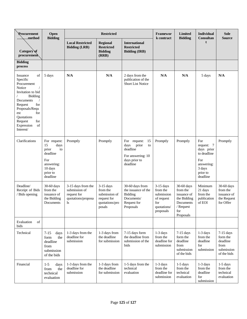| Procurement<br>Open<br><b>Bidding</b><br><sub>.</sub> method                                                                                                                                                        |                                                                                                               |                                                                                            | Framewor<br>k contract                                                              | Limited<br><b>Bidding</b>                                                                               | <b>Individual</b><br>Consultan                                                         | <b>Sole</b><br><b>Source</b>                                                                       |                                                                                                       |                                                                          |
|---------------------------------------------------------------------------------------------------------------------------------------------------------------------------------------------------------------------|---------------------------------------------------------------------------------------------------------------|--------------------------------------------------------------------------------------------|-------------------------------------------------------------------------------------|---------------------------------------------------------------------------------------------------------|----------------------------------------------------------------------------------------|----------------------------------------------------------------------------------------------------|-------------------------------------------------------------------------------------------------------|--------------------------------------------------------------------------|
| Category of<br>procurement                                                                                                                                                                                          |                                                                                                               | <b>Local Restricted</b><br><b>Bidding (LRB)</b>                                            | <b>Regional</b><br><b>Restricted</b><br><b>Bidding</b><br>(RRB)                     | <b>International</b><br><b>Restricted</b><br><b>Bidding (IRB)</b>                                       |                                                                                        |                                                                                                    | f.                                                                                                    |                                                                          |
| <b>Bidding</b><br>process                                                                                                                                                                                           |                                                                                                               |                                                                                            |                                                                                     |                                                                                                         |                                                                                        |                                                                                                    |                                                                                                       |                                                                          |
| Issuance<br>of<br>Specific<br>Procurement<br>Notice<br>Invitation to bid<br>Bidding<br>Documents<br>for<br>Request<br>Proposals/Requ<br>for<br>est<br>Quotations<br>Request<br>for<br>of<br>Expression<br>Interest/ | 5 days                                                                                                        | N/A                                                                                        | N/A                                                                                 | 2 days from the<br>publication of the<br><b>Short List Notice</b>                                       | N/A                                                                                    | N/A                                                                                                | 5 days                                                                                                | N/A                                                                      |
| Clarifications                                                                                                                                                                                                      | For request:<br>days<br>15<br>prior<br>to<br>deadline<br>For<br>answering:<br>10 days<br>prior to<br>deadline | Promptly                                                                                   | Promptly                                                                            | For request:<br>15<br>days<br>prior<br>to<br>deadline<br>For answering: 10<br>days prior to<br>deadline | Promptly                                                                               | Promptly                                                                                           | For<br>request: 7<br>days prior<br>to deadline<br>For<br>answering:<br>3 days<br>prior to<br>deadline | Promptly                                                                 |
| Deadline/<br>Receipt of Bids<br>/ Bids opening                                                                                                                                                                      | 30-60 days<br>from the<br>issuance of<br>the Bidding<br>Documents                                             | 3-15 days from the<br>submission of<br>request for<br>quotations/proposa<br><sup>1</sup> s | $3-15$ days<br>from the<br>submission of<br>request for<br>quotations/pro<br>posals | 30-60 days from<br>the issuance of the<br>Bidding<br>Documents/<br>Request for<br>Proposals             | $3-15$ days<br>from the<br>submission<br>of request<br>for<br>quotations/<br>proposals | 30-60 days<br>from the<br>issuance of<br>the Bidding<br>Documents<br>/ Request<br>for<br>Proposals | Minimum<br>21 days<br>from the<br>publication<br>of EOI                                               | 30-60 days<br>from the<br>issuance of<br>the Request<br>for Offer        |
| Evaluation<br>of<br>bids                                                                                                                                                                                            |                                                                                                               |                                                                                            |                                                                                     |                                                                                                         |                                                                                        |                                                                                                    |                                                                                                       |                                                                          |
| Technical                                                                                                                                                                                                           | $7 - 15$<br>days<br>the<br>form<br>deadline<br>from<br>submission<br>of the bids                              | 1-3 days from the<br>deadline for<br>submission                                            | 1-3 days from<br>the deadline<br>for submission                                     | 7-15 days form<br>the deadline from<br>submission of the<br>bids                                        | $1-3$ days<br>from the<br>deadline for<br>submission                                   | $7-15$ days<br>form the<br>deadline<br>from<br>submission<br>of the bids                           | $1-3$ days<br>from the<br>deadline<br>for<br>submission                                               | $7-15$ days<br>form the<br>deadline<br>from<br>submission<br>of the bids |
| Financial                                                                                                                                                                                                           | $1 - 5$<br>days<br>the<br>from<br>technical<br>evaluation                                                     | 1-3 days from the<br>deadline for<br>submission                                            | 1-3 days from<br>the deadline<br>for submission                                     | 1-5 days from the<br>technical<br>evaluation                                                            | $1-3$ days<br>from the<br>deadline for<br>submission                                   | $1-5$ days<br>from the<br>technical<br>evaluation                                                  | $1-3$ days<br>from the<br>deadline<br>for<br>submission                                               | $1-5$ days<br>from the<br>technical<br>evaluation                        |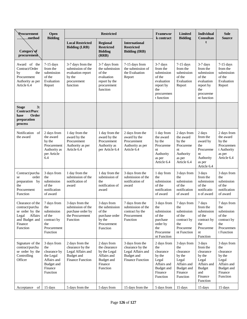| <b>Procurement</b><br>$\dots$ method                                                                                | Open<br><b>Bidding</b>                                                                              | <b>Restricted</b>                                                                                 |                                                                                                     |                                                                                                   | <b>Framewor</b><br>k contract                                                                                | Limited<br><b>Bidding</b>                                                                              | <b>Individual</b><br>Consultan                                                                                   | <b>Sole</b><br><b>Source</b>                                                                           |
|---------------------------------------------------------------------------------------------------------------------|-----------------------------------------------------------------------------------------------------|---------------------------------------------------------------------------------------------------|-----------------------------------------------------------------------------------------------------|---------------------------------------------------------------------------------------------------|--------------------------------------------------------------------------------------------------------------|--------------------------------------------------------------------------------------------------------|------------------------------------------------------------------------------------------------------------------|--------------------------------------------------------------------------------------------------------|
| Category of<br>procurement                                                                                          |                                                                                                     | <b>Local Restricted</b><br><b>Bidding (LRB)</b>                                                   | <b>Regional</b><br><b>Restricted</b><br><b>Bidding</b><br>(RRB)                                     | <b>International</b><br><b>Restricted</b><br><b>Bidding (IRB)</b>                                 |                                                                                                              |                                                                                                        | t                                                                                                                |                                                                                                        |
| Award of the<br>Contract/Order<br>by<br>the<br>Procurement<br>Authority as per<br>Article 6.4                       | $7-15$ days<br>from the<br>submission<br>of the<br>Evaluation<br>Report                             | 3-7 days from the<br>submission of the<br>evaluation report<br>by the<br>procurement<br>function  | 3-7 days from<br>the submission<br>of the<br>evaluation<br>report by the<br>procurement<br>function | 7-15 days from<br>the submission of<br>the Evaluation<br>Report                                   | $3-7$ days<br>from the<br>submission<br>of the<br>evaluation<br>report by<br>the<br>procuremen<br>t function | $7-15$ days<br>from the<br>submission<br>of the<br>Evaluation<br>Report                                | $3-7$ days<br>from the<br>submission<br>of the<br>evaluation<br>report by<br>the<br>procureme<br>nt function     | $7-15$ days<br>from the<br>submission<br>of the<br>Evaluation<br>Report                                |
| 3:<br><b>Stage</b><br><b>Contract/Purc</b><br>Order<br>hase<br>preparation<br>process                               |                                                                                                     |                                                                                                   |                                                                                                     |                                                                                                   |                                                                                                              |                                                                                                        |                                                                                                                  |                                                                                                        |
| Notification of<br>the award                                                                                        | 2 days from<br>the award<br>by the<br>Procurement<br>Authority as<br>per Article<br>6.4             | 1 day from the<br>award by the<br>Procurement<br>Authority as per<br>Article 6.4                  | 1 day from the<br>award by the<br>Procurement<br>Authority as<br>per Article 6.4                    | 2 days from the<br>award by the<br>Procurement<br>Authority as per<br>Article 6.4                 | 1 day from<br>the award<br>by the<br>Procureme<br>nt<br>Authority<br>as per<br>Article 6.4                   | 2 days from<br>the award<br>by the<br>Procureme<br>nt<br>Authority<br>as per<br>Article 6.4            | 2 days<br>from the<br>award by<br>the<br>Procureme<br>nt<br>Authority<br>as per<br>Article 6.4                   | 2 days from<br>the award<br>by the<br>Procuremen<br>t Authority<br>as per<br>Article 6.4               |
| Contract/purcha<br>order<br>se<br>preparation by<br>the<br>Procurement<br>Function                                  | 3 days from<br>the<br>submission<br>of the<br>notification<br>of award                              | 1 day from the<br>submission of the<br>notification of<br>award                                   | 1 day from the<br>submission of<br>the<br>notification of<br>award                                  | 3 days from the<br>submission of the<br>notification of<br>award                                  | 1 day from<br>the<br>submission<br>of the<br>notification<br>of award                                        | 3 days from<br>the<br>submission<br>of the<br>notification<br>of award                                 | 3 days<br>from the<br>submission<br>of the<br>notificatio<br>n of award                                          | 3 days from<br>the<br>submission<br>of the<br>notification<br>of award                                 |
| Clearance of the<br>contract/purcha<br>se order by the<br>Legal<br>Affairs<br>and Budget and<br>Finance<br>Function | 7 days from<br>the<br>submission<br>of the<br>contract by<br>the<br>Procurement<br>Function         | 3 days from the<br>submission of the<br>purchase order by<br>the Procurement<br>Function          | 3 days from<br>the submission<br>of the<br>purchase order<br>by the<br>Procurement<br>Function      | 7 days from the<br>submission of the<br>contract by the<br>Procurement<br>Function                | 3 days from<br>the<br>submission<br>of the<br>purchase<br>order by<br>the<br>Procureme<br>nt Function        | 7 days from<br>the<br>submission<br>of the<br>contract by<br>the<br>Procureme<br>nt Function           | 7 days<br>from the<br>submission<br>of the<br>contract by<br>the<br>Procureme<br>nt<br>Function                  | 7 days from<br>the<br>submission<br>of the<br>contract by<br>the<br>Procuremen<br>t Function           |
| Signature of the<br>contract/purcha<br>se order by the<br>Controlling<br>Officer                                    | 3 days from<br>the<br>clearance by<br>the Legal<br>Affairs and<br>Budget and<br>Finance<br>Function | 2 days from the<br>clearance by the<br>Legal Affairs and<br>Budget and<br><b>Finance Function</b> | 2 days from<br>the clearance<br>by the Legal<br>Affairs and<br>Budget and<br>Finance<br>Function    | 3 days from the<br>clearance by the<br>Legal Affairs and<br>Budget and<br><b>Finance Function</b> | 2 days from<br>the<br>clearance<br>by the<br>Legal<br>Affairs and<br>Budget and<br>Finance<br>Function       | 3 days from<br>the<br>clearance<br>by the<br>Legal<br>Affairs and<br>Budget and<br>Finance<br>Function | 3 days<br>from the<br>clearance<br>by the<br>Legal<br>Affairs and<br><b>Budget</b><br>and<br>Finance<br>Function | 3 days from<br>the<br>clearance<br>by the<br>Legal<br>Affairs and<br>Budget and<br>Finance<br>Function |
| of<br>Acceptance                                                                                                    | 15 days                                                                                             | 5 days from the                                                                                   | 5 days from                                                                                         | 15 days from the                                                                                  | 5 days from                                                                                                  | 15 days                                                                                                | 15 days                                                                                                          | 15 days                                                                                                |